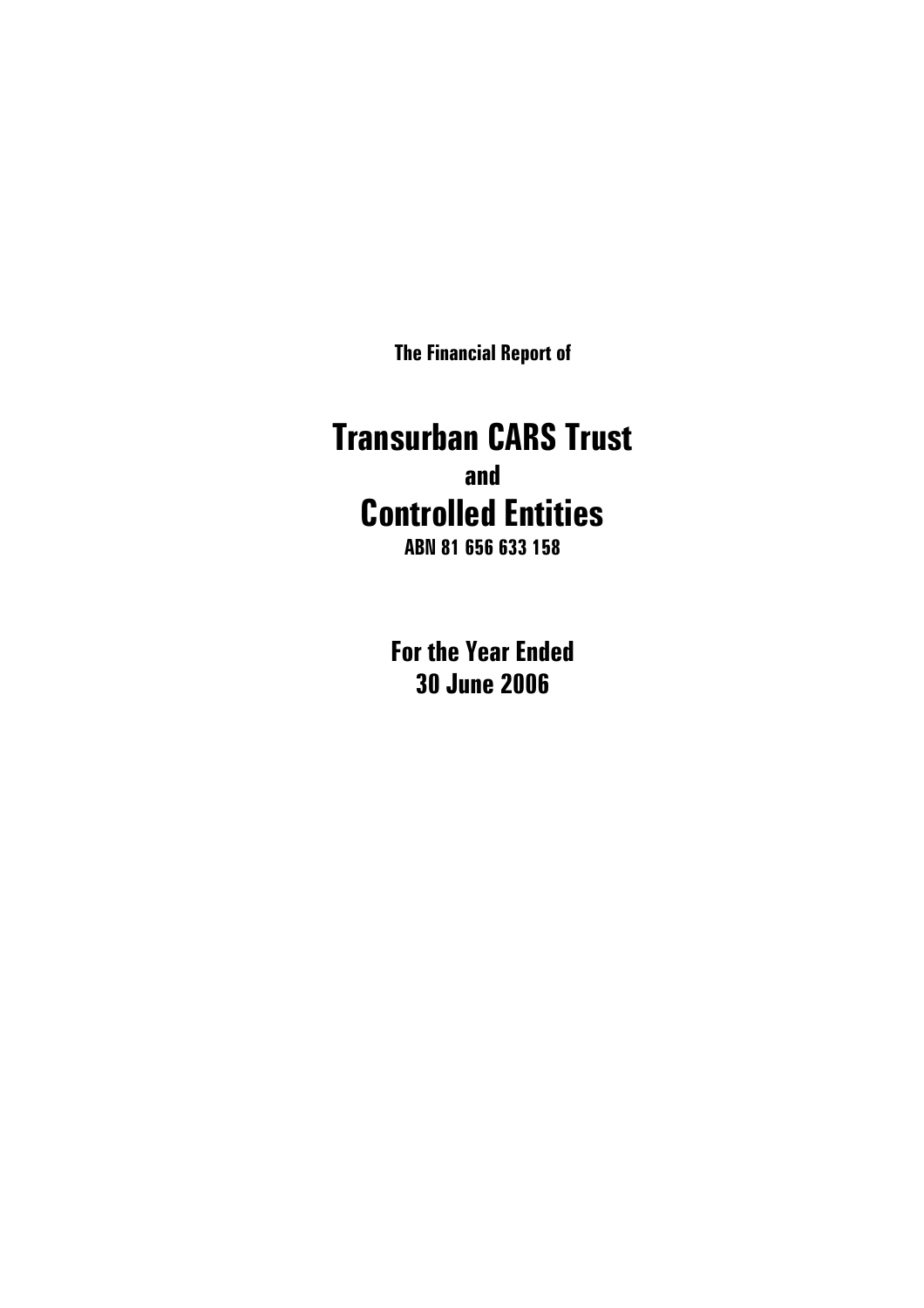**The Financial Report of** 

# **Transurban CARS Trust and Controlled Entities**

**ABN 81 656 633 158** 

**For the Year Ended 30 June 2006**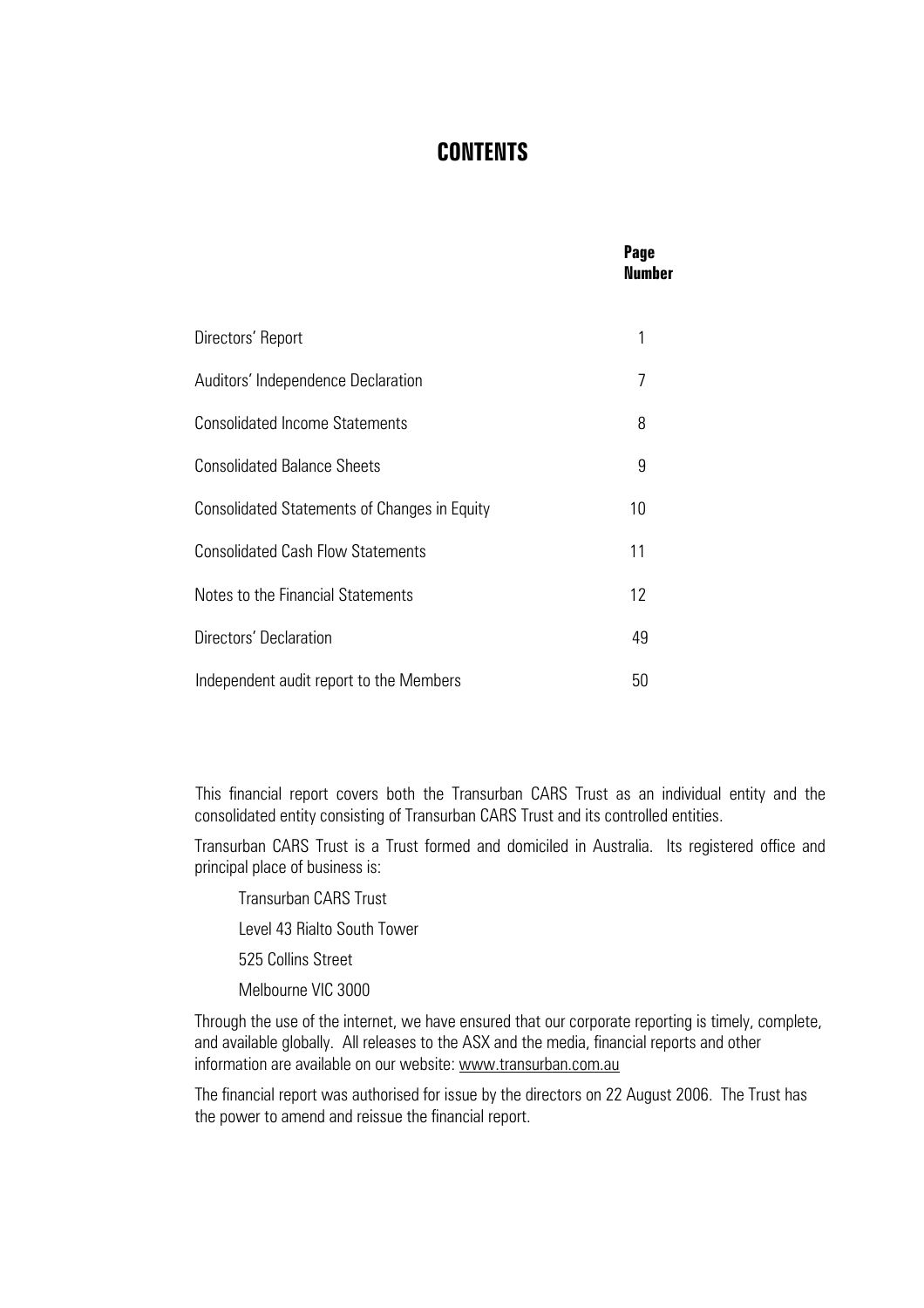### **CONTENTS**

|                                                     | Page<br><b>Number</b> |
|-----------------------------------------------------|-----------------------|
| Directors' Report                                   | 1                     |
| Auditors' Independence Declaration                  | 7                     |
| <b>Consolidated Income Statements</b>               | 8                     |
| <b>Consolidated Balance Sheets</b>                  | 9                     |
| <b>Consolidated Statements of Changes in Equity</b> | 10 <sup>1</sup>       |
| <b>Consolidated Cash Flow Statements</b>            | 11                    |
| Notes to the Financial Statements                   | 12                    |
| Directors' Declaration                              | 49                    |
| Independent audit report to the Members             | 50                    |

This financial report covers both the Transurban CARS Trust as an individual entity and the consolidated entity consisting of Transurban CARS Trust and its controlled entities.

Transurban CARS Trust is a Trust formed and domiciled in Australia. Its registered office and principal place of business is:

Transurban CARS Trust

Level 43 Rialto South Tower

525 Collins Street

Melbourne VIC 3000

Through the use of the internet, we have ensured that our corporate reporting is timely, complete, and available globally. All releases to the ASX and the media, financial reports and other information are available on our website: [www.transurban.com.au](http://www.transurban.com.au/)

The financial report was authorised for issue by the directors on 22 August 2006. The Trust has the power to amend and reissue the financial report.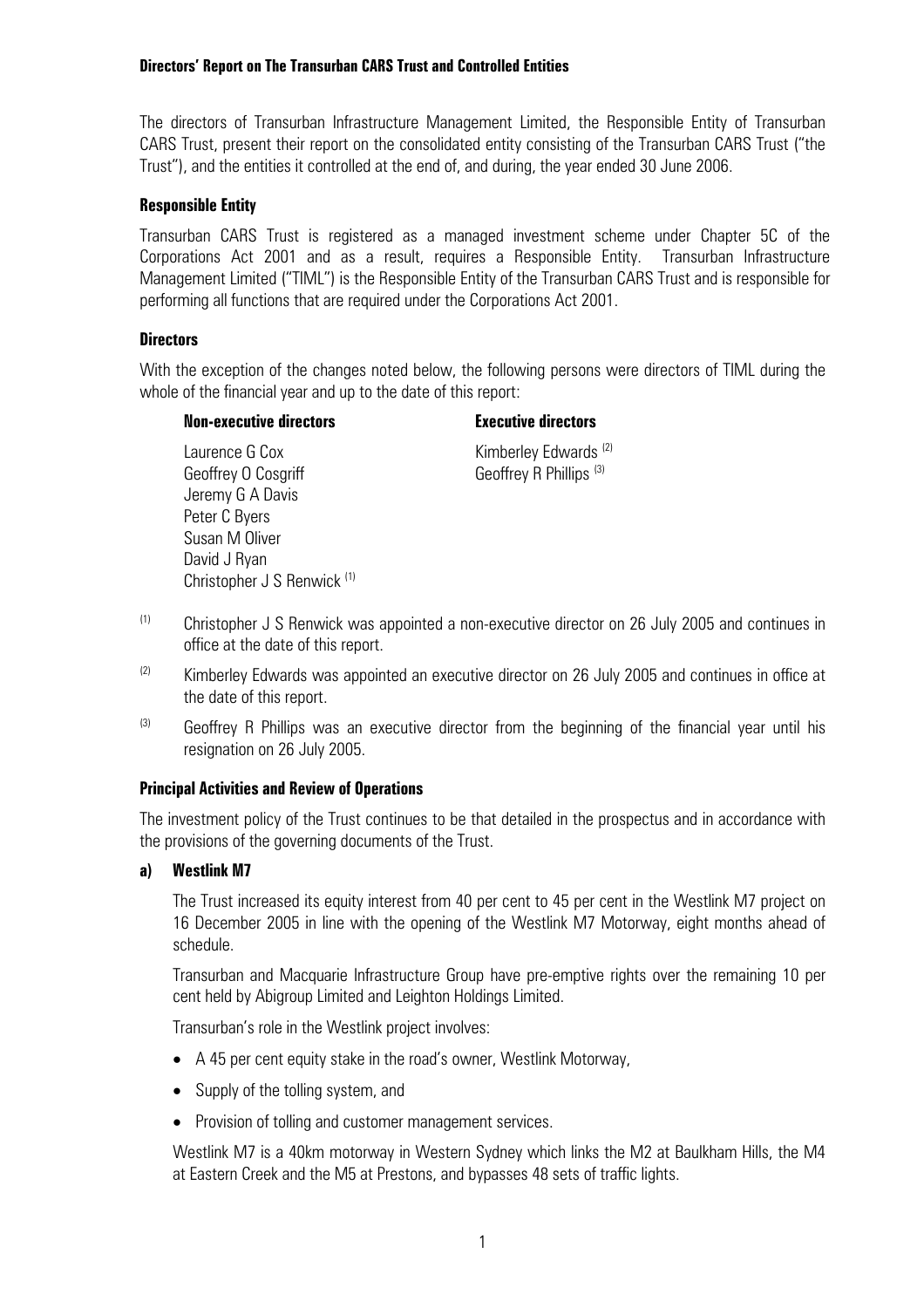The directors of Transurban Infrastructure Management Limited, the Responsible Entity of Transurban CARS Trust, present their report on the consolidated entity consisting of the Transurban CARS Trust ("the Trust"), and the entities it controlled at the end of, and during, the year ended 30 June 2006.

#### **Responsible Entity**

Transurban CARS Trust is registered as a managed investment scheme under Chapter 5C of the Corporations Act 2001 and as a result, requires a Responsible Entity. Transurban Infrastructure Management Limited ("TIML") is the Responsible Entity of the Transurban CARS Trust and is responsible for performing all functions that are required under the Corporations Act 2001.

#### **Directors**

With the exception of the changes noted below, the following persons were directors of TIML during the whole of the financial year and up to the date of this report:

#### **Non-executive directors Executive directors**

Laurence G Cox Kimberley Edwards (2) Geoffrey O Cosgriff Geoffrey R Phillips (3) Jeremy G A Davis Peter C Byers Susan M Oliver David J Ryan Christopher J S Renwick (1)

- $(1)$  Christopher J S Renwick was appointed a non-executive director on 26 July 2005 and continues in office at the date of this report.
- $(2)$  Kimberley Edwards was appointed an executive director on 26 July 2005 and continues in office at the date of this report.
- $(3)$  Geoffrey R Phillips was an executive director from the beginning of the financial year until his resignation on 26 July 2005.

#### **Principal Activities and Review of Operations**

The investment policy of the Trust continues to be that detailed in the prospectus and in accordance with the provisions of the governing documents of the Trust.

#### **a) Westlink M7**

The Trust increased its equity interest from 40 per cent to 45 per cent in the Westlink M7 project on 16 December 2005 in line with the opening of the Westlink M7 Motorway, eight months ahead of schedule.

Transurban and Macquarie Infrastructure Group have pre-emptive rights over the remaining 10 per cent held by Abigroup Limited and Leighton Holdings Limited.

Transurban's role in the Westlink project involves:

- A 45 per cent equity stake in the road's owner, Westlink Motorway,
- Supply of the tolling system, and
- Provision of tolling and customer management services.

Westlink M7 is a 40km motorway in Western Sydney which links the M2 at Baulkham Hills, the M4 at Eastern Creek and the M5 at Prestons, and bypasses 48 sets of traffic lights.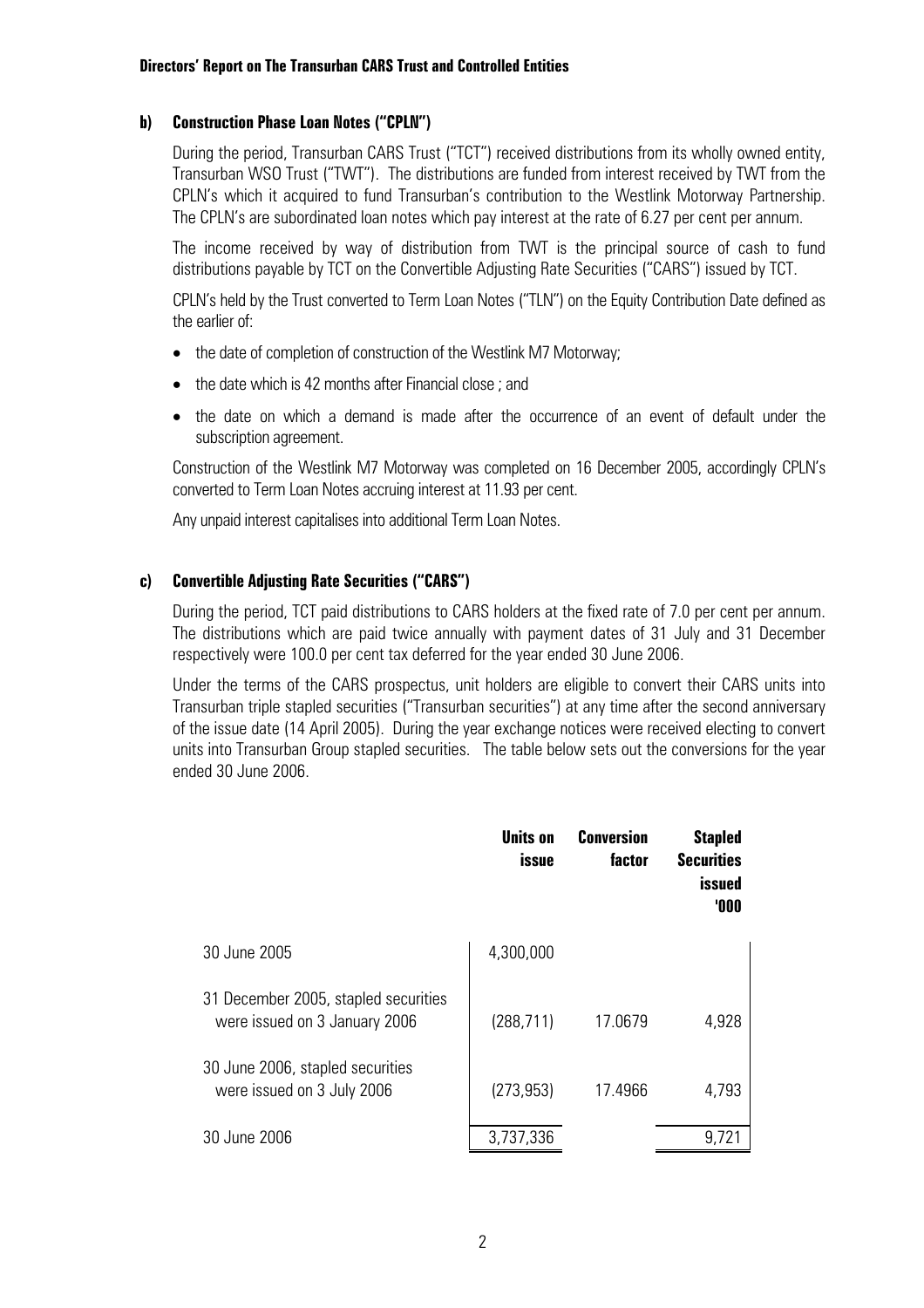#### **b) Construction Phase Loan Notes ("CPLN")**

During the period, Transurban CARS Trust ("TCT") received distributions from its wholly owned entity, Transurban WSO Trust ("TWT"). The distributions are funded from interest received by TWT from the CPLN's which it acquired to fund Transurban's contribution to the Westlink Motorway Partnership. The CPLN's are subordinated loan notes which pay interest at the rate of 6.27 per cent per annum.

The income received by way of distribution from TWT is the principal source of cash to fund distributions payable by TCT on the Convertible Adjusting Rate Securities ("CARS") issued by TCT.

CPLN's held by the Trust converted to Term Loan Notes ("TLN") on the Equity Contribution Date defined as the earlier of:

- the date of completion of construction of the Westlink M7 Motorway;
- the date which is 42 months after Financial close : and
- the date on which a demand is made after the occurrence of an event of default under the subscription agreement.

Construction of the Westlink M7 Motorway was completed on 16 December 2005, accordingly CPLN's converted to Term Loan Notes accruing interest at 11.93 per cent.

Any unpaid interest capitalises into additional Term Loan Notes.

#### **c) Convertible Adjusting Rate Securities ("CARS")**

During the period, TCT paid distributions to CARS holders at the fixed rate of 7.0 per cent per annum. The distributions which are paid twice annually with payment dates of 31 July and 31 December respectively were 100.0 per cent tax deferred for the year ended 30 June 2006.

Under the terms of the CARS prospectus, unit holders are eligible to convert their CARS units into Transurban triple stapled securities ("Transurban securities") at any time after the second anniversary of the issue date (14 April 2005). During the year exchange notices were received electing to convert units into Transurban Group stapled securities. The table below sets out the conversions for the year ended 30 June 2006.

|                                                                       | Units on<br>issue | Conversion<br>factor | <b>Stapled</b><br><b>Securities</b><br>issued<br><b>'000</b> |
|-----------------------------------------------------------------------|-------------------|----------------------|--------------------------------------------------------------|
| 30 June 2005                                                          | 4,300,000         |                      |                                                              |
| 31 December 2005, stapled securities<br>were issued on 3 January 2006 | (288, 711)        | 17.0679              | 4,928                                                        |
| 30 June 2006, stapled securities<br>were issued on 3 July 2006        | (273, 953)        | 17.4966              | 4,793                                                        |
| 30 June 2006                                                          | 3,737,336         |                      | 9,721                                                        |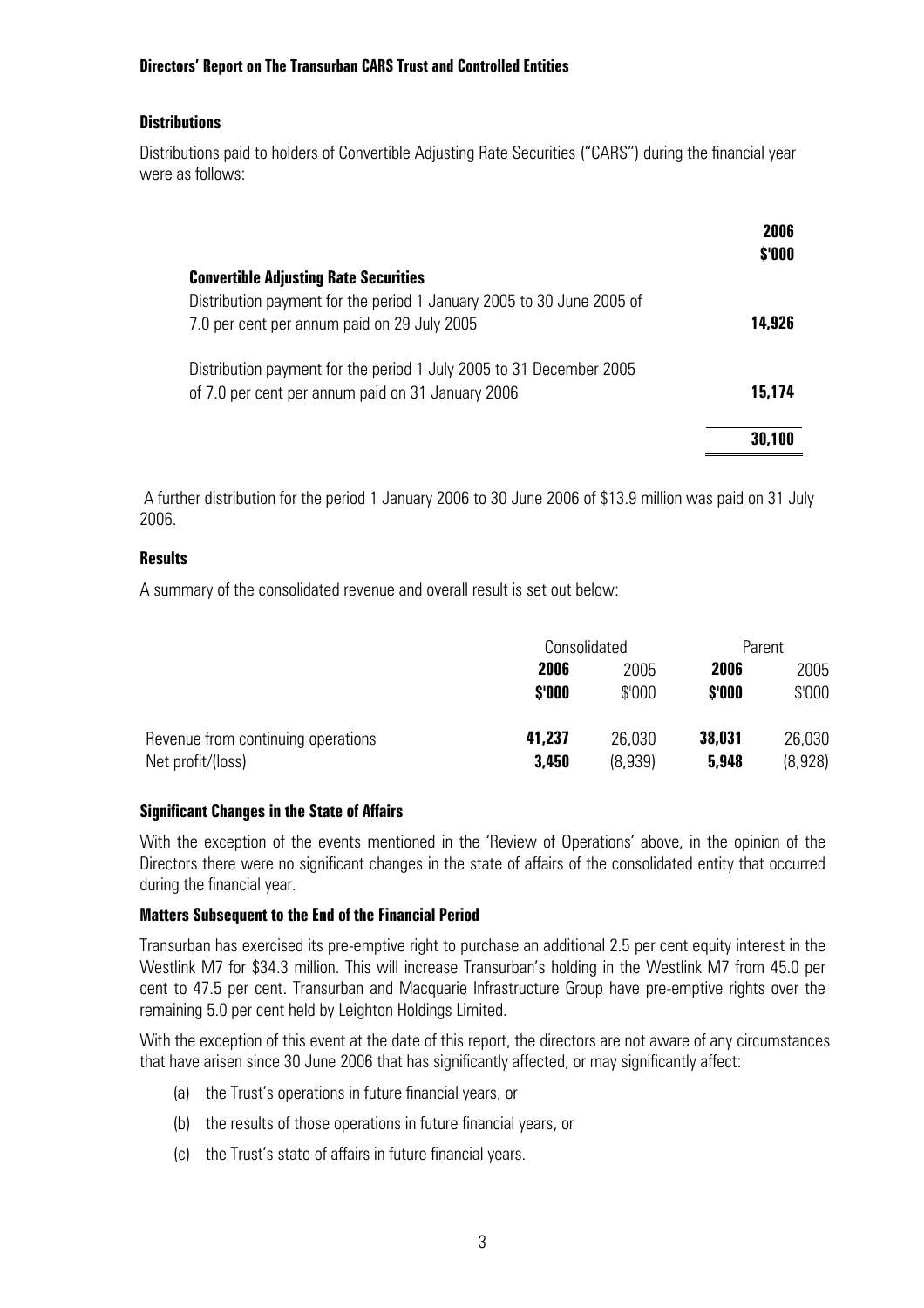#### **Distributions**

Distributions paid to holders of Convertible Adjusting Rate Securities ("CARS") during the financial year were as follows:

|                                                                       | 2006<br>\$'000 |
|-----------------------------------------------------------------------|----------------|
| <b>Convertible Adjusting Rate Securities</b>                          |                |
| Distribution payment for the period 1 January 2005 to 30 June 2005 of |                |
| 7.0 per cent per annum paid on 29 July 2005                           | 14,926         |
| Distribution payment for the period 1 July 2005 to 31 December 2005   |                |
| of 7.0 per cent per annum paid on 31 January 2006                     | 15.174         |
|                                                                       | 30,100         |

 A further distribution for the period 1 January 2006 to 30 June 2006 of \$13.9 million was paid on 31 July 2006.

#### **Results**

A summary of the consolidated revenue and overall result is set out below:

|                                                         | Consolidated    |                   | Parent          |                   |
|---------------------------------------------------------|-----------------|-------------------|-----------------|-------------------|
|                                                         | 2006            | 2005              | 2006            | 2005              |
|                                                         | \$'000          | \$'000            | \$'000          | $$^{\prime}000$   |
| Revenue from continuing operations<br>Net profit/(loss) | 41,237<br>3,450 | 26,030<br>(8,939) | 38,031<br>5,948 | 26,030<br>(8,928) |

#### **Significant Changes in the State of Affairs**

With the exception of the events mentioned in the 'Review of Operations' above, in the opinion of the Directors there were no significant changes in the state of affairs of the consolidated entity that occurred during the financial year.

#### **Matters Subsequent to the End of the Financial Period**

Transurban has exercised its pre-emptive right to purchase an additional 2.5 per cent equity interest in the Westlink M7 for \$34.3 million. This will increase Transurban's holding in the Westlink M7 from 45.0 per cent to 47.5 per cent. Transurban and Macquarie Infrastructure Group have pre-emptive rights over the remaining 5.0 per cent held by Leighton Holdings Limited.

With the exception of this event at the date of this report, the directors are not aware of any circumstances that have arisen since 30 June 2006 that has significantly affected, or may significantly affect:

- (a) the Trust's operations in future financial years, or
- (b) the results of those operations in future financial years, or
- (c) the Trust's state of affairs in future financial years.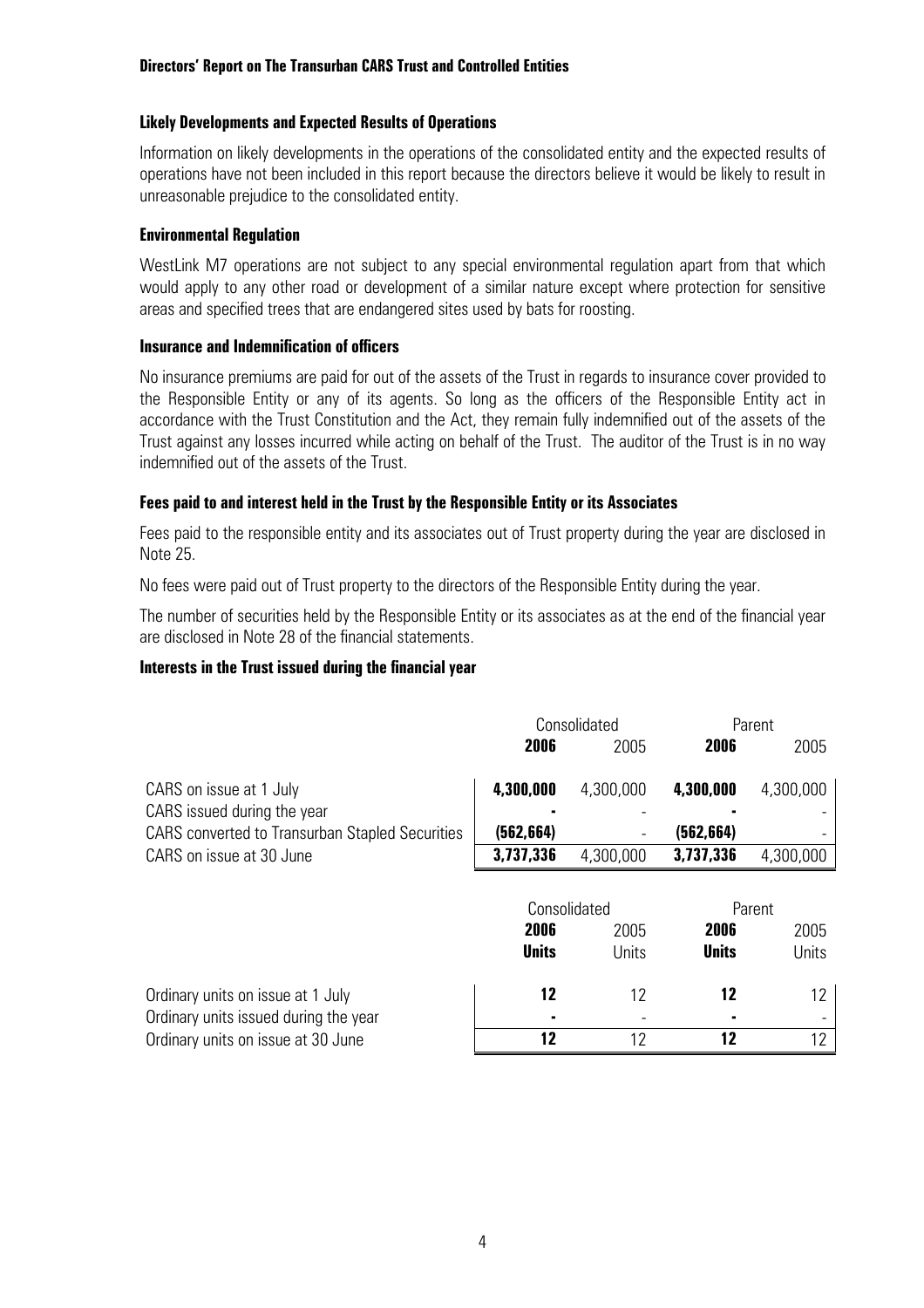#### **Likely Developments and Expected Results of Operations**

Information on likely developments in the operations of the consolidated entity and the expected results of operations have not been included in this report because the directors believe it would be likely to result in unreasonable prejudice to the consolidated entity.

#### **Environmental Regulation**

WestLink M7 operations are not subject to any special environmental regulation apart from that which would apply to any other road or development of a similar nature except where protection for sensitive areas and specified trees that are endangered sites used by bats for roosting.

#### **Insurance and Indemnification of officers**

No insurance premiums are paid for out of the assets of the Trust in regards to insurance cover provided to the Responsible Entity or any of its agents. So long as the officers of the Responsible Entity act in accordance with the Trust Constitution and the Act, they remain fully indemnified out of the assets of the Trust against any losses incurred while acting on behalf of the Trust. The auditor of the Trust is in no way indemnified out of the assets of the Trust.

#### **Fees paid to and interest held in the Trust by the Responsible Entity or its Associates**

Fees paid to the responsible entity and its associates out of Trust property during the year are disclosed in Note 25.

No fees were paid out of Trust property to the directors of the Responsible Entity during the year.

The number of securities held by the Responsible Entity or its associates as at the end of the financial year are disclosed in Note 28 of the financial statements.

#### **Interests in the Trust issued during the financial year**

|                                                                            | Consolidated |              |              | Parent    |
|----------------------------------------------------------------------------|--------------|--------------|--------------|-----------|
|                                                                            | 2006         | 2005         | 2006         | 2005      |
| CARS on issue at 1 July<br>CARS issued during the year                     | 4,300,000    | 4,300,000    | 4,300,000    | 4,300,000 |
| <b>CARS</b> converted to Transurban Stapled Securities                     | (562, 664)   |              | (562, 664)   |           |
| CARS on issue at 30 June                                                   | 3,737,336    | 4,300,000    | 3,737,336    | 4,300,000 |
|                                                                            |              | Consolidated |              | Parent    |
|                                                                            | 2006         | 2005         | 2006         | 2005      |
|                                                                            | <b>Units</b> | Units        | <b>Units</b> | Units     |
| Ordinary units on issue at 1 July<br>Ordinary units issued during the year | 12           | 12           | 12           | 12        |
| Ordinary units on issue at 30 June                                         | 12           | 12           | 12           | 12        |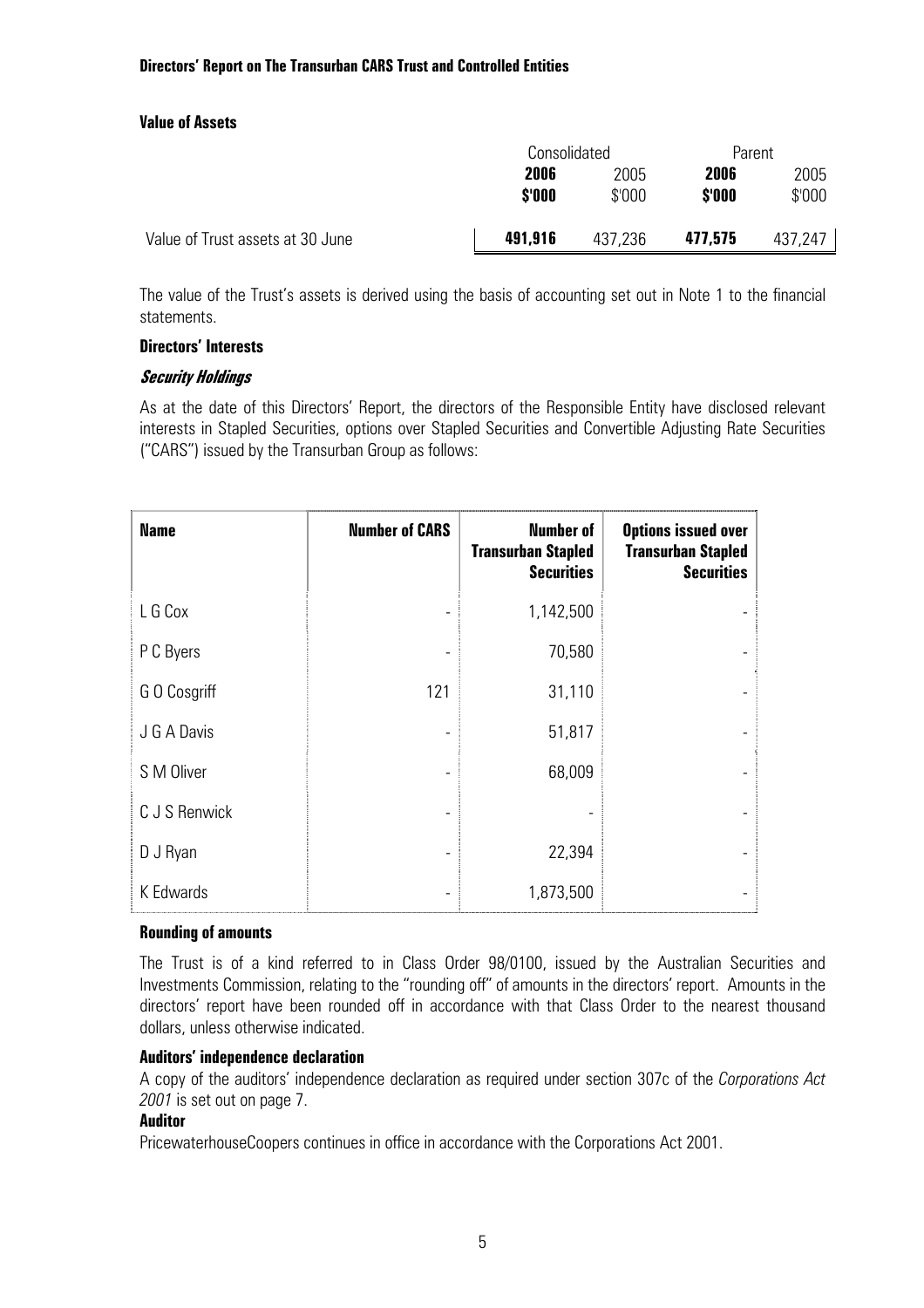#### **Value of Assets**

|                                  | Consolidated   |                |                | Parent         |  |
|----------------------------------|----------------|----------------|----------------|----------------|--|
|                                  | 2006<br>\$'000 | 2005<br>\$'000 | 2006<br>\$'000 | 2005<br>\$'000 |  |
| Value of Trust assets at 30 June | 491,916        | 437,236        | 477,575        | 437.247        |  |

The value of the Trust's assets is derived using the basis of accounting set out in Note 1 to the financial statements.

#### **Directors' Interests**

#### **Security Holdings**

As at the date of this Directors' Report, the directors of the Responsible Entity have disclosed relevant interests in Stapled Securities, options over Stapled Securities and Convertible Adjusting Rate Securities ("CARS") issued by the Transurban Group as follows:

| <b>Name</b>   | <b>Number of CARS</b> | <b>Number of</b><br><b>Transurban Stapled</b><br><b>Securities</b> | <b>Options issued over</b><br><b>Transurban Stapled</b><br><b>Securities</b> |
|---------------|-----------------------|--------------------------------------------------------------------|------------------------------------------------------------------------------|
| L G Cox       |                       | 1,142,500                                                          |                                                                              |
| P C Byers     |                       | 70,580                                                             |                                                                              |
| G O Cosgriff  | 121                   | 31,110                                                             |                                                                              |
| J G A Davis   |                       | 51,817                                                             |                                                                              |
| S M Oliver    |                       | 68,009                                                             |                                                                              |
| C J S Renwick |                       |                                                                    |                                                                              |
| D J Ryan      |                       | 22,394                                                             |                                                                              |
| K Edwards     |                       | 1,873,500                                                          |                                                                              |

#### **Rounding of amounts**

The Trust is of a kind referred to in Class Order 98/0100, issued by the Australian Securities and Investments Commission, relating to the "rounding off" of amounts in the directors' report. Amounts in the directors' report have been rounded off in accordance with that Class Order to the nearest thousand dollars, unless otherwise indicated.

#### **Auditors' independence declaration**

A copy of the auditors' independence declaration as required under section 307c of the *Corporations Act 2001* is set out on page 7.

#### **Auditor**

PricewaterhouseCoopers continues in office in accordance with the Corporations Act 2001.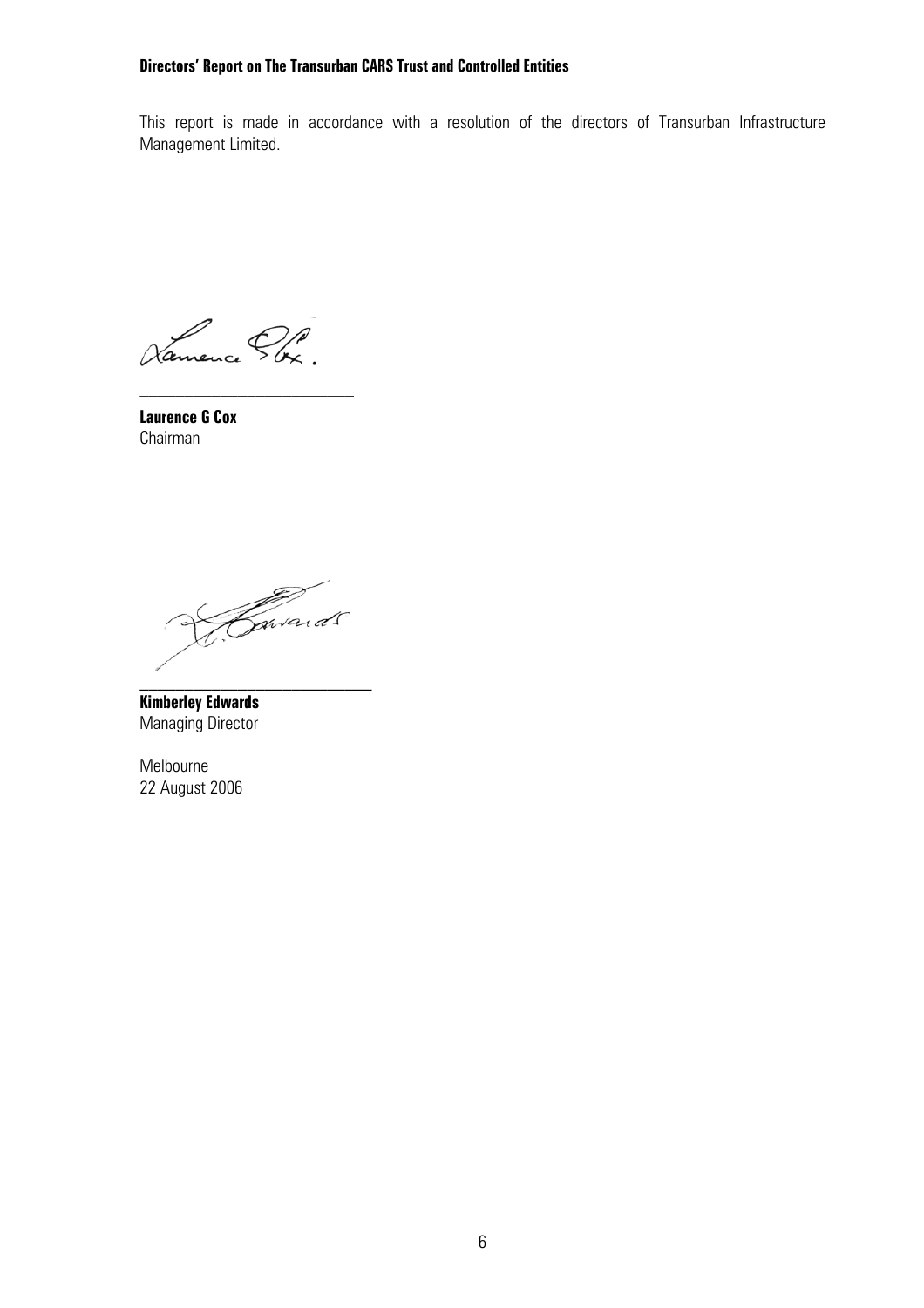This report is made in accordance with a resolution of the directors of Transurban Infrastructure Management Limited.

Namence Pbx.

**Laurence G Cox**  Chairman

Gavard 5

**\_\_\_\_\_\_\_\_\_\_\_\_\_\_\_\_\_\_\_\_\_\_\_\_\_\_** 

**Kimberley Edwards**  Managing Director

Melbourne 22 August 2006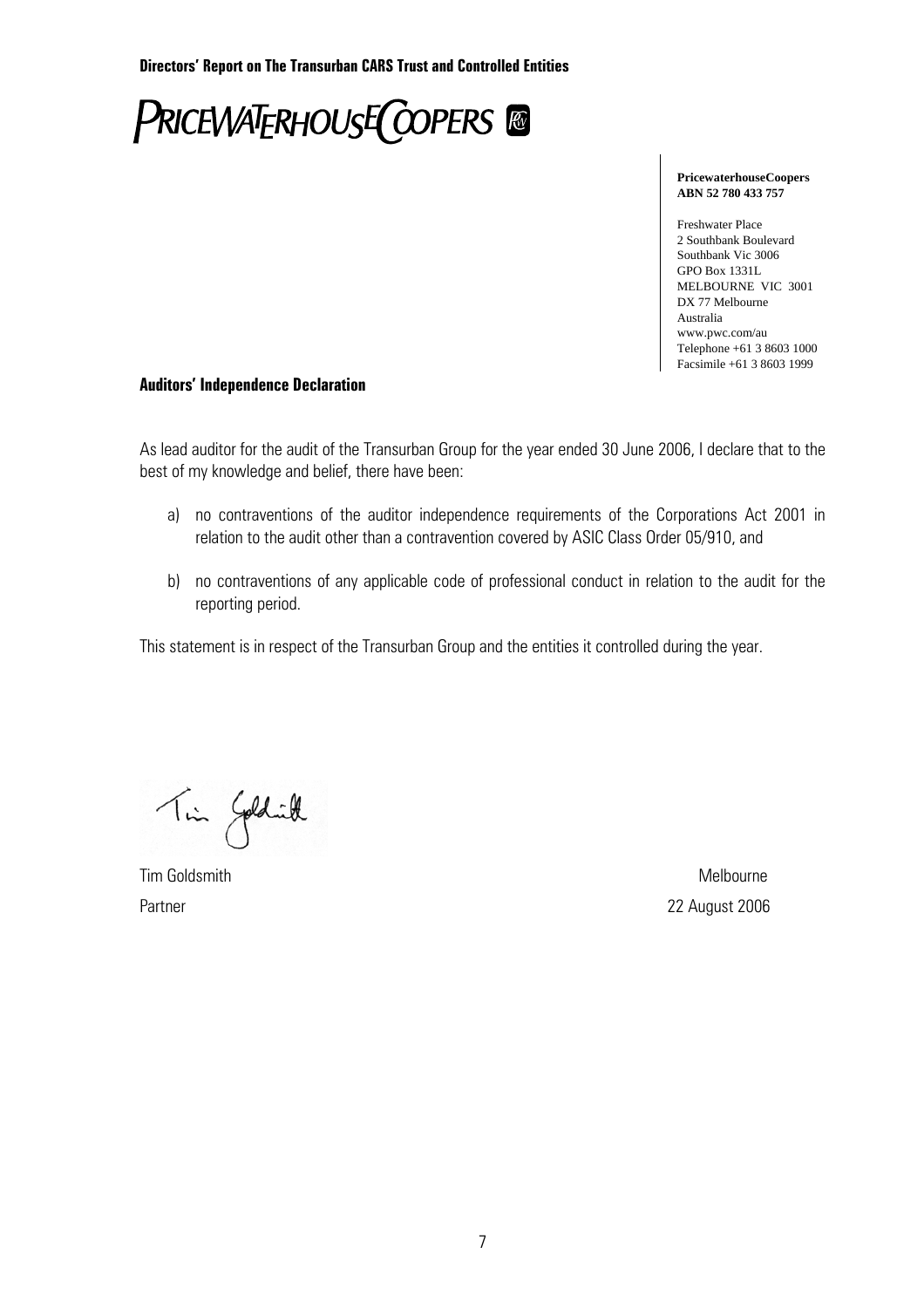

#### **PricewaterhouseCoopers ABN 52 780 433 757**

Freshwater Place 2 Southbank Boulevard Southbank Vic 3006 GPO Box 1331L MELBOURNE VIC 3001 DX 77 Melbourne Australia www.pwc.com/au Telephone +61 3 8603 1000 Facsimile +61 3 8603 1999

#### **Auditors' Independence Declaration**

As lead auditor for the audit of the Transurban Group for the year ended 30 June 2006, I declare that to the best of my knowledge and belief, there have been:

- a) no contraventions of the auditor independence requirements of the Corporations Act 2001 in relation to the audit other than a contravention covered by ASIC Class Order 05/910, and
- b) no contraventions of any applicable code of professional conduct in relation to the audit for the reporting period.

This statement is in respect of the Transurban Group and the entities it controlled during the year.

Tin Goldwill

Tim Goldsmith Melbourne

Partner 22 August 2006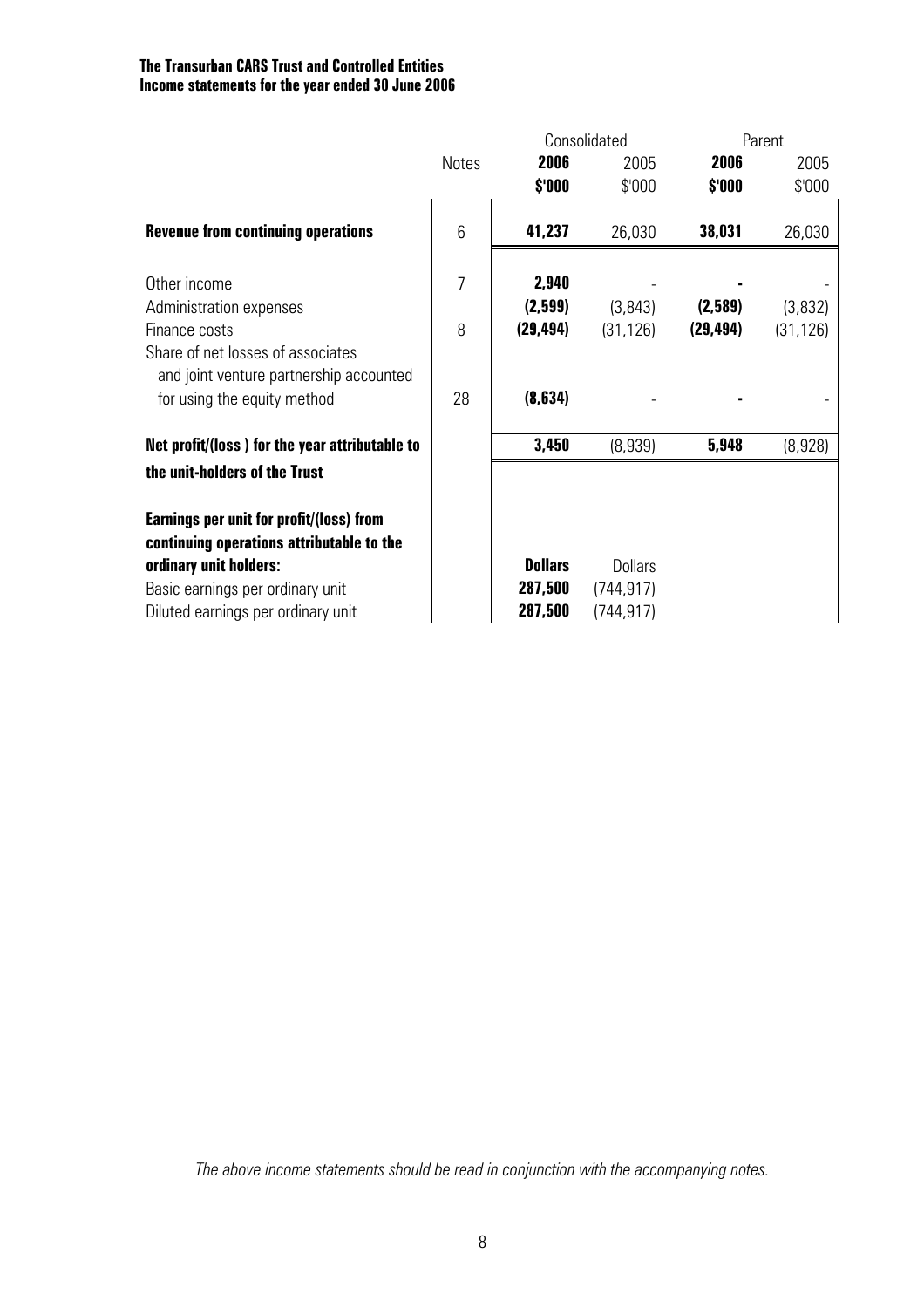#### **The Transurban CARS Trust and Controlled Entities Income statements for the year ended 30 June 2006**

|              | Consolidated   |                | Parent    |           |  |
|--------------|----------------|----------------|-----------|-----------|--|
| <b>Notes</b> | 2006           | 2005           | 2006      | 2005      |  |
|              | \$'000         | \$'000         | \$'000    | \$'000    |  |
| 6            | 41,237         | 26,030         | 38,031    | 26,030    |  |
| 7            | 2,940          |                |           |           |  |
|              | (2,599)        | (3, 843)       | (2,589)   | (3,832)   |  |
| 8            | (29, 494)      | (31, 126)      | (29, 494) | (31, 126) |  |
|              |                |                |           |           |  |
| 28           | (8, 634)       |                |           |           |  |
|              | 3,450          | (8,939)        | 5,948     | (8,928)   |  |
|              |                |                |           |           |  |
|              |                |                |           |           |  |
|              | <b>Dollars</b> | <b>Dollars</b> |           |           |  |
|              | 287,500        | (744, 917)     |           |           |  |
|              | 287,500        | (744, 917)     |           |           |  |
|              |                |                |           |           |  |

*The above income statements should be read in conjunction with the accompanying notes.*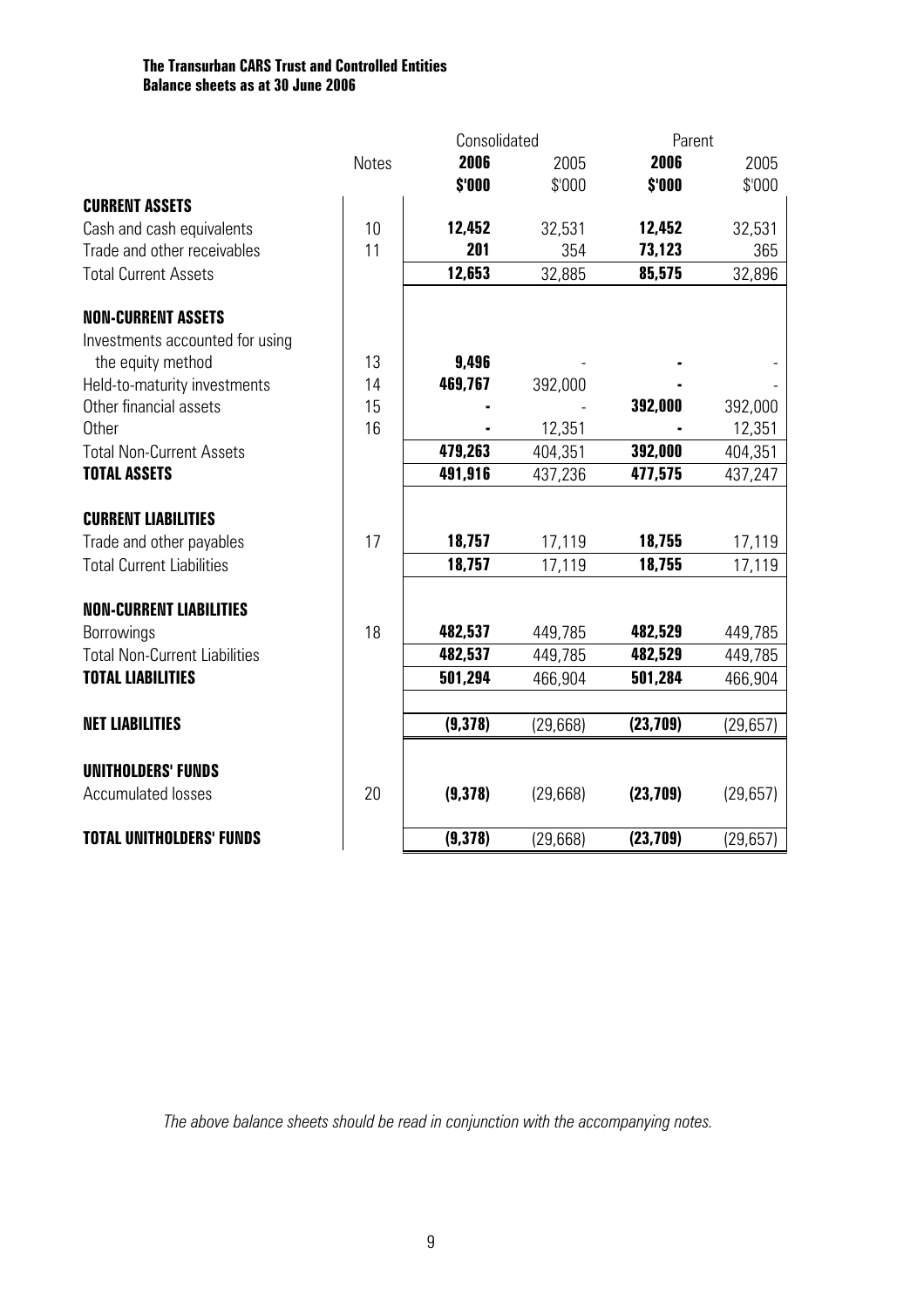#### **The Transurban CARS Trust and Controlled Entities Balance sheets as at 30 June 2006**

| 2006<br>2006<br><b>Notes</b><br>2005<br>\$'000<br>\$'000<br>\$'000<br><b>CURRENT ASSETS</b><br>10<br>Cash and cash equivalents<br>12,452<br>32,531<br>12,452<br>201<br>Trade and other receivables<br>11<br>354<br>73,123<br>12,653<br>32,885<br>85,575<br><b>Total Current Assets</b><br><b>NON-CURRENT ASSETS</b><br>Investments accounted for using<br>the equity method<br>13<br>9,496<br>Held-to-maturity investments<br>14<br>469,767<br>392,000<br>Other financial assets<br>15<br>392,000 | 2005      |
|---------------------------------------------------------------------------------------------------------------------------------------------------------------------------------------------------------------------------------------------------------------------------------------------------------------------------------------------------------------------------------------------------------------------------------------------------------------------------------------------------|-----------|
|                                                                                                                                                                                                                                                                                                                                                                                                                                                                                                   |           |
|                                                                                                                                                                                                                                                                                                                                                                                                                                                                                                   | \$'000    |
|                                                                                                                                                                                                                                                                                                                                                                                                                                                                                                   |           |
|                                                                                                                                                                                                                                                                                                                                                                                                                                                                                                   | 32,531    |
|                                                                                                                                                                                                                                                                                                                                                                                                                                                                                                   | 365       |
|                                                                                                                                                                                                                                                                                                                                                                                                                                                                                                   | 32,896    |
|                                                                                                                                                                                                                                                                                                                                                                                                                                                                                                   |           |
|                                                                                                                                                                                                                                                                                                                                                                                                                                                                                                   |           |
|                                                                                                                                                                                                                                                                                                                                                                                                                                                                                                   |           |
|                                                                                                                                                                                                                                                                                                                                                                                                                                                                                                   |           |
|                                                                                                                                                                                                                                                                                                                                                                                                                                                                                                   | 392,000   |
| 16<br>12,351<br><b>Other</b>                                                                                                                                                                                                                                                                                                                                                                                                                                                                      | 12,351    |
| 479,263<br>392,000<br><b>Total Non-Current Assets</b><br>404,351                                                                                                                                                                                                                                                                                                                                                                                                                                  | 404,351   |
| <b>TOTAL ASSETS</b><br>491,916<br>477,575<br>437,236                                                                                                                                                                                                                                                                                                                                                                                                                                              | 437,247   |
| <b>CURRENT LIABILITIES</b>                                                                                                                                                                                                                                                                                                                                                                                                                                                                        |           |
| 18,757<br>18,755<br>Trade and other payables<br>17<br>17,119                                                                                                                                                                                                                                                                                                                                                                                                                                      | 17,119    |
| 18,757<br>17,119<br>18,755<br><b>Total Current Liabilities</b>                                                                                                                                                                                                                                                                                                                                                                                                                                    | 17,119    |
| <b>NON-CURRENT LIABILITIES</b>                                                                                                                                                                                                                                                                                                                                                                                                                                                                    |           |
| 18<br>482,537<br>482,529<br>Borrowings<br>449,785                                                                                                                                                                                                                                                                                                                                                                                                                                                 | 449,785   |
| <b>Total Non-Current Liabilities</b><br>482,537<br>449,785<br>482,529                                                                                                                                                                                                                                                                                                                                                                                                                             | 449,785   |
| <b>TOTAL LIABILITIES</b><br>501,294<br>466,904<br>501,284                                                                                                                                                                                                                                                                                                                                                                                                                                         | 466,904   |
| <b>NET LIABILITIES</b><br>(9,378)<br>(23, 709)<br>(29,668)                                                                                                                                                                                                                                                                                                                                                                                                                                        | (29, 657) |
|                                                                                                                                                                                                                                                                                                                                                                                                                                                                                                   |           |
| <b>UNITHOLDERS' FUNDS</b>                                                                                                                                                                                                                                                                                                                                                                                                                                                                         |           |
| <b>Accumulated losses</b><br>20<br>(9,378)<br>(29,668)<br>(23, 709)<br>(29,657)                                                                                                                                                                                                                                                                                                                                                                                                                   |           |
| (9,378)<br>(23, 709)<br><b>TOTAL UNITHOLDERS' FUNDS</b><br>(29, 668)<br>(29, 657)                                                                                                                                                                                                                                                                                                                                                                                                                 |           |

*The above balance sheets should be read in conjunction with the accompanying notes.*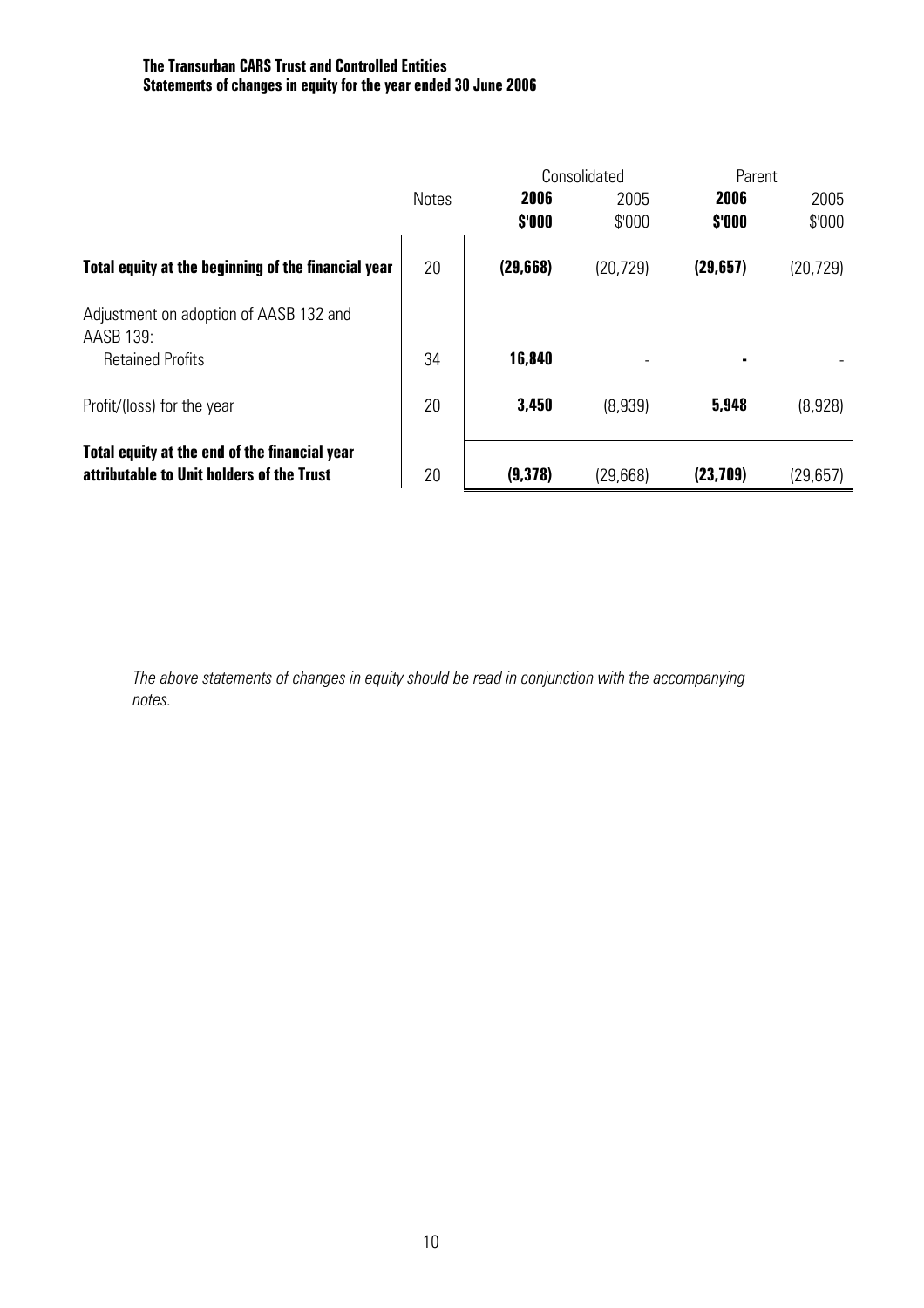#### **The Transurban CARS Trust and Controlled Entities Statements of changes in equity for the year ended 30 June 2006**

|                                                     |              |           | Consolidated |           | Parent    |  |
|-----------------------------------------------------|--------------|-----------|--------------|-----------|-----------|--|
|                                                     | <b>Notes</b> | 2006      | 2005         | 2006      | 2005      |  |
|                                                     |              | \$'000    | \$'000       | \$'000    | \$'000    |  |
| Total equity at the beginning of the financial year | 20           | (29, 668) | (20, 729)    | (29, 657) | (20, 729) |  |
| Adjustment on adoption of AASB 132 and<br>AASB 139: |              |           |              |           |           |  |
| <b>Retained Profits</b>                             | 34           | 16,840    |              |           |           |  |
| Profit/(loss) for the year                          | 20           | 3,450     | (8,939)      | 5,948     | (8,928)   |  |
| Total equity at the end of the financial year       |              |           |              |           |           |  |
| attributable to Unit holders of the Trust           | 20           | (9,378)   | (29,668)     | (23, 709) | (29, 657) |  |

 *The above statements of changes in equity should be read in conjunction with the accompanying notes.*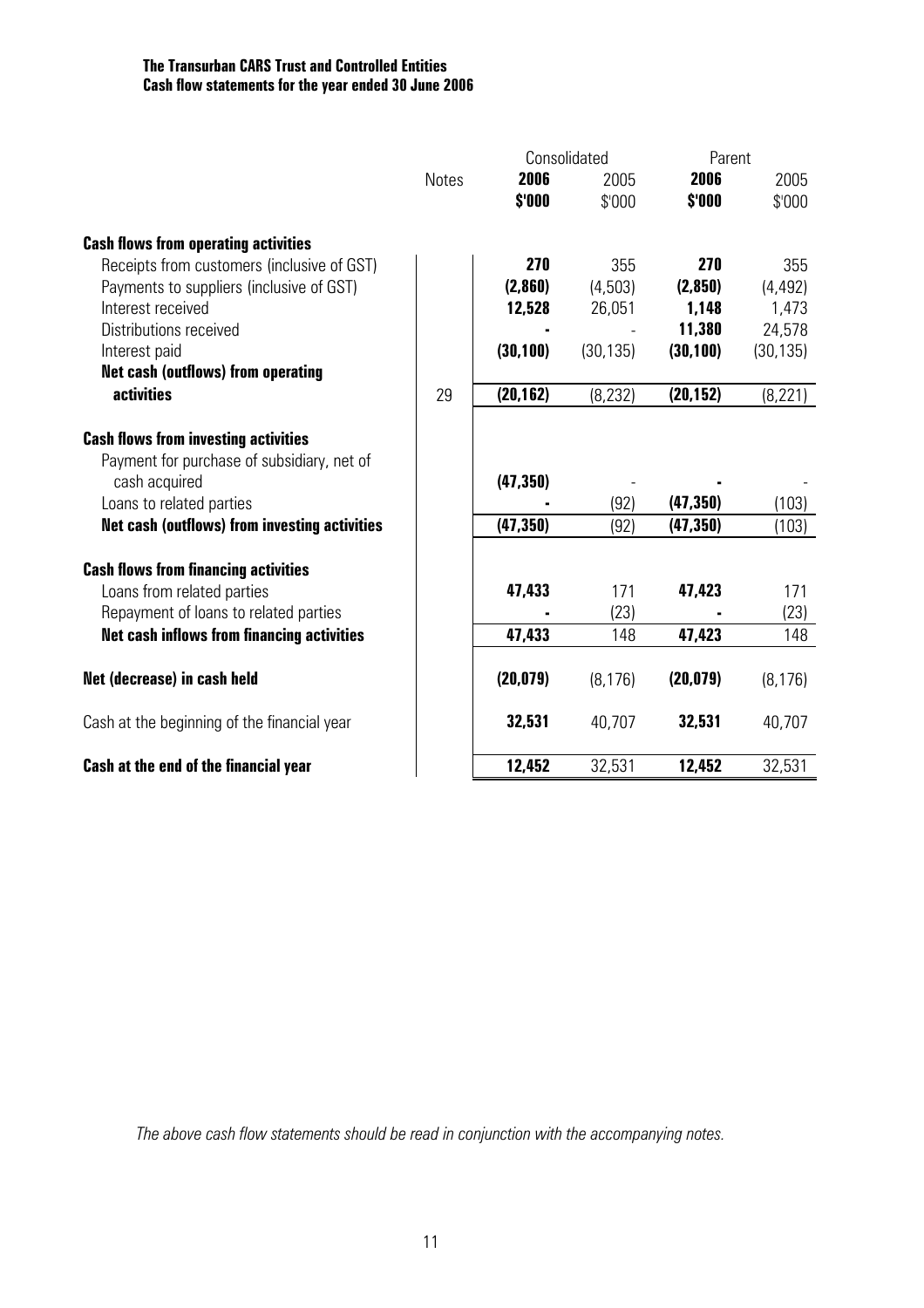#### **The Transurban CARS Trust and Controlled Entities Cash flow statements for the year ended 30 June 2006**

|                                                                     |              | Consolidated |             |           | Parent      |  |
|---------------------------------------------------------------------|--------------|--------------|-------------|-----------|-------------|--|
|                                                                     | <b>Notes</b> | 2006         | 2005        | 2006      | 2005        |  |
|                                                                     |              | \$'000       | \$'000      | \$'000    | \$'000      |  |
| <b>Cash flows from operating activities</b>                         |              |              |             |           |             |  |
| Receipts from customers (inclusive of GST)                          |              | 270          | 355         | 270       | 355         |  |
| Payments to suppliers (inclusive of GST)                            |              | (2,860)      | (4,503)     | (2,850)   | (4, 492)    |  |
| Interest received                                                   |              | 12,528       | 26,051      | 1,148     | 1,473       |  |
| Distributions received                                              |              |              |             | 11,380    | 24,578      |  |
| Interest paid                                                       |              | (30, 100)    | (30, 135)   | (30, 100) | (30, 135)   |  |
| <b>Net cash (outflows) from operating</b><br><b>activities</b>      | 29           | (20, 162)    | (8, 232)    | (20, 152) | (8, 221)    |  |
|                                                                     |              |              |             |           |             |  |
| <b>Cash flows from investing activities</b>                         |              |              |             |           |             |  |
| Payment for purchase of subsidiary, net of                          |              |              |             |           |             |  |
| cash acquired                                                       |              | (47, 350)    |             |           |             |  |
| Loans to related parties                                            |              |              | (92)        | (47, 350) | (103)       |  |
| <b>Net cash (outflows) from investing activities</b>                |              | (47, 350)    | (92)        | (47, 350) | (103)       |  |
|                                                                     |              |              |             |           |             |  |
| <b>Cash flows from financing activities</b>                         |              |              |             | 47,423    |             |  |
| Loans from related parties<br>Repayment of loans to related parties |              | 47,433       | 171<br>(23) |           | 171<br>(23) |  |
| <b>Net cash inflows from financing activities</b>                   |              | 47,433       | 148         | 47,423    | 148         |  |
|                                                                     |              |              |             |           |             |  |
| Net (decrease) in cash held                                         |              | (20, 079)    | (8, 176)    | (20, 079) | (8, 176)    |  |
| Cash at the beginning of the financial year                         |              | 32,531       | 40,707      | 32,531    | 40,707      |  |
| Cash at the end of the financial year                               |              | 12,452       | 32,531      | 12,452    | 32,531      |  |

*The above cash flow statements should be read in conjunction with the accompanying notes.*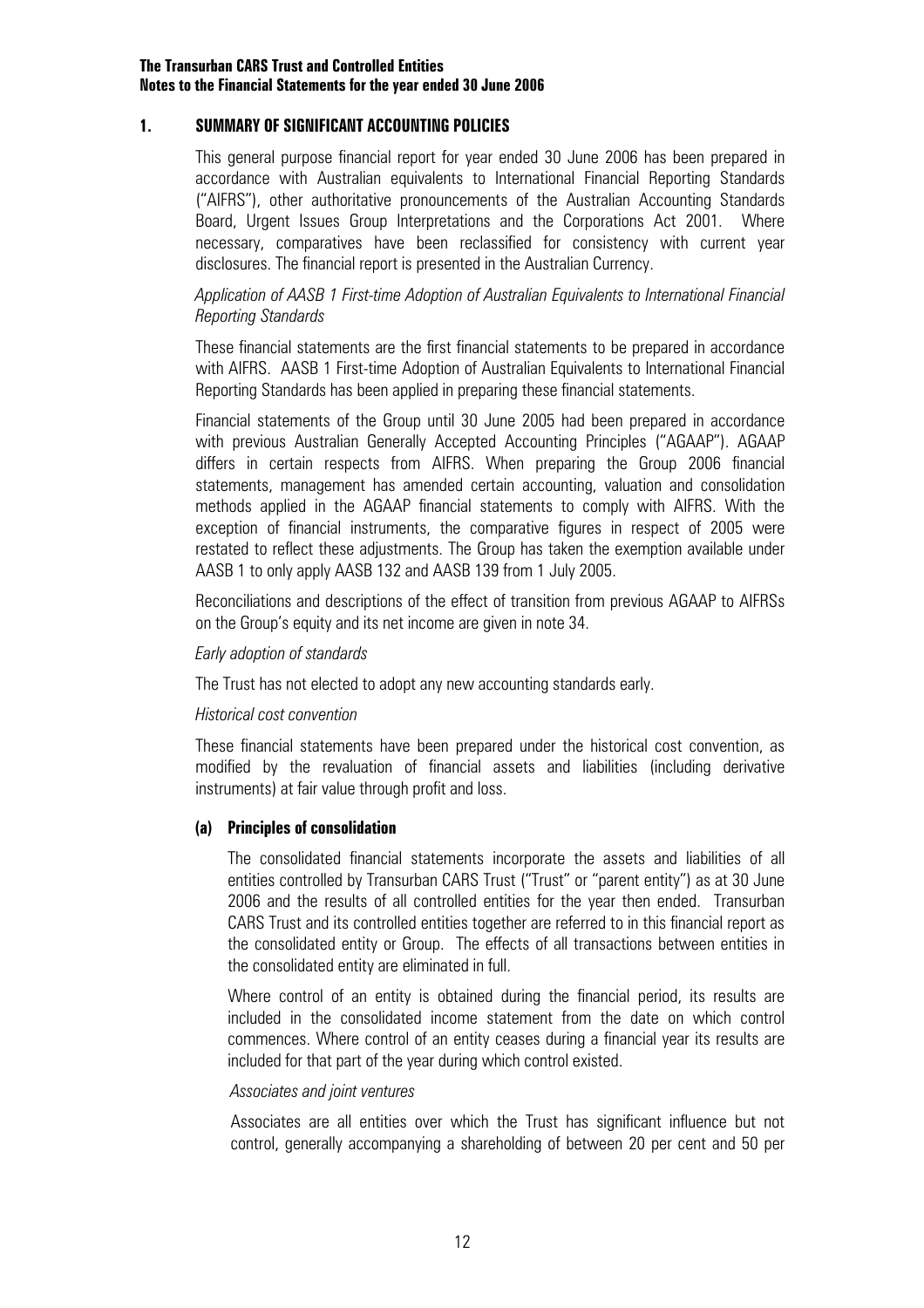#### **1. SUMMARY OF SIGNIFICANT ACCOUNTING POLICIES**

This general purpose financial report for year ended 30 June 2006 has been prepared in accordance with Australian equivalents to International Financial Reporting Standards ("AIFRS"), other authoritative pronouncements of the Australian Accounting Standards Board, Urgent Issues Group Interpretations and the Corporations Act 2001. Where necessary, comparatives have been reclassified for consistency with current year disclosures. The financial report is presented in the Australian Currency.

#### *Application of AASB 1 First-time Adoption of Australian Equivalents to International Financial Reporting Standards*

These financial statements are the first financial statements to be prepared in accordance with AIFRS. AASB 1 First-time Adoption of Australian Equivalents to International Financial Reporting Standards has been applied in preparing these financial statements.

Financial statements of the Group until 30 June 2005 had been prepared in accordance with previous Australian Generally Accepted Accounting Principles ("AGAAP"). AGAAP differs in certain respects from AIFRS. When preparing the Group 2006 financial statements, management has amended certain accounting, valuation and consolidation methods applied in the AGAAP financial statements to comply with AIFRS. With the exception of financial instruments, the comparative figures in respect of 2005 were restated to reflect these adjustments. The Group has taken the exemption available under AASB 1 to only apply AASB 132 and AASB 139 from 1 July 2005.

Reconciliations and descriptions of the effect of transition from previous AGAAP to AIFRSs on the Group's equity and its net income are given in note 34.

#### *Early adoption of standards*

The Trust has not elected to adopt any new accounting standards early.

#### *Historical cost convention*

These financial statements have been prepared under the historical cost convention, as modified by the revaluation of financial assets and liabilities (including derivative instruments) at fair value through profit and loss.

#### **(a) Principles of consolidation**

 The consolidated financial statements incorporate the assets and liabilities of all entities controlled by Transurban CARS Trust ("Trust" or "parent entity") as at 30 June 2006 and the results of all controlled entities for the year then ended. Transurban CARS Trust and its controlled entities together are referred to in this financial report as the consolidated entity or Group. The effects of all transactions between entities in the consolidated entity are eliminated in full.

 Where control of an entity is obtained during the financial period, its results are included in the consolidated income statement from the date on which control commences. Where control of an entity ceases during a financial year its results are included for that part of the year during which control existed.

#### *Associates and joint ventures*

Associates are all entities over which the Trust has significant influence but not control, generally accompanying a shareholding of between 20 per cent and 50 per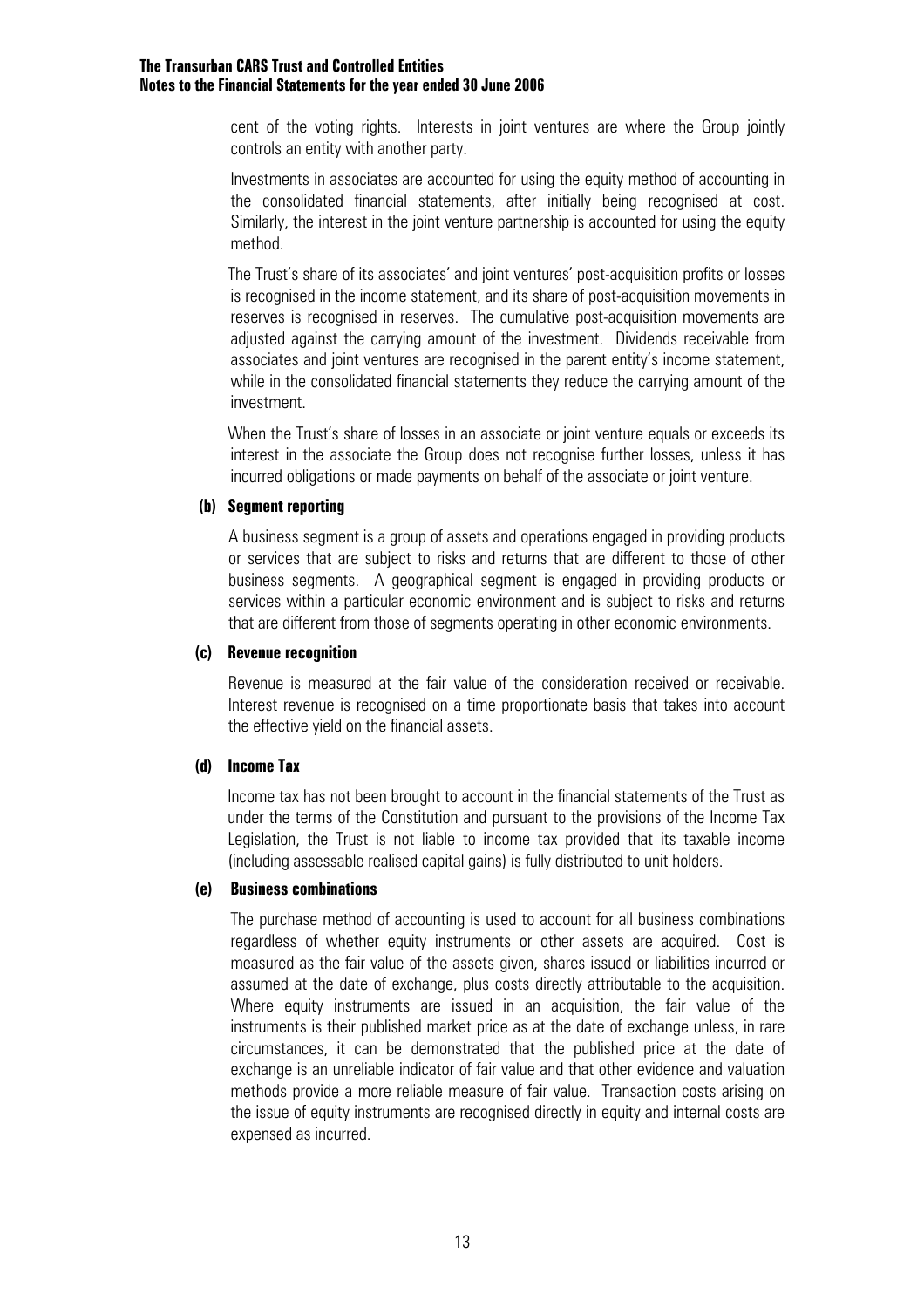cent of the voting rights. Interests in joint ventures are where the Group jointly controls an entity with another party.

Investments in associates are accounted for using the equity method of accounting in the consolidated financial statements, after initially being recognised at cost. Similarly, the interest in the joint venture partnership is accounted for using the equity method.

The Trust's share of its associates' and joint ventures' post-acquisition profits or losses is recognised in the income statement, and its share of post-acquisition movements in reserves is recognised in reserves. The cumulative post-acquisition movements are adjusted against the carrying amount of the investment. Dividends receivable from associates and joint ventures are recognised in the parent entity's income statement, while in the consolidated financial statements they reduce the carrying amount of the investment.

When the Trust's share of losses in an associate or joint venture equals or exceeds its interest in the associate the Group does not recognise further losses, unless it has incurred obligations or made payments on behalf of the associate or joint venture.

#### **(b) Segment reporting**

A business segment is a group of assets and operations engaged in providing products or services that are subject to risks and returns that are different to those of other business segments. A geographical segment is engaged in providing products or services within a particular economic environment and is subject to risks and returns that are different from those of segments operating in other economic environments.

#### **(c) Revenue recognition**

Revenue is measured at the fair value of the consideration received or receivable. Interest revenue is recognised on a time proportionate basis that takes into account the effective yield on the financial assets.

#### **(d) Income Tax**

 Income tax has not been brought to account in the financial statements of the Trust as under the terms of the Constitution and pursuant to the provisions of the Income Tax Legislation, the Trust is not liable to income tax provided that its taxable income (including assessable realised capital gains) is fully distributed to unit holders.

#### **(e) Business combinations**

 The purchase method of accounting is used to account for all business combinations regardless of whether equity instruments or other assets are acquired. Cost is measured as the fair value of the assets given, shares issued or liabilities incurred or assumed at the date of exchange, plus costs directly attributable to the acquisition. Where equity instruments are issued in an acquisition, the fair value of the instruments is their published market price as at the date of exchange unless, in rare circumstances, it can be demonstrated that the published price at the date of exchange is an unreliable indicator of fair value and that other evidence and valuation methods provide a more reliable measure of fair value. Transaction costs arising on the issue of equity instruments are recognised directly in equity and internal costs are expensed as incurred.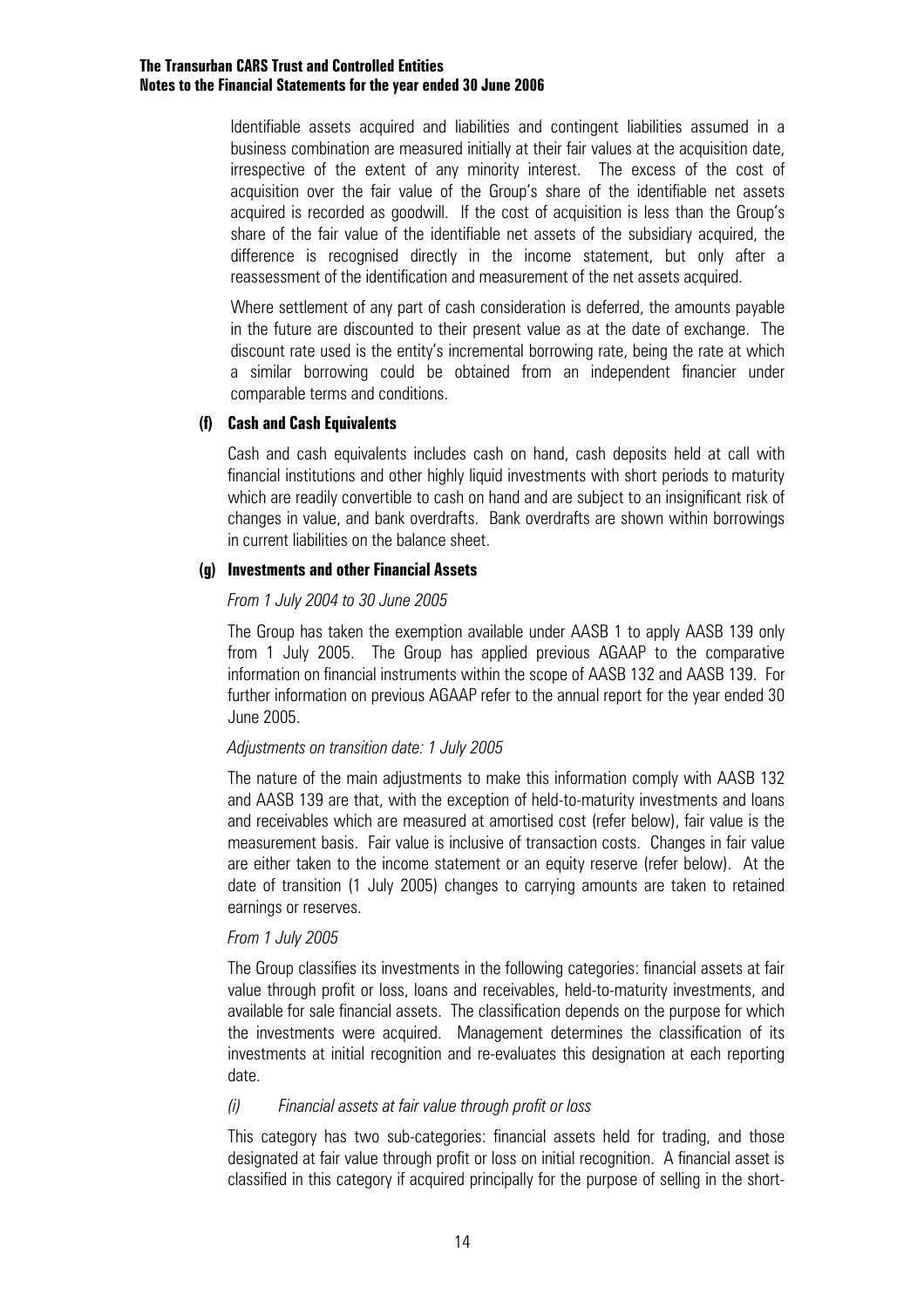Identifiable assets acquired and liabilities and contingent liabilities assumed in a business combination are measured initially at their fair values at the acquisition date, irrespective of the extent of any minority interest. The excess of the cost of acquisition over the fair value of the Group's share of the identifiable net assets acquired is recorded as goodwill. If the cost of acquisition is less than the Group's share of the fair value of the identifiable net assets of the subsidiary acquired, the difference is recognised directly in the income statement, but only after a reassessment of the identification and measurement of the net assets acquired.

 Where settlement of any part of cash consideration is deferred, the amounts payable in the future are discounted to their present value as at the date of exchange. The discount rate used is the entity's incremental borrowing rate, being the rate at which a similar borrowing could be obtained from an independent financier under comparable terms and conditions.

#### **(f) Cash and Cash Equivalents**

Cash and cash equivalents includes cash on hand, cash deposits held at call with financial institutions and other highly liquid investments with short periods to maturity which are readily convertible to cash on hand and are subject to an insignificant risk of changes in value, and bank overdrafts. Bank overdrafts are shown within borrowings in current liabilities on the balance sheet.

#### **(g) Investments and other Financial Assets**

#### *From 1 July 2004 to 30 June 2005*

The Group has taken the exemption available under AASB 1 to apply AASB 139 only from 1 July 2005. The Group has applied previous AGAAP to the comparative information on financial instruments within the scope of AASB 132 and AASB 139. For further information on previous AGAAP refer to the annual report for the year ended 30 June 2005.

#### *Adjustments on transition date: 1 July 2005*

The nature of the main adjustments to make this information comply with AASB 132 and AASB 139 are that, with the exception of held-to-maturity investments and loans and receivables which are measured at amortised cost (refer below), fair value is the measurement basis. Fair value is inclusive of transaction costs. Changes in fair value are either taken to the income statement or an equity reserve (refer below). At the date of transition (1 July 2005) changes to carrying amounts are taken to retained earnings or reserves.

#### *From 1 July 2005*

The Group classifies its investments in the following categories: financial assets at fair value through profit or loss, loans and receivables, held-to-maturity investments, and available for sale financial assets. The classification depends on the purpose for which the investments were acquired. Management determines the classification of its investments at initial recognition and re-evaluates this designation at each reporting date.

#### *(i) Financial assets at fair value through profit or loss*

This category has two sub-categories: financial assets held for trading, and those designated at fair value through profit or loss on initial recognition. A financial asset is classified in this category if acquired principally for the purpose of selling in the short-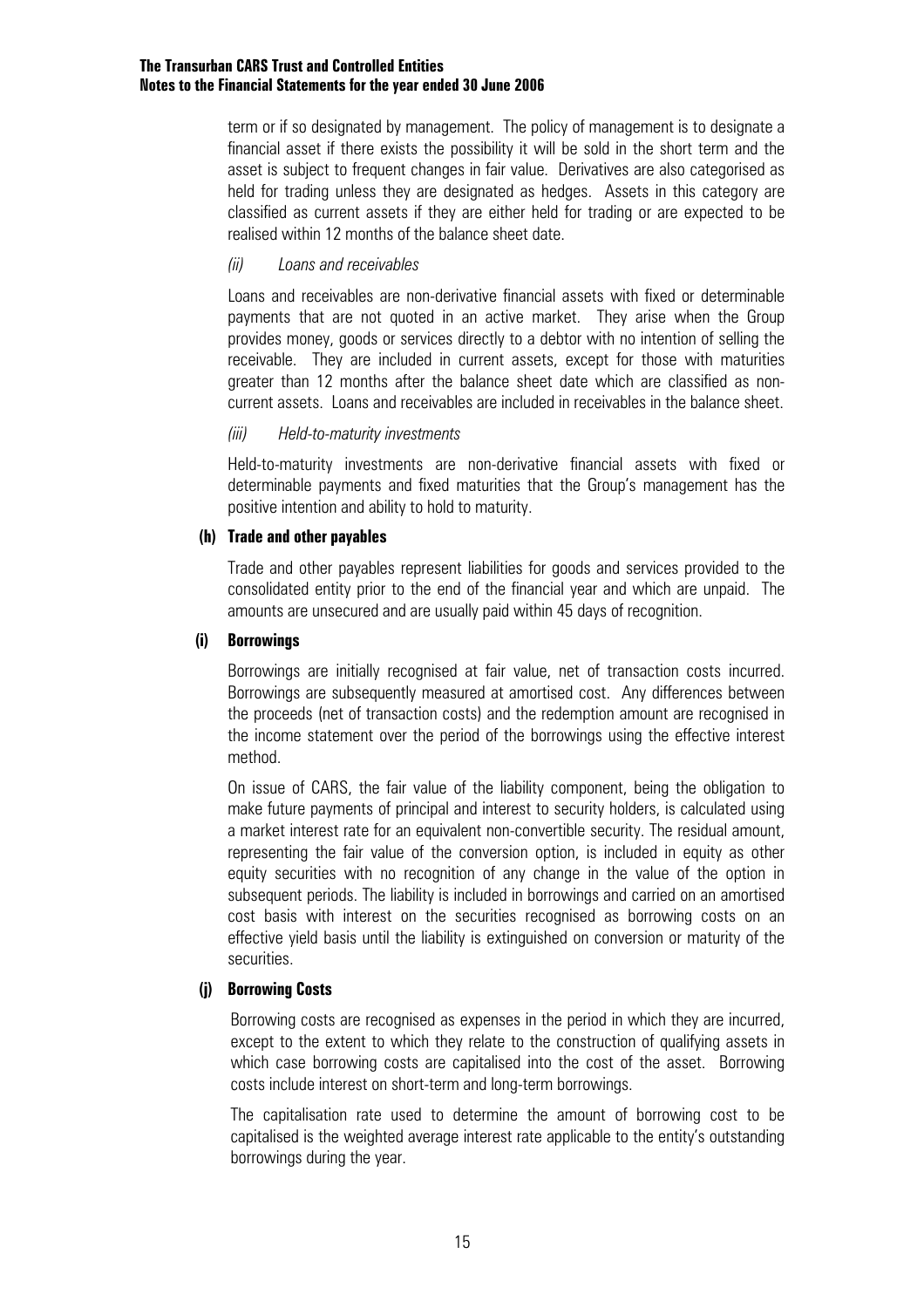term or if so designated by management. The policy of management is to designate a financial asset if there exists the possibility it will be sold in the short term and the asset is subject to frequent changes in fair value. Derivatives are also categorised as held for trading unless they are designated as hedges. Assets in this category are classified as current assets if they are either held for trading or are expected to be realised within 12 months of the balance sheet date.

#### *(ii) Loans and receivables*

Loans and receivables are non-derivative financial assets with fixed or determinable payments that are not quoted in an active market. They arise when the Group provides money, goods or services directly to a debtor with no intention of selling the receivable. They are included in current assets, except for those with maturities greater than 12 months after the balance sheet date which are classified as noncurrent assets. Loans and receivables are included in receivables in the balance sheet.

#### *(iii) Held-to-maturity investments*

Held-to-maturity investments are non-derivative financial assets with fixed or determinable payments and fixed maturities that the Group's management has the positive intention and ability to hold to maturity.

#### **(h) Trade and other payables**

Trade and other payables represent liabilities for goods and services provided to the consolidated entity prior to the end of the financial year and which are unpaid. The amounts are unsecured and are usually paid within 45 days of recognition.

#### **(i) Borrowings**

Borrowings are initially recognised at fair value, net of transaction costs incurred. Borrowings are subsequently measured at amortised cost. Any differences between the proceeds (net of transaction costs) and the redemption amount are recognised in the income statement over the period of the borrowings using the effective interest method.

On issue of CARS, the fair value of the liability component, being the obligation to make future payments of principal and interest to security holders, is calculated using a market interest rate for an equivalent non-convertible security. The residual amount, representing the fair value of the conversion option, is included in equity as other equity securities with no recognition of any change in the value of the option in subsequent periods. The liability is included in borrowings and carried on an amortised cost basis with interest on the securities recognised as borrowing costs on an effective yield basis until the liability is extinguished on conversion or maturity of the securities.

#### **(j) Borrowing Costs**

Borrowing costs are recognised as expenses in the period in which they are incurred, except to the extent to which they relate to the construction of qualifying assets in which case borrowing costs are capitalised into the cost of the asset. Borrowing costs include interest on short-term and long-term borrowings.

The capitalisation rate used to determine the amount of borrowing cost to be capitalised is the weighted average interest rate applicable to the entity's outstanding borrowings during the year.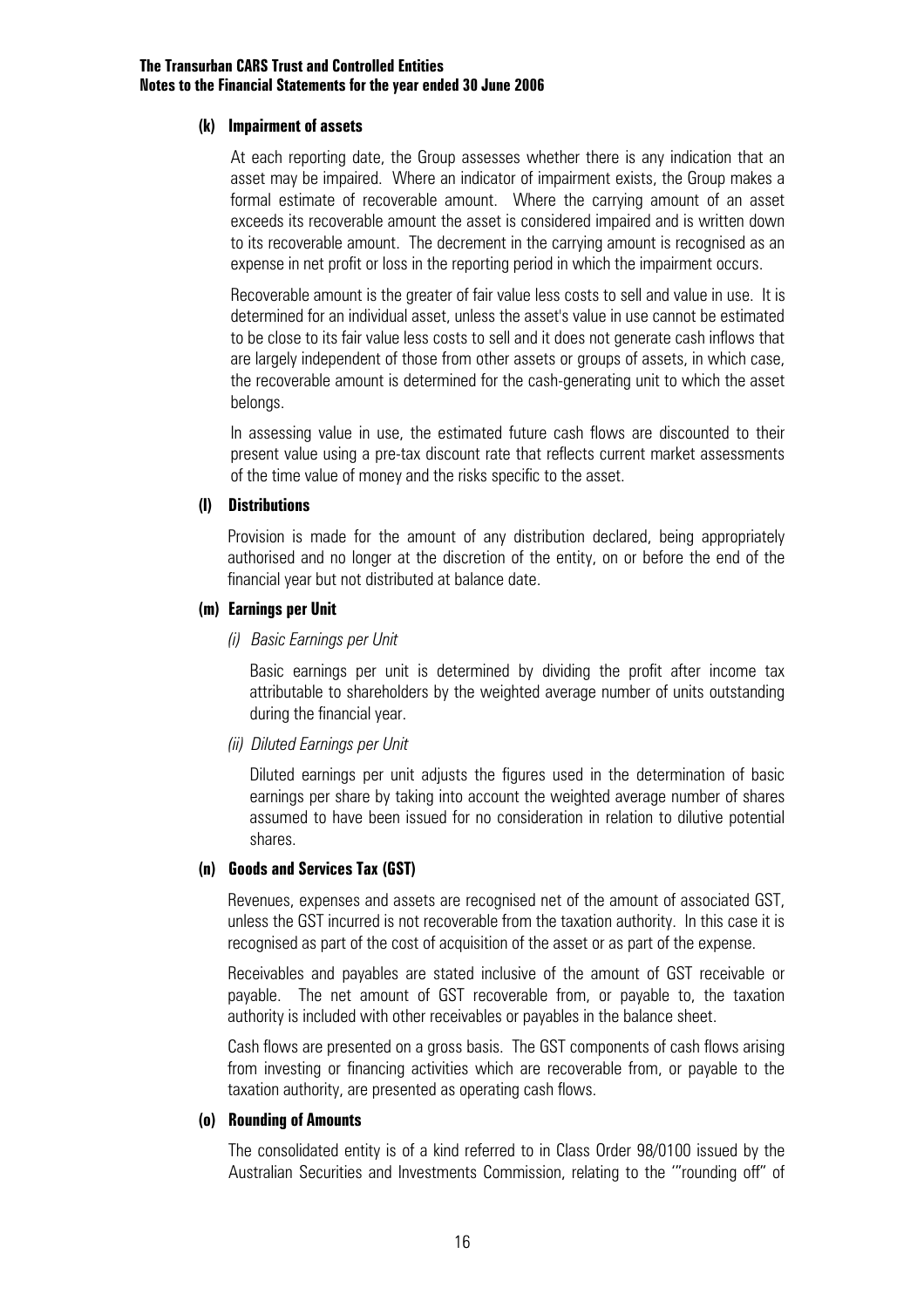#### **(k) Impairment of assets**

At each reporting date, the Group assesses whether there is any indication that an asset may be impaired. Where an indicator of impairment exists, the Group makes a formal estimate of recoverable amount. Where the carrying amount of an asset exceeds its recoverable amount the asset is considered impaired and is written down to its recoverable amount. The decrement in the carrying amount is recognised as an expense in net profit or loss in the reporting period in which the impairment occurs.

Recoverable amount is the greater of fair value less costs to sell and value in use. It is determined for an individual asset, unless the asset's value in use cannot be estimated to be close to its fair value less costs to sell and it does not generate cash inflows that are largely independent of those from other assets or groups of assets, in which case, the recoverable amount is determined for the cash-generating unit to which the asset belongs.

In assessing value in use, the estimated future cash flows are discounted to their present value using a pre-tax discount rate that reflects current market assessments of the time value of money and the risks specific to the asset.

#### **(l) Distributions**

Provision is made for the amount of any distribution declared, being appropriately authorised and no longer at the discretion of the entity, on or before the end of the financial year but not distributed at balance date.

#### **(m) Earnings per Unit**

#### *(i) Basic Earnings per Unit*

 Basic earnings per unit is determined by dividing the profit after income tax attributable to shareholders by the weighted average number of units outstanding during the financial year.

#### *(ii) Diluted Earnings per Unit*

Diluted earnings per unit adjusts the figures used in the determination of basic earnings per share by taking into account the weighted average number of shares assumed to have been issued for no consideration in relation to dilutive potential shares.

#### **(n) Goods and Services Tax (GST)**

Revenues, expenses and assets are recognised net of the amount of associated GST, unless the GST incurred is not recoverable from the taxation authority. In this case it is recognised as part of the cost of acquisition of the asset or as part of the expense.

Receivables and payables are stated inclusive of the amount of GST receivable or payable. The net amount of GST recoverable from, or payable to, the taxation authority is included with other receivables or payables in the balance sheet.

Cash flows are presented on a gross basis. The GST components of cash flows arising from investing or financing activities which are recoverable from, or payable to the taxation authority, are presented as operating cash flows.

#### **(o) Rounding of Amounts**

The consolidated entity is of a kind referred to in Class Order 98/0100 issued by the Australian Securities and Investments Commission, relating to the '"rounding off" of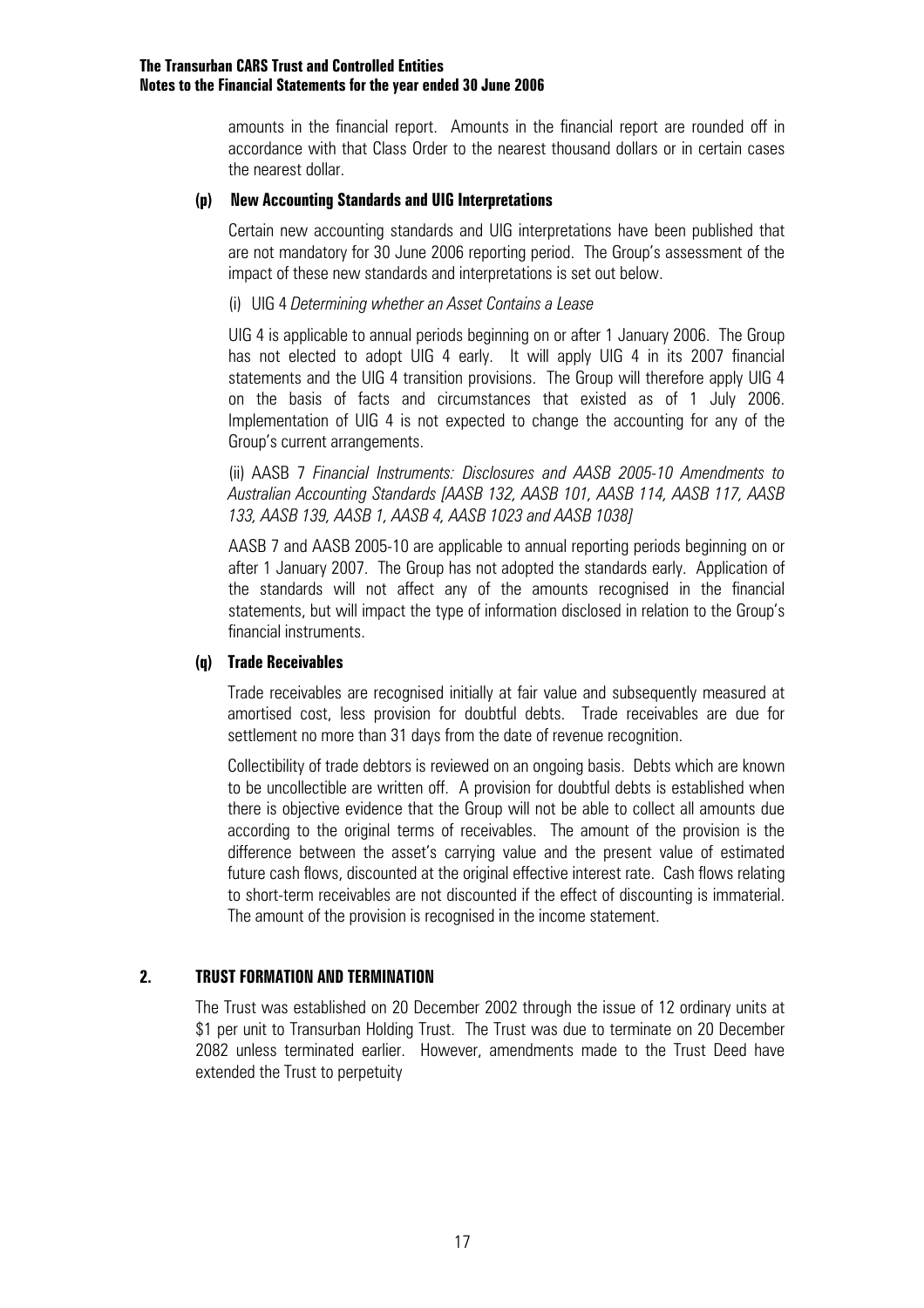amounts in the financial report. Amounts in the financial report are rounded off in accordance with that Class Order to the nearest thousand dollars or in certain cases the nearest dollar.

#### **(p) New Accounting Standards and UIG Interpretations**

Certain new accounting standards and UIG interpretations have been published that are not mandatory for 30 June 2006 reporting period. The Group's assessment of the impact of these new standards and interpretations is set out below.

#### (i) UIG 4 *Determining whether an Asset Contains a Lease*

 UIG 4 is applicable to annual periods beginning on or after 1 January 2006. The Group has not elected to adopt UIG 4 early. It will apply UIG 4 in its 2007 financial statements and the UIG 4 transition provisions. The Group will therefore apply UIG 4 on the basis of facts and circumstances that existed as of 1 July 2006. Implementation of UIG 4 is not expected to change the accounting for any of the Group's current arrangements.

 (ii) AASB 7 *Financial Instruments: Disclosures and AASB 2005-10 Amendments to Australian Accounting Standards [AASB 132, AASB 101, AASB 114, AASB 117, AASB 133, AASB 139, AASB 1, AASB 4, AASB 1023 and AASB 1038]* 

 AASB 7 and AASB 2005-10 are applicable to annual reporting periods beginning on or after 1 January 2007. The Group has not adopted the standards early. Application of the standards will not affect any of the amounts recognised in the financial statements, but will impact the type of information disclosed in relation to the Group's financial instruments.

#### **(q) Trade Receivables**

Trade receivables are recognised initially at fair value and subsequently measured at amortised cost, less provision for doubtful debts. Trade receivables are due for settlement no more than 31 days from the date of revenue recognition.

Collectibility of trade debtors is reviewed on an ongoing basis. Debts which are known to be uncollectible are written off. A provision for doubtful debts is established when there is objective evidence that the Group will not be able to collect all amounts due according to the original terms of receivables. The amount of the provision is the difference between the asset's carrying value and the present value of estimated future cash flows, discounted at the original effective interest rate. Cash flows relating to short-term receivables are not discounted if the effect of discounting is immaterial. The amount of the provision is recognised in the income statement.

#### **2. TRUST FORMATION AND TERMINATION**

The Trust was established on 20 December 2002 through the issue of 12 ordinary units at \$1 per unit to Transurban Holding Trust. The Trust was due to terminate on 20 December 2082 unless terminated earlier. However, amendments made to the Trust Deed have extended the Trust to perpetuity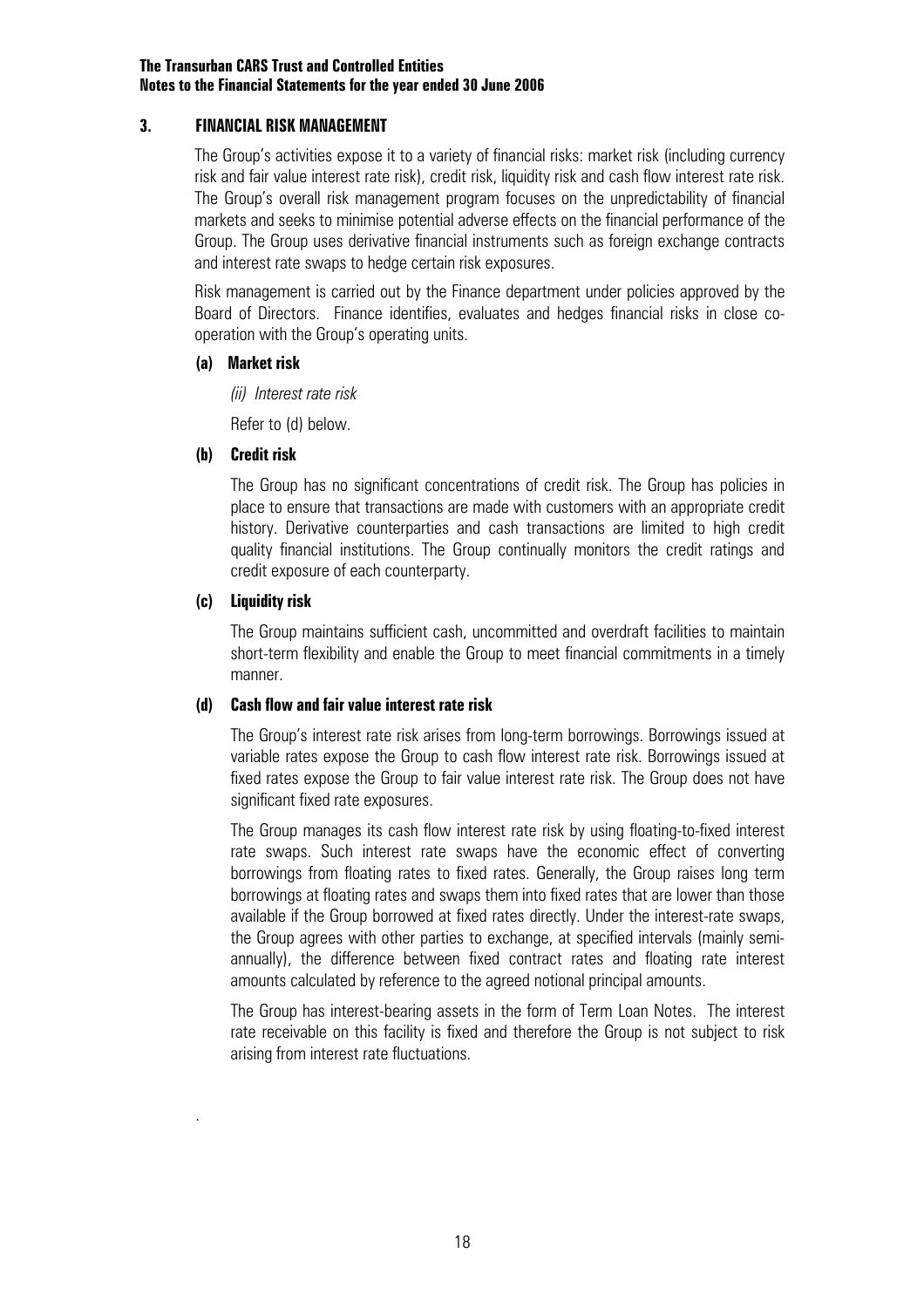#### **3. FINANCIAL RISK MANAGEMENT**

The Group's activities expose it to a variety of financial risks: market risk (including currency risk and fair value interest rate risk), credit risk, liquidity risk and cash flow interest rate risk. The Group's overall risk management program focuses on the unpredictability of financial markets and seeks to minimise potential adverse effects on the financial performance of the Group. The Group uses derivative financial instruments such as foreign exchange contracts and interest rate swaps to hedge certain risk exposures.

Risk management is carried out by the Finance department under policies approved by the Board of Directors. Finance identifies, evaluates and hedges financial risks in close cooperation with the Group's operating units.

#### **(a) Market risk**

*(ii) Interest rate risk* 

Refer to (d) below.

#### **(b) Credit risk**

The Group has no significant concentrations of credit risk. The Group has policies in place to ensure that transactions are made with customers with an appropriate credit history. Derivative counterparties and cash transactions are limited to high credit quality financial institutions. The Group continually monitors the credit ratings and credit exposure of each counterparty.

#### **(c) Liquidity risk**

.

The Group maintains sufficient cash, uncommitted and overdraft facilities to maintain short-term flexibility and enable the Group to meet financial commitments in a timely manner.

#### **(d) Cash flow and fair value interest rate risk**

The Group's interest rate risk arises from long-term borrowings. Borrowings issued at variable rates expose the Group to cash flow interest rate risk. Borrowings issued at fixed rates expose the Group to fair value interest rate risk. The Group does not have significant fixed rate exposures.

The Group manages its cash flow interest rate risk by using floating-to-fixed interest rate swaps. Such interest rate swaps have the economic effect of converting borrowings from floating rates to fixed rates. Generally, the Group raises long term borrowings at floating rates and swaps them into fixed rates that are lower than those available if the Group borrowed at fixed rates directly. Under the interest-rate swaps, the Group agrees with other parties to exchange, at specified intervals (mainly semiannually), the difference between fixed contract rates and floating rate interest amounts calculated by reference to the agreed notional principal amounts.

The Group has interest-bearing assets in the form of Term Loan Notes. The interest rate receivable on this facility is fixed and therefore the Group is not subject to risk arising from interest rate fluctuations.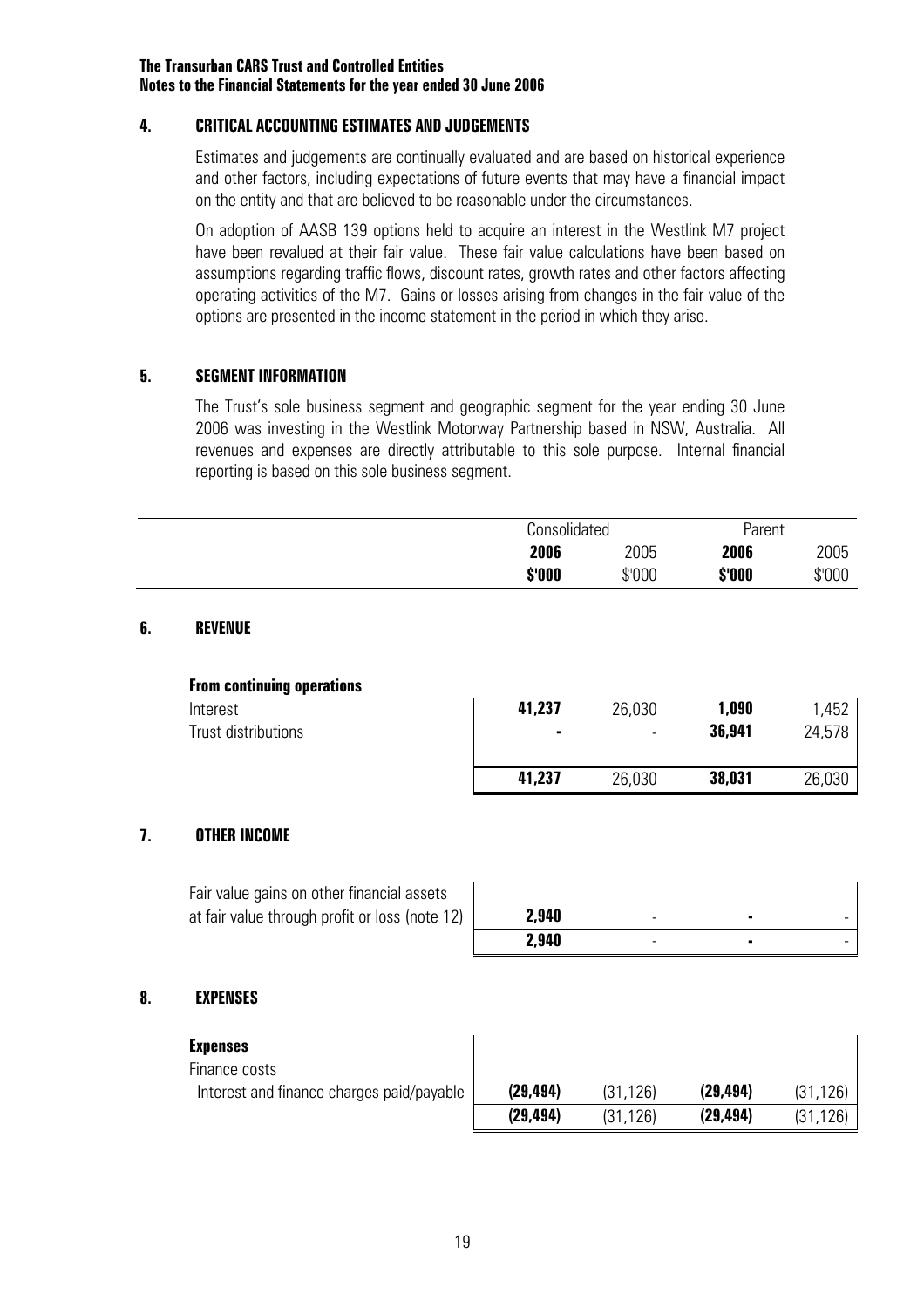#### **4. CRITICAL ACCOUNTING ESTIMATES AND JUDGEMENTS**

Estimates and judgements are continually evaluated and are based on historical experience and other factors, including expectations of future events that may have a financial impact on the entity and that are believed to be reasonable under the circumstances.

On adoption of AASB 139 options held to acquire an interest in the Westlink M7 project have been revalued at their fair value. These fair value calculations have been based on assumptions regarding traffic flows, discount rates, growth rates and other factors affecting operating activities of the M7. Gains or losses arising from changes in the fair value of the options are presented in the income statement in the period in which they arise.

#### **5. SEGMENT INFORMATION**

The Trust's sole business segment and geographic segment for the year ending 30 June 2006 was investing in the Westlink Motorway Partnership based in NSW, Australia. All revenues and expenses are directly attributable to this sole purpose. Internal financial reporting is based on this sole business segment.

|        | Consolidated |        | Parent |
|--------|--------------|--------|--------|
| 2006   | 2005         | 2006   | 2005   |
| \$'000 | \$'000       | \$'000 | \$'000 |

#### **6. REVENUE**

| <b>From continuing operations</b> |        |                          |        |        |
|-----------------------------------|--------|--------------------------|--------|--------|
| Interest                          | 41,237 | 26,030                   | 1,090  | 1,452  |
| Trust distributions               | ۰      | $\overline{\phantom{0}}$ | 36,941 | 24,578 |
|                                   | 41.237 | 26,030                   | 38,031 | 26,030 |

#### **7. OTHER INCOME**

| Fair value gains on other financial assets     |       |   |  |
|------------------------------------------------|-------|---|--|
| at fair value through profit or loss (note 12) | 2,940 | - |  |
|                                                | 2.940 | - |  |

#### **8. EXPENSES**

| <b>Expenses</b>                           |           |              |           |          |
|-------------------------------------------|-----------|--------------|-----------|----------|
| Finance costs                             |           |              |           |          |
| Interest and finance charges paid/payable | (29, 494) | (31, 126)    | (29, 494) | (31.126) |
|                                           | (29, 494) | .126)<br>(31 | (29, 494) | 126)     |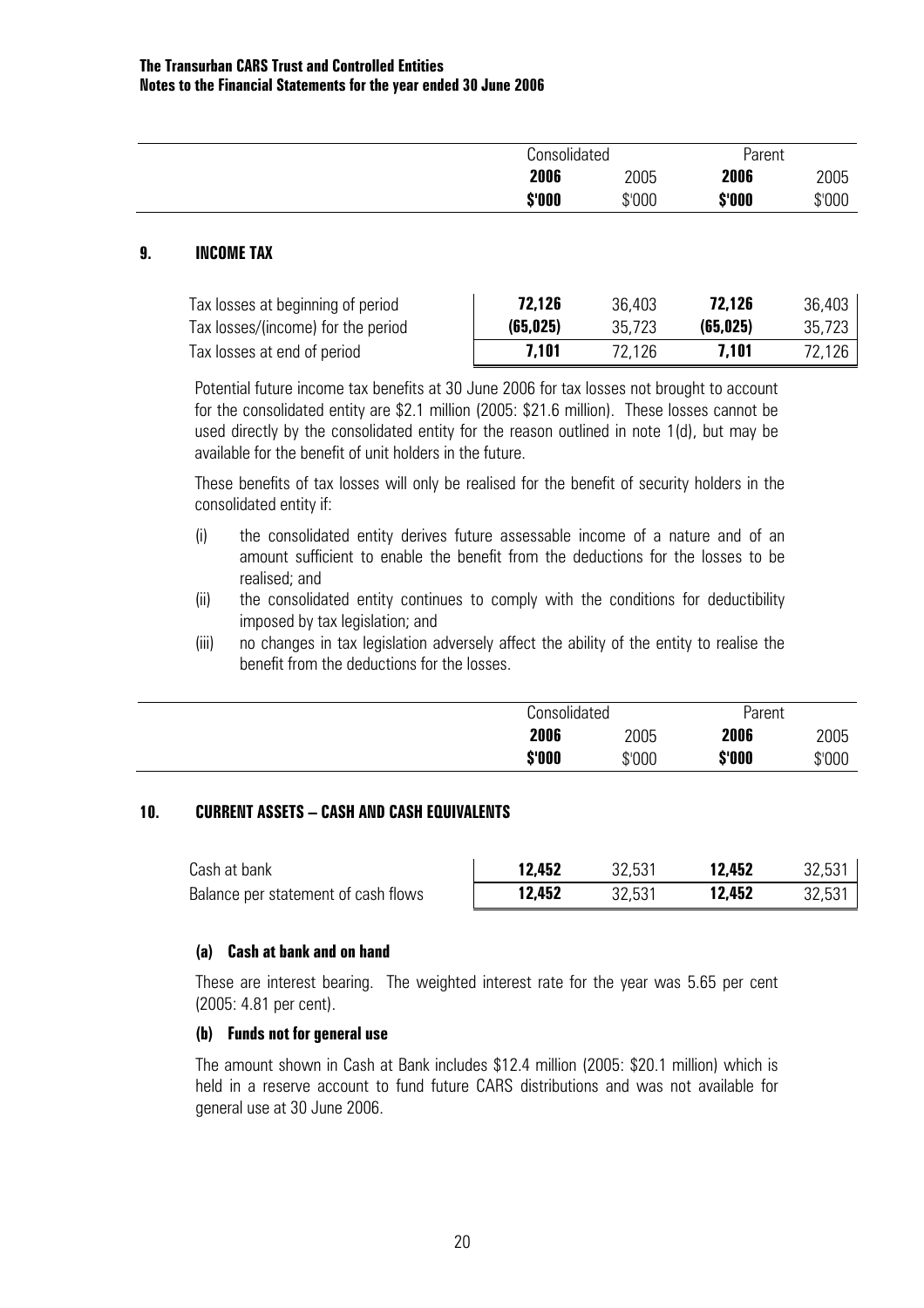|        | Consolidated | Parent           |
|--------|--------------|------------------|
| 2006   | 2005         | 2006<br>2005     |
| \$'000 | \$'000       | \$'000<br>\$'000 |

#### **9. INCOME TAX**

| Tax losses at beginning of period  | 72,126    | 36,403 | 72.126    | 36,403 |
|------------------------------------|-----------|--------|-----------|--------|
| Tax losses/(income) for the period | (65, 025) | 35,723 | (65, 025) | 35,723 |
| Tax losses at end of period        | 7.101     | 72.126 | 7.101     | 72,126 |

Potential future income tax benefits at 30 June 2006 for tax losses not brought to account for the consolidated entity are \$2.1 million (2005: \$21.6 million). These losses cannot be used directly by the consolidated entity for the reason outlined in note 1(d), but may be available for the benefit of unit holders in the future.

These benefits of tax losses will only be realised for the benefit of security holders in the consolidated entity if:

- (i) the consolidated entity derives future assessable income of a nature and of an amount sufficient to enable the benefit from the deductions for the losses to be realised; and
- (ii) the consolidated entity continues to comply with the conditions for deductibility imposed by tax legislation; and
- (iii) no changes in tax legislation adversely affect the ability of the entity to realise the benefit from the deductions for the losses.

| Consolidated |        | Parent |        |
|--------------|--------|--------|--------|
| 2006         | 2005   | 2006   | 2005   |
| \$'000       | \$'000 | \$'000 | \$'000 |

#### **10. CURRENT ASSETS – CASH AND CASH EQUIVALENTS**

| Cash at bank                        | 12,452 | 32.531 | 12,452 | 32,531 |
|-------------------------------------|--------|--------|--------|--------|
| Balance per statement of cash flows | 12,452 | 32.531 | 12,452 | 32,531 |

#### **(a) Cash at bank and on hand**

These are interest bearing. The weighted interest rate for the year was 5.65 per cent (2005: 4.81 per cent).

#### **(b) Funds not for general use**

The amount shown in Cash at Bank includes \$12.4 million (2005: \$20.1 million) which is held in a reserve account to fund future CARS distributions and was not available for general use at 30 June 2006.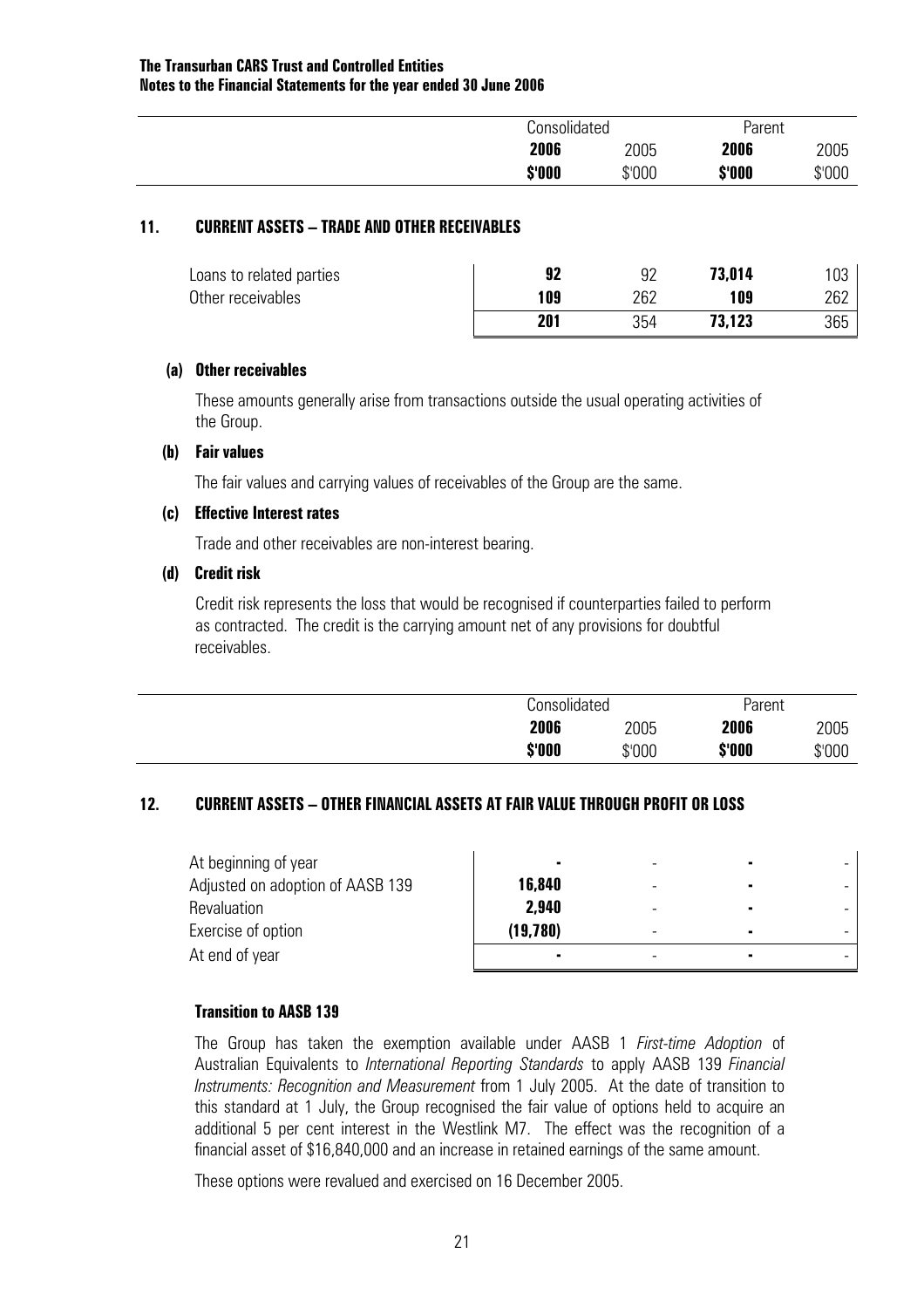| Consolidated |        | Parent |        |
|--------------|--------|--------|--------|
| 2006         | 2005   | 2006   | 2005   |
| \$'000       | \$'000 | \$'000 | \$'000 |

#### **11. CURRENT ASSETS – TRADE AND OTHER RECEIVABLES**

| Loans to related parties | 07  |     | 73,014 | U3  |
|--------------------------|-----|-----|--------|-----|
| Other receivables        | 109 | 262 | 109    | 262 |
|                          | 201 | 354 | 73,123 | 365 |

#### **(a) Other receivables**

 These amounts generally arise from transactions outside the usual operating activities of the Group.

#### **(b) Fair values**

The fair values and carrying values of receivables of the Group are the same.

#### **(c) Effective Interest rates**

Trade and other receivables are non-interest bearing.

#### **(d) Credit risk**

 Credit risk represents the loss that would be recognised if counterparties failed to perform as contracted. The credit is the carrying amount net of any provisions for doubtful receivables.

| Consolidated |        | Parent |        |
|--------------|--------|--------|--------|
| 2006         | 2005   | 2006   | 2005   |
| \$'000       | \$'000 | \$'000 | \$'000 |

#### **12. CURRENT ASSETS – OTHER FINANCIAL ASSETS AT FAIR VALUE THROUGH PROFIT OR LOSS**

| At beginning of year             |          |                          |  |
|----------------------------------|----------|--------------------------|--|
| Adjusted on adoption of AASB 139 | 16,840   | -                        |  |
| <b>Revaluation</b>               | 2,940    | -                        |  |
| Exercise of option               | (19,780) | $\overline{\phantom{a}}$ |  |
| At end of year                   |          |                          |  |

#### **Transition to AASB 139**

The Group has taken the exemption available under AASB 1 *First-time Adoption* of Australian Equivalents to *International Reporting Standards* to apply AASB 139 *Financial Instruments: Recognition and Measurement* from 1 July 2005. At the date of transition to this standard at 1 July, the Group recognised the fair value of options held to acquire an additional 5 per cent interest in the Westlink M7. The effect was the recognition of a financial asset of \$16,840,000 and an increase in retained earnings of the same amount.

These options were revalued and exercised on 16 December 2005.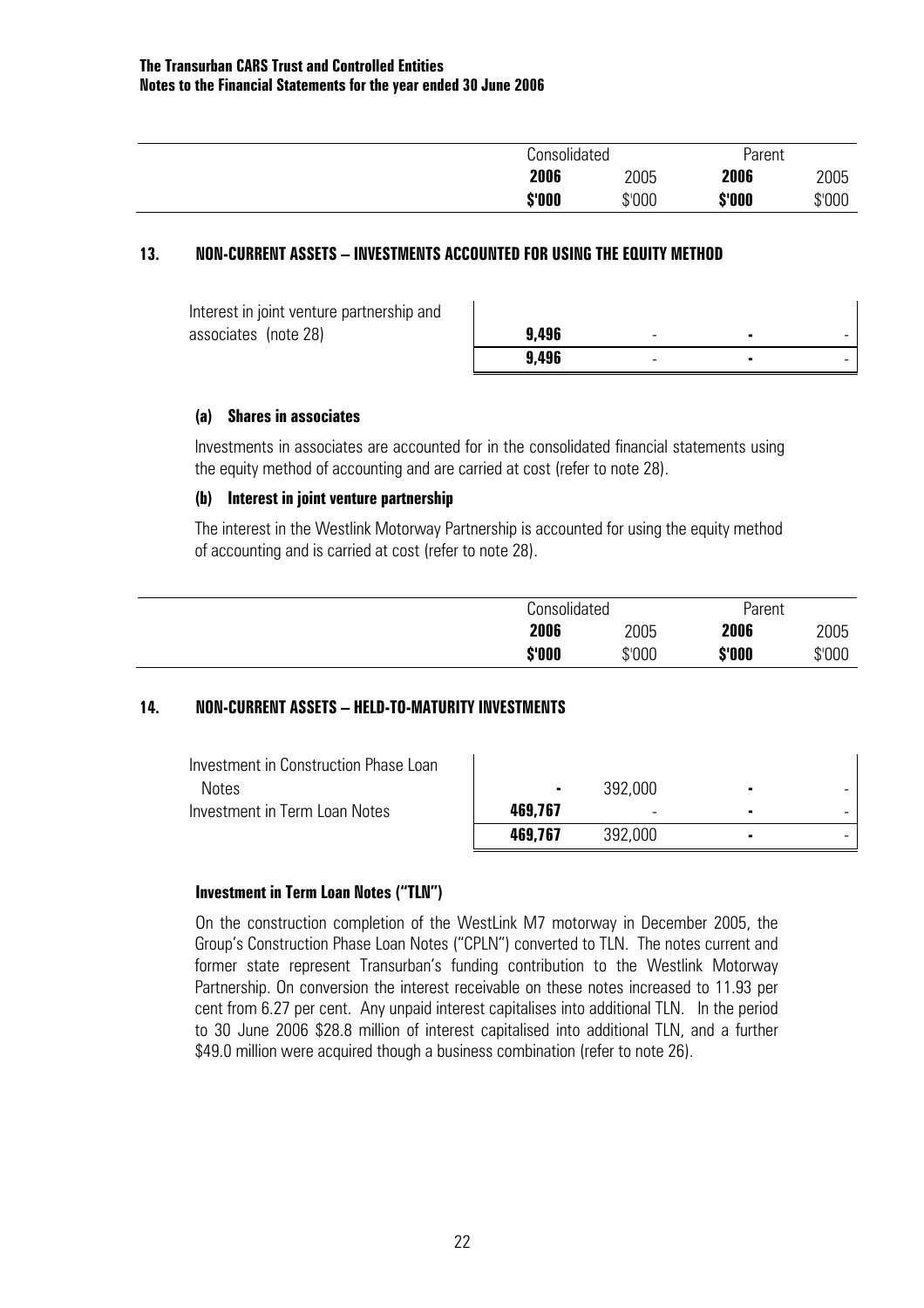| Consolidated |        | Parent |        |
|--------------|--------|--------|--------|
| 2006         | 2005   | 2006   | 2005   |
| \$'000       | \$'000 | \$'000 | \$'000 |

#### **13. NON-CURRENT ASSETS – INVESTMENTS ACCOUNTED FOR USING THE EQUITY METHOD**

 Interest in joint venture partnership and associates (note 28)

| 9,496 | $\overline{\phantom{0}}$ | ٠ | $\overline{\phantom{a}}$ |
|-------|--------------------------|---|--------------------------|
| 9,496 | -                        | ٠ | $\overline{\phantom{a}}$ |

 $\mathbf{I}$ 

#### **(a) Shares in associates**

Investments in associates are accounted for in the consolidated financial statements using the equity method of accounting and are carried at cost (refer to note 28).

#### **(b) Interest in joint venture partnership**

The interest in the Westlink Motorway Partnership is accounted for using the equity method of accounting and is carried at cost (refer to note 28).

| <b>Consolidated</b> |        | Parent |        |
|---------------------|--------|--------|--------|
| 2006                | 2005   | 2006   | 2005   |
| \$'000              | \$'000 | \$'000 | \$'000 |

#### **14. NON-CURRENT ASSETS – HELD-TO-MATURITY INVESTMENTS**

| Investment in Construction Phase Loan |         |                          |   |  |
|---------------------------------------|---------|--------------------------|---|--|
| <b>Notes</b>                          |         | 392,000                  | ٠ |  |
| Investment in Term Loan Notes         | 469,767 | $\overline{\phantom{0}}$ |   |  |
|                                       | 469,767 | 392,000                  |   |  |

#### **Investment in Term Loan Notes ("TLN")**

 On the construction completion of the WestLink M7 motorway in December 2005, the Group's Construction Phase Loan Notes ("CPLN") converted to TLN. The notes current and former state represent Transurban's funding contribution to the Westlink Motorway Partnership. On conversion the interest receivable on these notes increased to 11.93 per cent from 6.27 per cent. Any unpaid interest capitalises into additional TLN. In the period to 30 June 2006 \$28.8 million of interest capitalised into additional TLN, and a further \$49.0 million were acquired though a business combination (refer to note 26).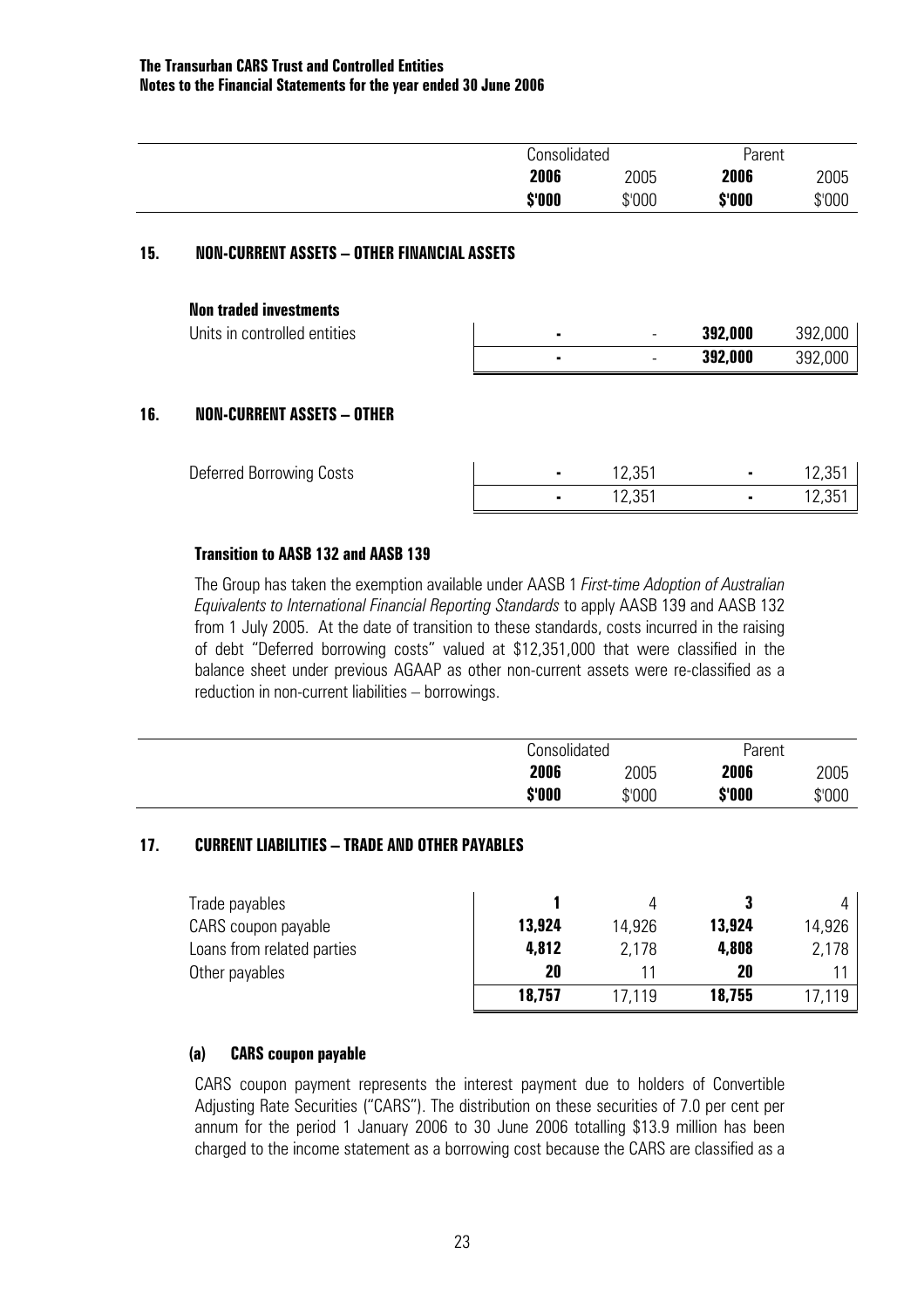|        | Consolidated |        | Parent |
|--------|--------------|--------|--------|
| 2006   | 2005         | 2006   | 2005   |
| \$'000 | \$'000       | \$'000 | \$'000 |

#### **15. NON-CURRENT ASSETS – OTHER FINANCIAL ASSETS**

| Units in controlled entities | $\overline{\phantom{0}}$ | 392,000 | 392,000 |
|------------------------------|--------------------------|---------|---------|
|                              | -                        | 392,000 | 392,000 |

#### **16. NON-CURRENT ASSETS – OTHER**

| Deferred Borrowing Costs | 12,351 | $12.35^{\circ}$ |
|--------------------------|--------|-----------------|
|                          | 12,351 | 12,35           |

#### **Transition to AASB 132 and AASB 139**

 The Group has taken the exemption available under AASB 1 *First-time Adoption of Australian Equivalents to International Financial Reporting Standards* to apply AASB 139 and AASB 132 from 1 July 2005. At the date of transition to these standards, costs incurred in the raising of debt "Deferred borrowing costs" valued at \$12,351,000 that were classified in the balance sheet under previous AGAAP as other non-current assets were re-classified as a reduction in non-current liabilities – borrowings.

|        | Consolidated |        | Parent |
|--------|--------------|--------|--------|
| 2006   | 2005         | 2006   | 2005   |
| \$'000 | \$'000       | \$'000 | \$'000 |

#### **17. CURRENT LIABILITIES – TRADE AND OTHER PAYABLES**

| Trade payables             |        |        |        |        |
|----------------------------|--------|--------|--------|--------|
| CARS coupon payable        | 13,924 | 14.926 | 13,924 | 14,926 |
| Loans from related parties | 4,812  | 2,178  | 4,808  | 2,178  |
| Other payables             | 20     |        | 20     |        |
|                            | 18,757 | 17.119 | 18,755 | 17.119 |

#### **(a) CARS coupon payable**

CARS coupon payment represents the interest payment due to holders of Convertible Adjusting Rate Securities ("CARS"). The distribution on these securities of 7.0 per cent per annum for the period 1 January 2006 to 30 June 2006 totalling \$13.9 million has been charged to the income statement as a borrowing cost because the CARS are classified as a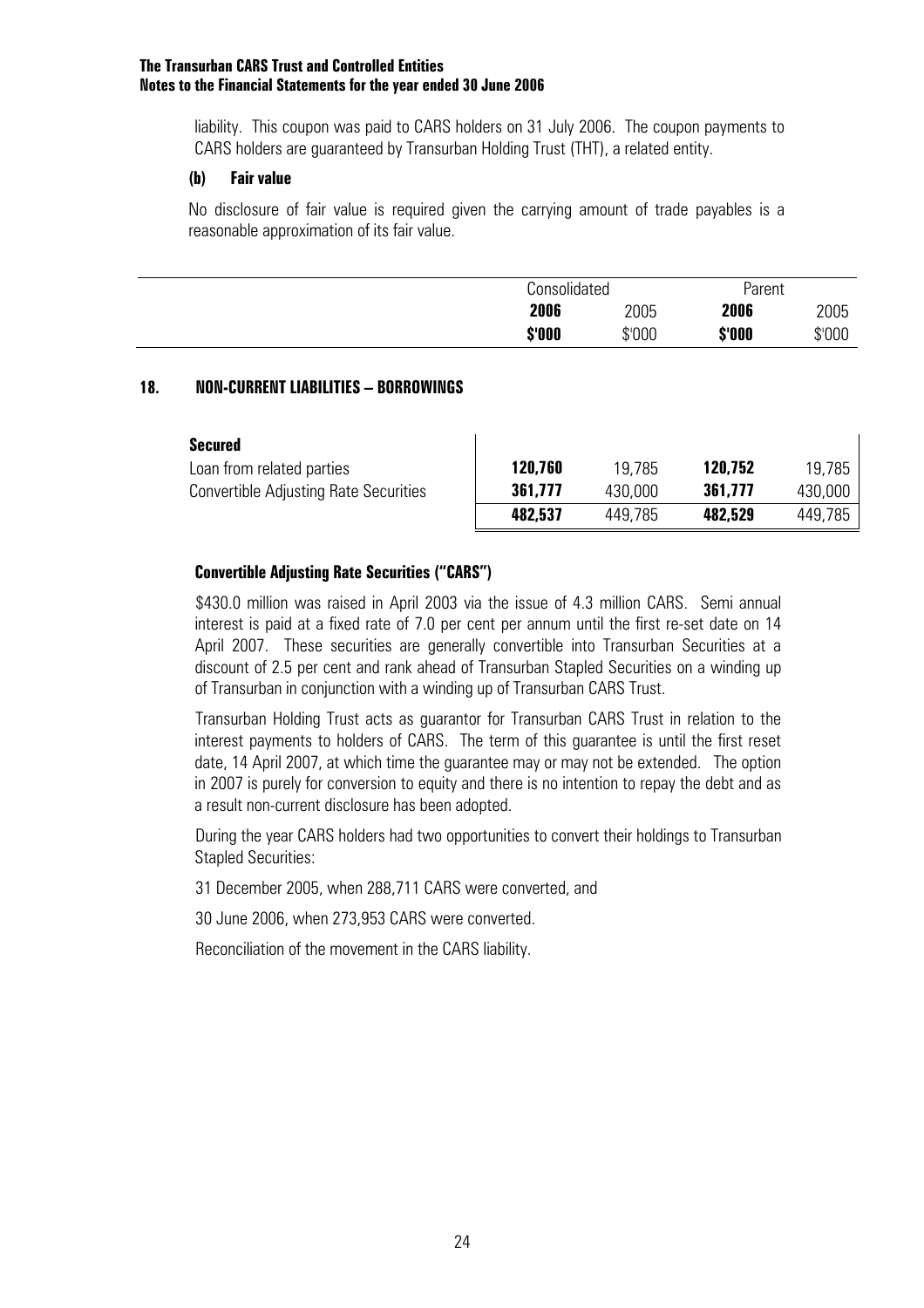liability. This coupon was paid to CARS holders on 31 July 2006. The coupon payments to CARS holders are guaranteed by Transurban Holding Trust (THT), a related entity.

#### **(b) Fair value**

No disclosure of fair value is required given the carrying amount of trade payables is a reasonable approximation of its fair value.

|        | Consolidated |        | Parent |
|--------|--------------|--------|--------|
| 2006   | 2005         | 2006   | 2005   |
| \$'000 | \$'000       | \$'000 | \$'000 |

#### **18. NON-CURRENT LIABILITIES – BORROWINGS**

| Secured                                      |         |         |         |         |
|----------------------------------------------|---------|---------|---------|---------|
| Loan from related parties                    | 120,760 | 19.785  | 120,752 | 19.785  |
| <b>Convertible Adjusting Rate Securities</b> | 361.777 | 430,000 | 361,777 | 430.000 |
|                                              | 482,537 | 449.785 | 482,529 | 449,785 |

#### **Convertible Adjusting Rate Securities ("CARS")**

\$430.0 million was raised in April 2003 via the issue of 4.3 million CARS. Semi annual interest is paid at a fixed rate of 7.0 per cent per annum until the first re-set date on 14 April 2007. These securities are generally convertible into Transurban Securities at a discount of 2.5 per cent and rank ahead of Transurban Stapled Securities on a winding up of Transurban in conjunction with a winding up of Transurban CARS Trust.

Transurban Holding Trust acts as guarantor for Transurban CARS Trust in relation to the interest payments to holders of CARS. The term of this guarantee is until the first reset date, 14 April 2007, at which time the guarantee may or may not be extended. The option in 2007 is purely for conversion to equity and there is no intention to repay the debt and as a result non-current disclosure has been adopted.

During the year CARS holders had two opportunities to convert their holdings to Transurban Stapled Securities:

31 December 2005, when 288,711 CARS were converted, and

30 June 2006, when 273,953 CARS were converted.

Reconciliation of the movement in the CARS liability.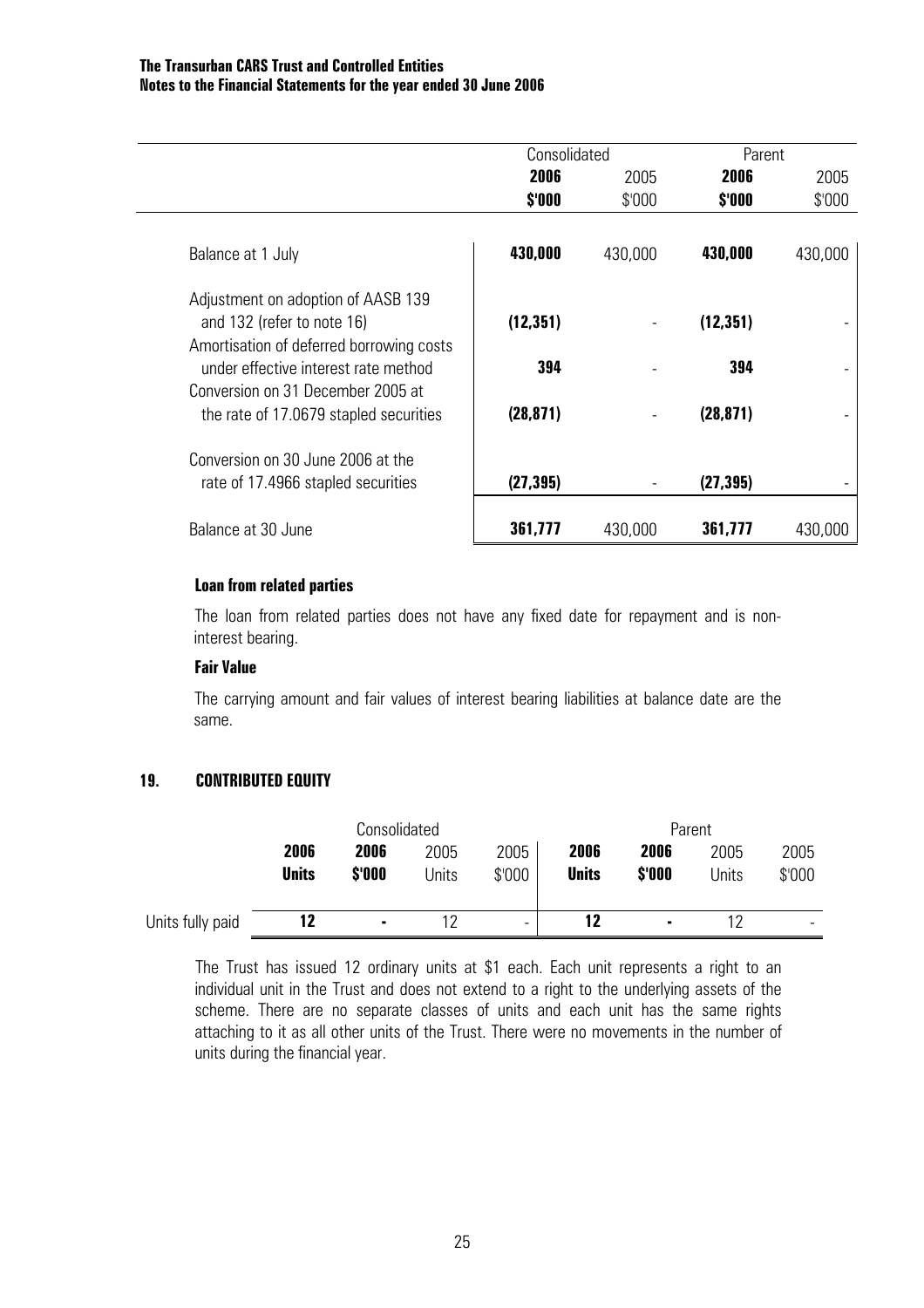|                                                                                  | Consolidated |         | Parent    |         |
|----------------------------------------------------------------------------------|--------------|---------|-----------|---------|
|                                                                                  | 2006         | 2005    | 2006      | 2005    |
|                                                                                  | \$'000       | \$'000  | \$'000    | \$'000  |
| Balance at 1 July                                                                | 430,000      | 430,000 | 430,000   | 430,000 |
| Adjustment on adoption of AASB 139<br>and 132 (refer to note 16)                 | (12, 351)    |         | (12, 351) |         |
| Amortisation of deferred borrowing costs<br>under effective interest rate method | 394          |         | 394       |         |
| Conversion on 31 December 2005 at<br>the rate of 17.0679 stapled securities      | (28, 871)    |         | (28, 871) |         |
| Conversion on 30 June 2006 at the                                                |              |         |           |         |
| rate of 17.4966 stapled securities                                               | (27, 395)    |         | (27, 395) |         |
| Balance at 30 June                                                               | 361,777      | 430,000 | 361,777   | 430,000 |

#### **Loan from related parties**

The loan from related parties does not have any fixed date for repayment and is noninterest bearing.

#### **Fair Value**

The carrying amount and fair values of interest bearing liabilities at balance date are the same.

#### **19. CONTRIBUTED EQUITY**

|                  | Consolidated |        |       | Parent |              |                |       |        |
|------------------|--------------|--------|-------|--------|--------------|----------------|-------|--------|
|                  | 2006         | 2006   | 2005  | 2005   | 2006         | 2006           | 2005  | 2005   |
|                  | <b>Units</b> | \$'000 | Units | \$'000 | <b>Units</b> | \$'000         | Units | \$'000 |
|                  |              |        |       |        |              |                |       |        |
| Units fully paid | 12           | ۰      | 12    | -      | 12           | $\blacksquare$ |       | -      |

The Trust has issued 12 ordinary units at \$1 each. Each unit represents a right to an individual unit in the Trust and does not extend to a right to the underlying assets of the scheme. There are no separate classes of units and each unit has the same rights attaching to it as all other units of the Trust. There were no movements in the number of units during the financial year.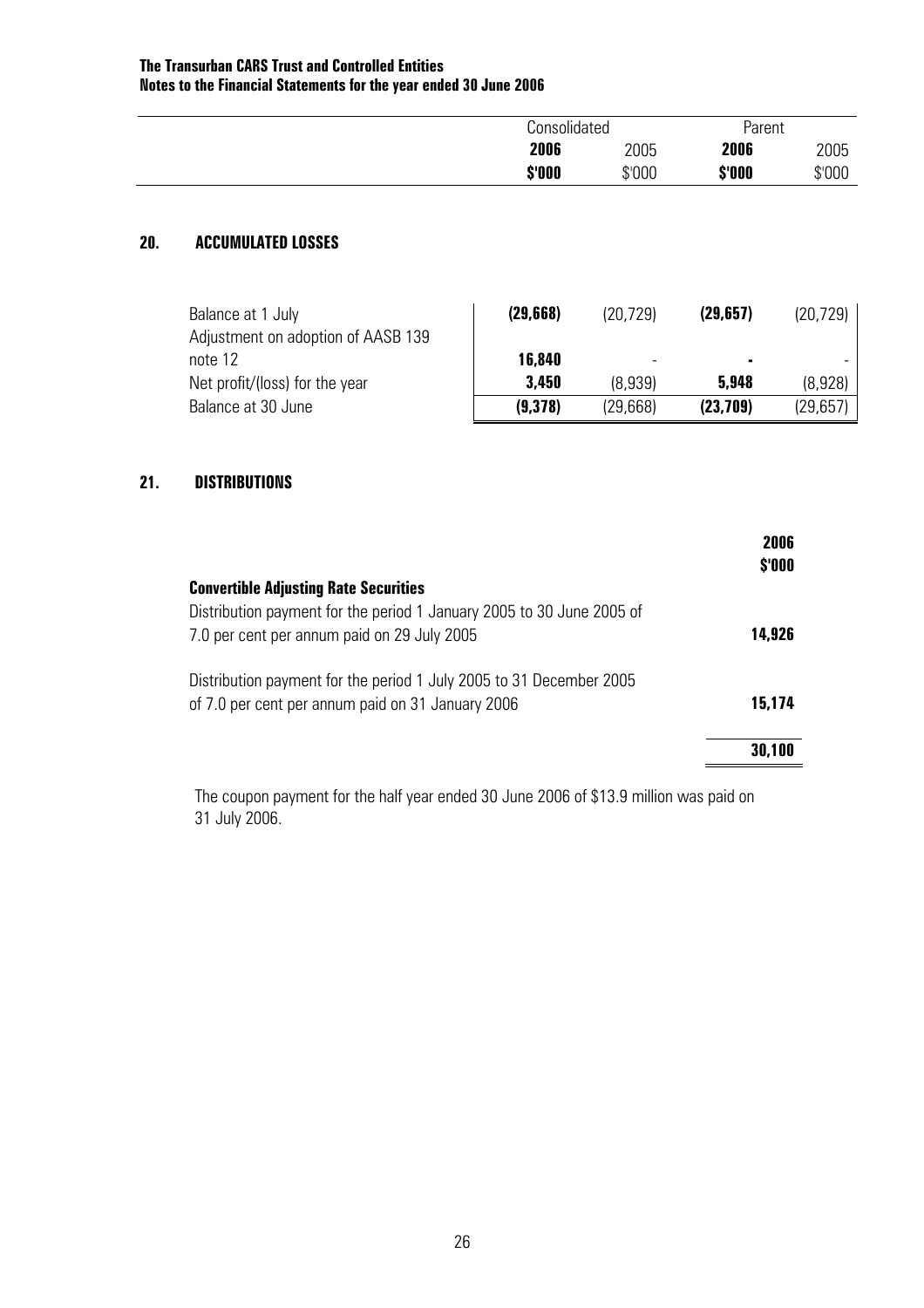|        | Consolidated |        | Parent |
|--------|--------------|--------|--------|
| 2006   | 2005         | 2006   | 2005   |
| \$'000 | \$'000       | \$'000 | \$'000 |

#### **20. ACCUMULATED LOSSES**

| Balance at 1 July<br>Adjustment on adoption of AASB 139 | (29, 668) | (20, 729) | (29, 657) | (20, 729) |
|---------------------------------------------------------|-----------|-----------|-----------|-----------|
| note 12                                                 | 16,840    | -         | ٠         |           |
| Net profit/(loss) for the year                          | 3,450     | (8.939)   | 5,948     | (8,928)   |
| Balance at 30 June                                      | (9,378)   | (29,668)  | (23,709)  | (29,657)  |

#### **21. DISTRIBUTIONS**

|                                                                       | 2006<br>\$'000 |
|-----------------------------------------------------------------------|----------------|
| <b>Convertible Adjusting Rate Securities</b>                          |                |
| Distribution payment for the period 1 January 2005 to 30 June 2005 of |                |
| 7.0 per cent per annum paid on 29 July 2005                           | 14,926         |
| Distribution payment for the period 1 July 2005 to 31 December 2005   |                |
| of 7.0 per cent per annum paid on 31 January 2006                     | 15.174         |
|                                                                       |                |
|                                                                       | 30,100         |

The coupon payment for the half year ended 30 June 2006 of \$13.9 million was paid on 31 July 2006.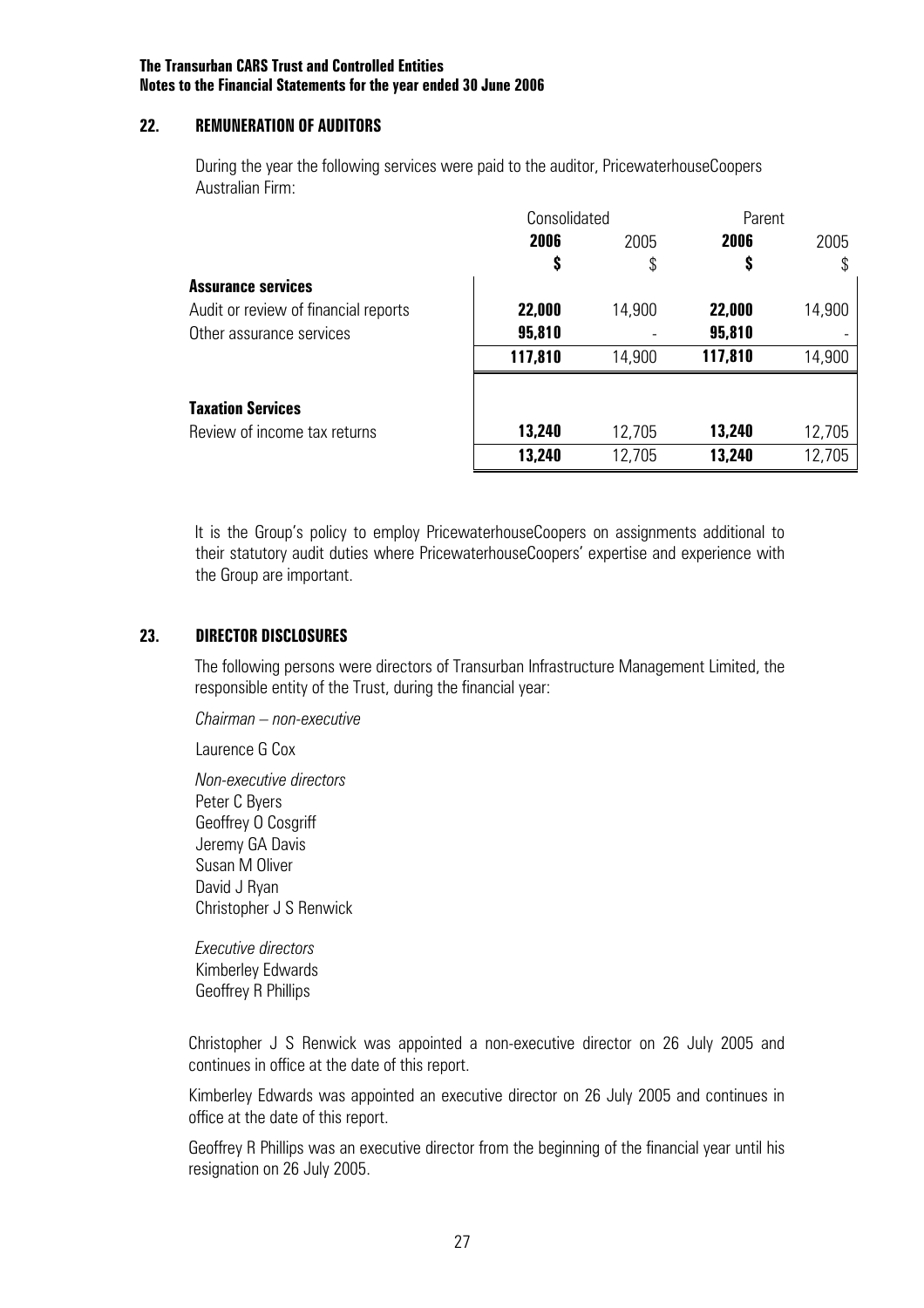#### **22. REMUNERATION OF AUDITORS**

 During the year the following services were paid to the auditor, PricewaterhouseCoopers Australian Firm:

|                                      |         | Consolidated |         | Parent |
|--------------------------------------|---------|--------------|---------|--------|
|                                      | 2006    | 2005         | 2006    | 2005   |
|                                      | S       | \$           | \$      | \$     |
| <b>Assurance services</b>            |         |              |         |        |
| Audit or review of financial reports | 22,000  | 14,900       | 22,000  | 14,900 |
| Other assurance services             | 95,810  |              | 95,810  |        |
|                                      | 117,810 | 14,900       | 117,810 | 14,900 |
| <b>Taxation Services</b>             |         |              |         |        |
| Review of income tax returns         | 13,240  | 12,705       | 13,240  | 12,705 |
|                                      | 13,240  | 12,705       | 13,240  | 12,705 |

It is the Group's policy to employ PricewaterhouseCoopers on assignments additional to their statutory audit duties where PricewaterhouseCoopers' expertise and experience with the Group are important.

#### **23. DIRECTOR DISCLOSURES**

The following persons were directors of Transurban Infrastructure Management Limited, the responsible entity of the Trust, during the financial year:

 *Chairman – non-executive* 

Laurence G Cox

 *Non-executive directors*  Peter C Byers Geoffrey O Cosgriff Jeremy GA Davis Susan M Oliver David J Ryan Christopher J S Renwick

 *Executive directors*  Kimberley Edwards Geoffrey R Phillips

Christopher J S Renwick was appointed a non-executive director on 26 July 2005 and continues in office at the date of this report.

Kimberley Edwards was appointed an executive director on 26 July 2005 and continues in office at the date of this report.

Geoffrey R Phillips was an executive director from the beginning of the financial year until his resignation on 26 July 2005.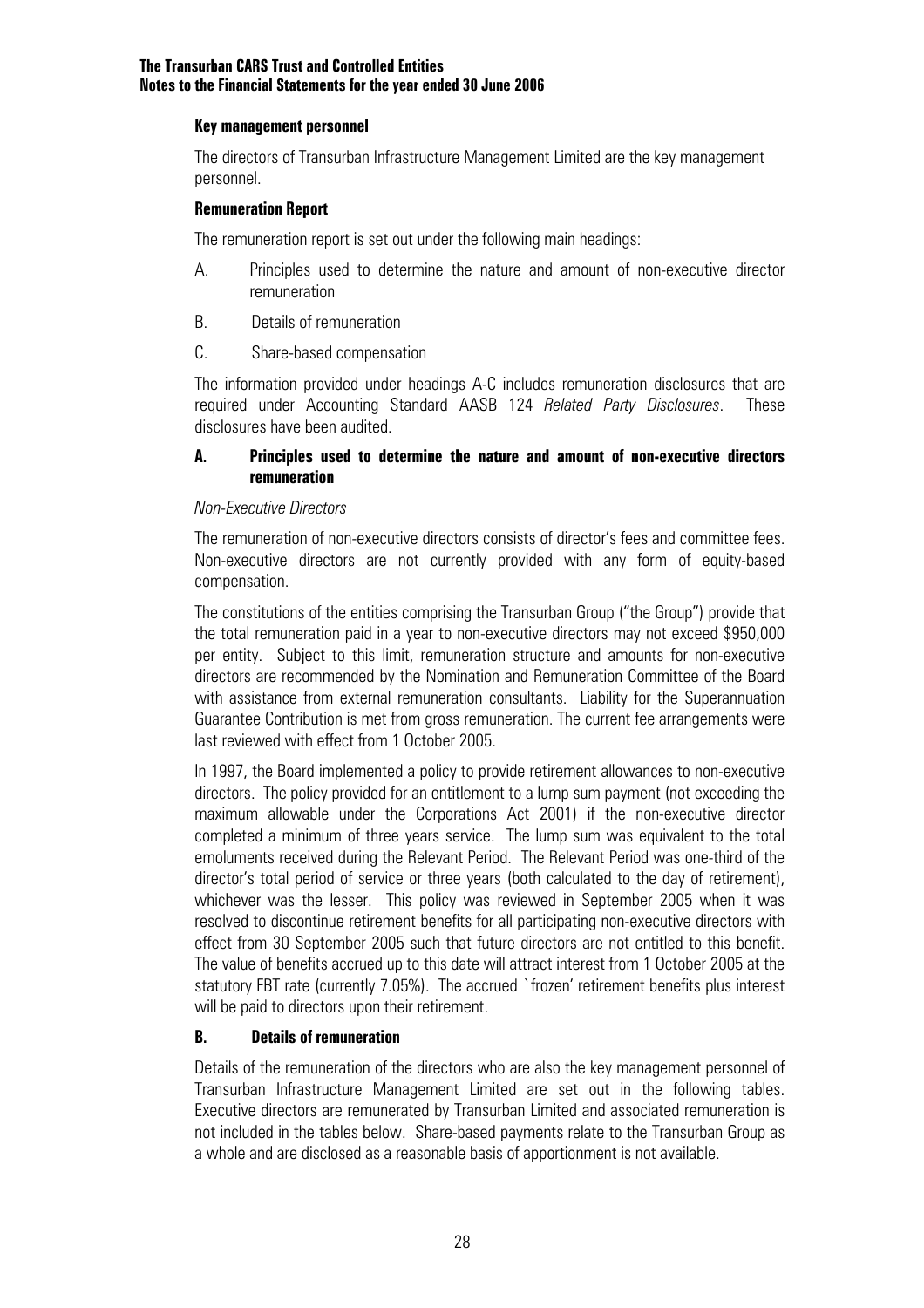#### **Key management personnel**

The directors of Transurban Infrastructure Management Limited are the key management personnel.

#### **Remuneration Report**

The remuneration report is set out under the following main headings:

- A. Principles used to determine the nature and amount of non-executive director remuneration
- B. Details of remuneration
- C. Share-based compensation

The information provided under headings A-C includes remuneration disclosures that are required under Accounting Standard AASB 124 *Related Party Disclosures*. These disclosures have been audited.

#### **A. Principles used to determine the nature and amount of non-executive directors remuneration**

#### *Non-Executive Directors*

The remuneration of non-executive directors consists of director's fees and committee fees. Non-executive directors are not currently provided with any form of equity-based compensation.

The constitutions of the entities comprising the Transurban Group ("the Group") provide that the total remuneration paid in a year to non-executive directors may not exceed \$950,000 per entity. Subject to this limit, remuneration structure and amounts for non-executive directors are recommended by the Nomination and Remuneration Committee of the Board with assistance from external remuneration consultants. Liability for the Superannuation Guarantee Contribution is met from gross remuneration. The current fee arrangements were last reviewed with effect from 1 October 2005.

In 1997, the Board implemented a policy to provide retirement allowances to non-executive directors. The policy provided for an entitlement to a lump sum payment (not exceeding the maximum allowable under the Corporations Act 2001) if the non-executive director completed a minimum of three years service. The lump sum was equivalent to the total emoluments received during the Relevant Period. The Relevant Period was one-third of the director's total period of service or three years (both calculated to the day of retirement), whichever was the lesser. This policy was reviewed in September 2005 when it was resolved to discontinue retirement benefits for all participating non-executive directors with effect from 30 September 2005 such that future directors are not entitled to this benefit. The value of benefits accrued up to this date will attract interest from 1 October 2005 at the statutory FBT rate (currently 7.05%). The accrued `frozen' retirement benefits plus interest will be paid to directors upon their retirement.

#### **B. Details of remuneration**

Details of the remuneration of the directors who are also the key management personnel of Transurban Infrastructure Management Limited are set out in the following tables. Executive directors are remunerated by Transurban Limited and associated remuneration is not included in the tables below. Share-based payments relate to the Transurban Group as a whole and are disclosed as a reasonable basis of apportionment is not available.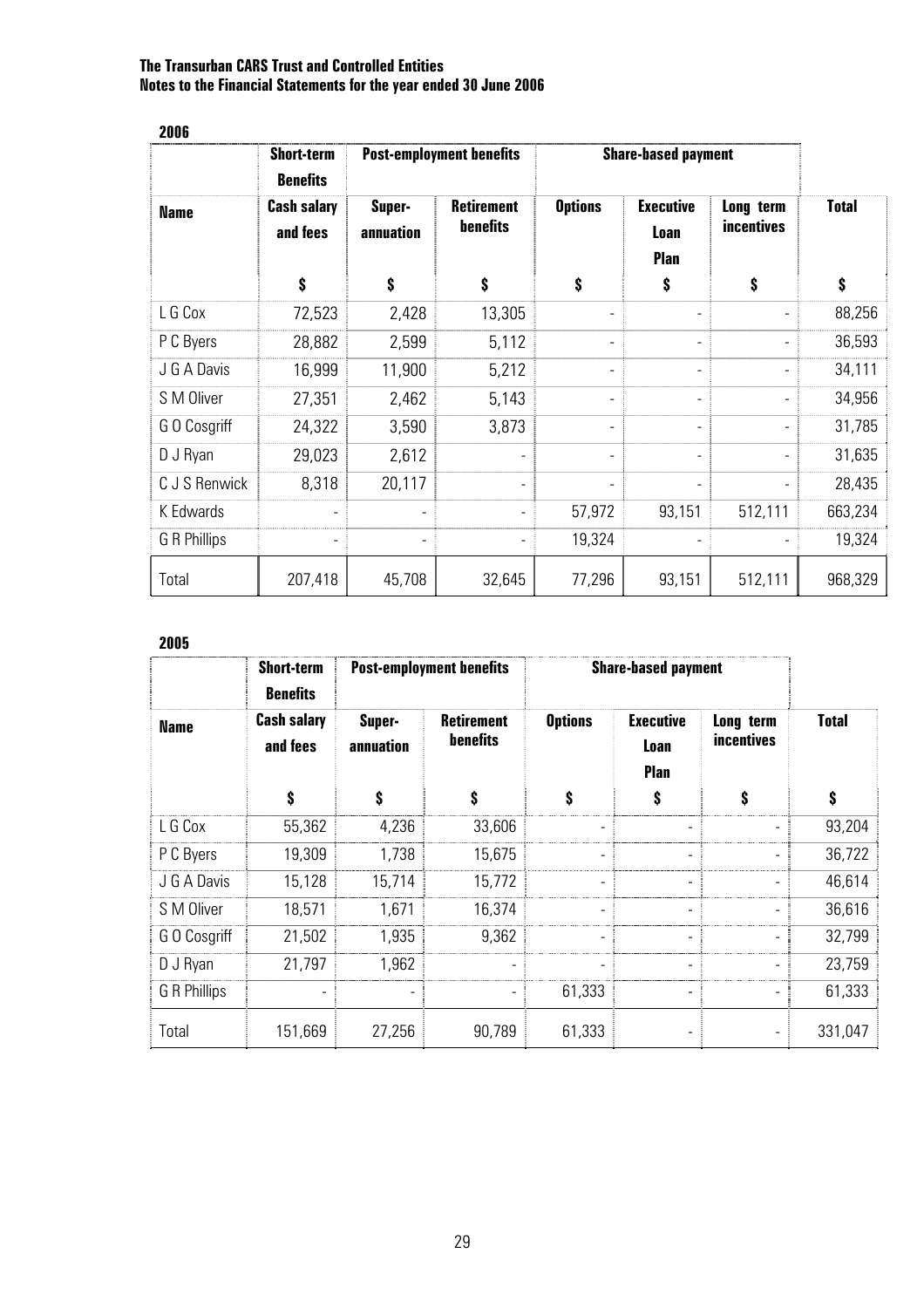| 2006          |                                      |                                 |                               |                              |                                  |                                |              |
|---------------|--------------------------------------|---------------------------------|-------------------------------|------------------------------|----------------------------------|--------------------------------|--------------|
|               | <b>Short-term</b><br><b>Benefits</b> | <b>Post-employment benefits</b> |                               | <b>Share-based payment</b>   |                                  |                                |              |
| <b>Name</b>   | <b>Cash salary</b><br>and fees       | Super-<br>annuation             | <b>Retirement</b><br>benefits | <b>Options</b>               | <b>Executive</b><br>Loan<br>Plan | Long term<br><i>incentives</i> | <b>Total</b> |
|               | \$                                   | \$                              | \$                            | \$                           | \$                               | \$                             | \$           |
| L G Cox       | 72,523                               | 2,428                           | 13,305                        | $\overline{a}$               |                                  |                                | 88,256       |
| P C Byers     | 28,882                               | 2,599                           | 5,112                         |                              |                                  |                                | 36,593       |
| J G A Davis   | 16,999                               | 11,900                          | 5,212                         | $\qquad \qquad \blacksquare$ |                                  |                                | 34,111       |
| S M Oliver    | 27,351                               | 2,462                           | 5,143                         | -                            |                                  |                                | 34,956       |
| G O Cosgriff  | 24,322                               | 3,590                           | 3,873                         | $\qquad \qquad \blacksquare$ |                                  |                                | 31,785       |
| D J Ryan      | 29,023                               | 2,612                           |                               |                              |                                  |                                | 31,635       |
| C J S Renwick | 8,318                                | 20,117                          | $\overline{\phantom{a}}$      |                              |                                  |                                | 28,435       |
| K Edwards     |                                      | $\overline{a}$                  | $\overline{\phantom{a}}$      | 57,972                       | 93,151                           | 512,111                        | 663,234      |
| G R Phillips  |                                      |                                 |                               | 19,324                       |                                  |                                | 19,324       |
| Total         | 207,418                              | 45,708                          | 32,645                        | 77,296                       | 93,151                           | 512,111                        | 968,329      |

#### **2005**

|              | <b>Short-term</b><br><b>Benefits</b> | <b>Post-employment benefits</b> |                                      | <b>Share-based payment</b> |                                         |                                |              |
|--------------|--------------------------------------|---------------------------------|--------------------------------------|----------------------------|-----------------------------------------|--------------------------------|--------------|
| <b>Name</b>  | <b>Cash salary</b><br>and fees       | Super-<br>annuation             | <b>Retirement</b><br><b>benefits</b> | <b>Options</b>             | <b>Executive</b><br>Loan<br><b>Plan</b> | Long term<br><i>incentives</i> | <b>Total</b> |
|              | \$                                   | \$                              | \$                                   | \$                         | \$                                      | \$                             | \$           |
| L G Cox      | 55,362                               | 4,236                           | 33,606                               | $\overline{\phantom{0}}$   |                                         |                                | 93,204       |
| P C Byers    | 19,309                               | 1,738                           | 15,675                               | -                          |                                         |                                | 36,722       |
| J G A Davis  | 15,128                               | 15,714                          | 15,772                               | $\overline{\phantom{0}}$   |                                         |                                | 46,614       |
| S M Oliver   | 18,571                               | 1,671                           | 16,374                               | -                          | $\overline{\phantom{0}}$                |                                | 36,616       |
| GO Cosgriff  | 21,502                               | 1,935                           | 9,362                                |                            | $\qquad \qquad$                         |                                | 32,799       |
| D J Ryan     | 21,797                               | 1,962                           |                                      |                            |                                         |                                | 23,759       |
| G R Phillips |                                      |                                 |                                      | 61,333                     |                                         |                                | 61,333       |
| Total        | 151,669                              | 27,256                          | 90,789                               | 61,333                     |                                         | -                              | 331,047      |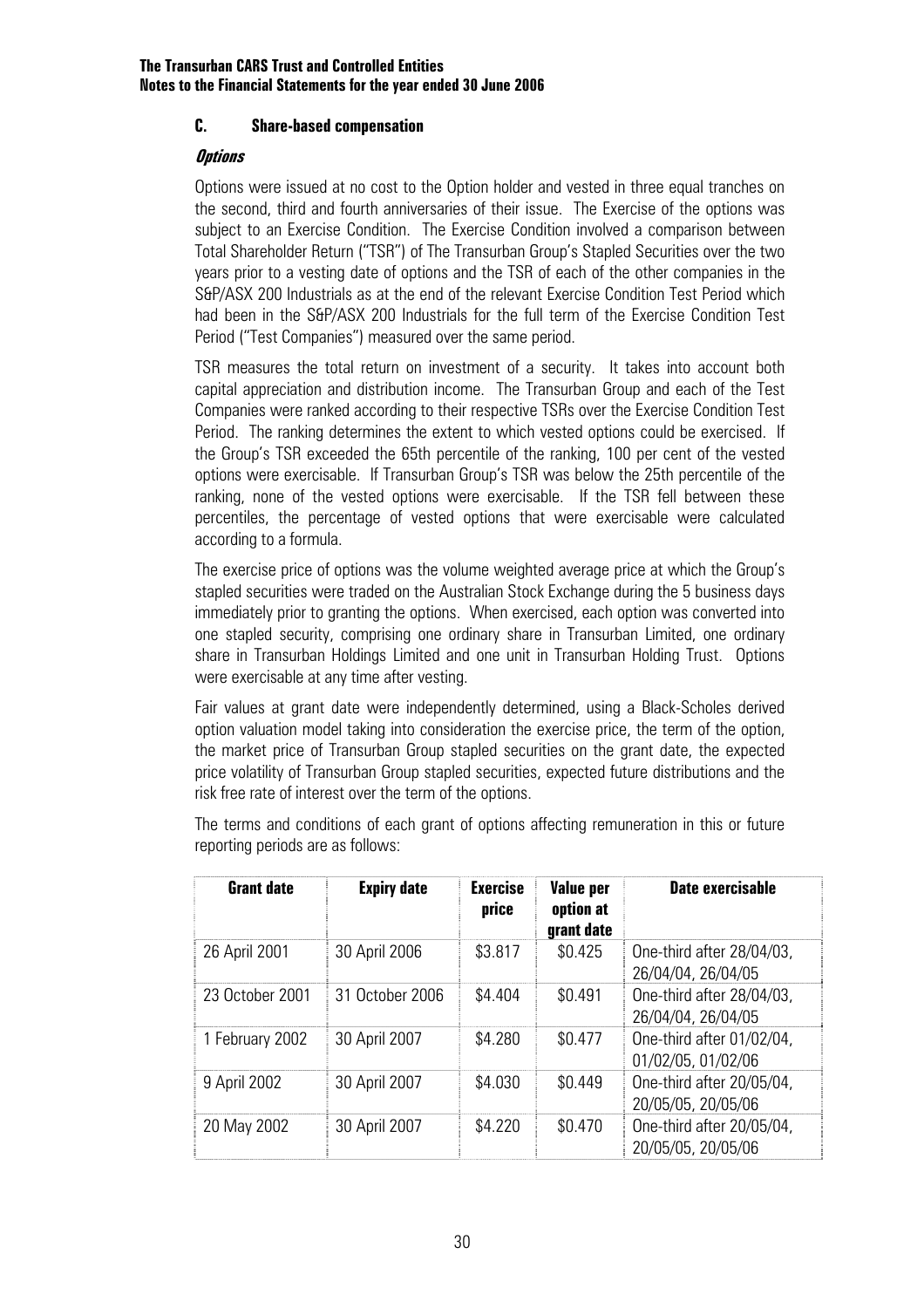#### **C. Share-based compensation**

#### **Options**

Options were issued at no cost to the Option holder and vested in three equal tranches on the second, third and fourth anniversaries of their issue. The Exercise of the options was subject to an Exercise Condition. The Exercise Condition involved a comparison between Total Shareholder Return ("TSR") of The Transurban Group's Stapled Securities over the two years prior to a vesting date of options and the TSR of each of the other companies in the S&P/ASX 200 Industrials as at the end of the relevant Exercise Condition Test Period which had been in the S&P/ASX 200 Industrials for the full term of the Exercise Condition Test Period ("Test Companies") measured over the same period.

TSR measures the total return on investment of a security. It takes into account both capital appreciation and distribution income. The Transurban Group and each of the Test Companies were ranked according to their respective TSRs over the Exercise Condition Test Period. The ranking determines the extent to which vested options could be exercised. If the Group's TSR exceeded the 65th percentile of the ranking, 100 per cent of the vested options were exercisable. If Transurban Group's TSR was below the 25th percentile of the ranking, none of the vested options were exercisable. If the TSR fell between these percentiles, the percentage of vested options that were exercisable were calculated according to a formula.

The exercise price of options was the volume weighted average price at which the Group's stapled securities were traded on the Australian Stock Exchange during the 5 business days immediately prior to granting the options. When exercised, each option was converted into one stapled security, comprising one ordinary share in Transurban Limited, one ordinary share in Transurban Holdings Limited and one unit in Transurban Holding Trust. Options were exercisable at any time after vesting.

Fair values at grant date were independently determined, using a Black-Scholes derived option valuation model taking into consideration the exercise price, the term of the option, the market price of Transurban Group stapled securities on the grant date, the expected price volatility of Transurban Group stapled securities, expected future distributions and the risk free rate of interest over the term of the options.

The terms and conditions of each grant of options affecting remuneration in this or future reporting periods are as follows:

| <b>Grant date</b> | <b>Expiry date</b> | <b>Exercise</b><br>price | Value per<br>option at<br>grant date | <b>Date exercisable</b>                         |
|-------------------|--------------------|--------------------------|--------------------------------------|-------------------------------------------------|
| 26 April 2001     | 30 April 2006      | \$3.817                  | \$0.425                              | One-third after 28/04/03,<br>26/04/04, 26/04/05 |
| 23 October 2001   | 31 October 2006    | \$4.404                  | \$0.491                              | One-third after 28/04/03,<br>26/04/04, 26/04/05 |
| 1 February 2002   | 30 April 2007      | \$4.280                  | \$0.477                              | One-third after 01/02/04,<br>01/02/05, 01/02/06 |
| 9 April 2002      | 30 April 2007      | \$4.030                  | \$0.449                              | One-third after 20/05/04,<br>20/05/05, 20/05/06 |
| 20 May 2002       | 30 April 2007      | \$4.220                  | \$0.470                              | One-third after 20/05/04,<br>20/05/05, 20/05/06 |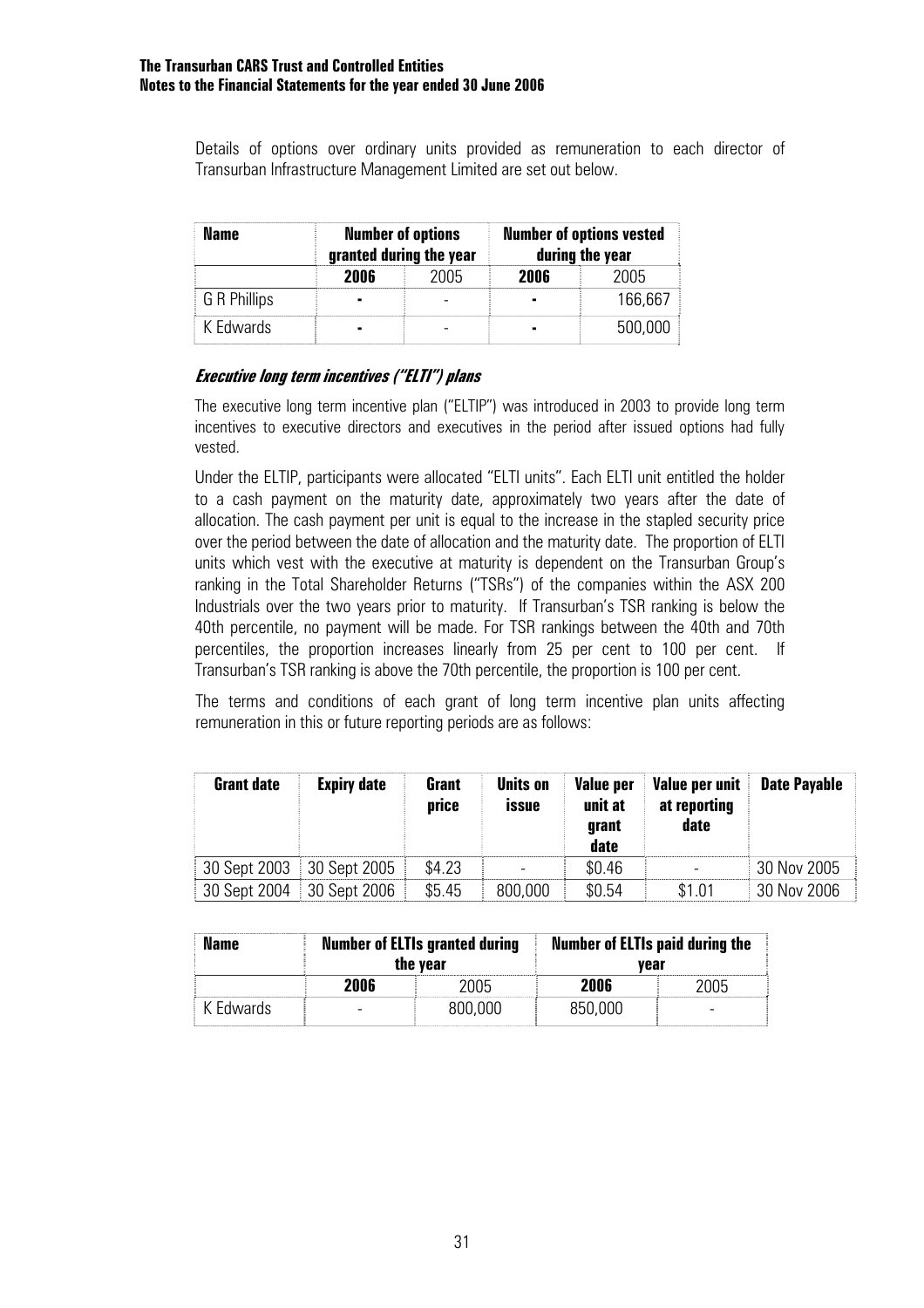Details of options over ordinary units provided as remuneration to each director of Transurban Infrastructure Management Limited are set out below.

| Name         |      | <b>Number of options</b><br>granted during the year |      | <b>Number of options vested</b><br>during the year |
|--------------|------|-----------------------------------------------------|------|----------------------------------------------------|
|              | 2006 | 2005                                                | 2NNƘ | 2005                                               |
| G R Phillips |      |                                                     |      | 166.667                                            |
| K Fdwards    |      |                                                     |      | 500.000                                            |

#### **Executive long term incentives ("ELTI") plans**

The executive long term incentive plan ("ELTIP") was introduced in 2003 to provide long term incentives to executive directors and executives in the period after issued options had fully vested.

Under the ELTIP, participants were allocated "ELTI units". Each ELTI unit entitled the holder to a cash payment on the maturity date, approximately two years after the date of allocation. The cash payment per unit is equal to the increase in the stapled security price over the period between the date of allocation and the maturity date. The proportion of ELTI units which vest with the executive at maturity is dependent on the Transurban Group's ranking in the Total Shareholder Returns ("TSRs") of the companies within the ASX 200 Industrials over the two years prior to maturity. If Transurban's TSR ranking is below the 40th percentile, no payment will be made. For TSR rankings between the 40th and 70th percentiles, the proportion increases linearly from 25 per cent to 100 per cent. If Transurban's TSR ranking is above the 70th percentile, the proportion is 100 per cent.

The terms and conditions of each grant of long term incentive plan units affecting remuneration in this or future reporting periods are as follows:

| <b>Grant date</b> | <b>Expiry date</b> | Grant<br>price | <b>Units on</b><br><b>issue</b> | Value per<br>unit at<br>grant<br>date | Value per unit<br>at reporting<br>date | <b>Date Payable</b> |
|-------------------|--------------------|----------------|---------------------------------|---------------------------------------|----------------------------------------|---------------------|
| 30 Sept 2003      | 30 Sept 2005       | \$4.23         |                                 | \$0.46                                |                                        | 30 Nov 2005         |
| 30 Sept 2004      | 30 Sept 2006       | \$5.45         | 800,000                         | \$0.54                                | \$1.01                                 | 30 Nov 2006         |

| Name      | <b>Number of ELTIs granted during</b><br>the year |         | <b>Number of ELTIs paid during the</b><br>vear |  |  |
|-----------|---------------------------------------------------|---------|------------------------------------------------|--|--|
|           | 2006                                              | 2005    | 2006                                           |  |  |
| K Edwards |                                                   | 800,000 | 850,000                                        |  |  |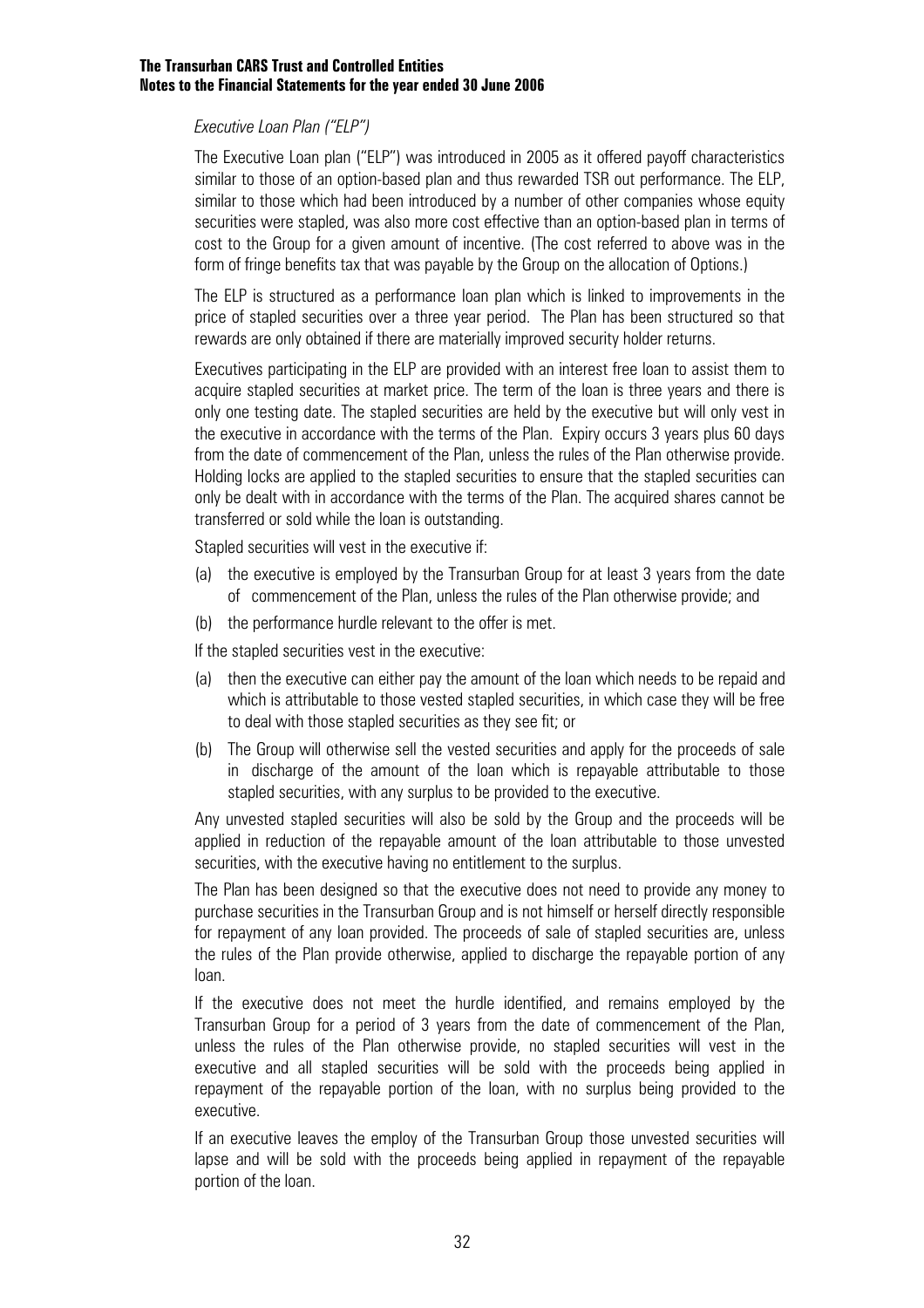#### *Executive Loan Plan ("ELP")*

The Executive Loan plan ("ELP") was introduced in 2005 as it offered payoff characteristics similar to those of an option-based plan and thus rewarded TSR out performance. The ELP, similar to those which had been introduced by a number of other companies whose equity securities were stapled, was also more cost effective than an option-based plan in terms of cost to the Group for a given amount of incentive. (The cost referred to above was in the form of fringe benefits tax that was payable by the Group on the allocation of Options.)

The ELP is structured as a performance loan plan which is linked to improvements in the price of stapled securities over a three year period. The Plan has been structured so that rewards are only obtained if there are materially improved security holder returns.

Executives participating in the ELP are provided with an interest free loan to assist them to acquire stapled securities at market price. The term of the loan is three years and there is only one testing date. The stapled securities are held by the executive but will only vest in the executive in accordance with the terms of the Plan. Expiry occurs 3 years plus 60 days from the date of commencement of the Plan, unless the rules of the Plan otherwise provide. Holding locks are applied to the stapled securities to ensure that the stapled securities can only be dealt with in accordance with the terms of the Plan. The acquired shares cannot be transferred or sold while the loan is outstanding.

Stapled securities will vest in the executive if:

- (a) the executive is employed by the Transurban Group for at least 3 years from the date of commencement of the Plan, unless the rules of the Plan otherwise provide; and
- (b) the performance hurdle relevant to the offer is met.

If the stapled securities vest in the executive:

- (a) then the executive can either pay the amount of the loan which needs to be repaid and which is attributable to those vested stapled securities, in which case they will be free to deal with those stapled securities as they see fit; or
- (b) The Group will otherwise sell the vested securities and apply for the proceeds of sale in discharge of the amount of the loan which is repayable attributable to those stapled securities, with any surplus to be provided to the executive.

Any unvested stapled securities will also be sold by the Group and the proceeds will be applied in reduction of the repayable amount of the loan attributable to those unvested securities, with the executive having no entitlement to the surplus.

The Plan has been designed so that the executive does not need to provide any money to purchase securities in the Transurban Group and is not himself or herself directly responsible for repayment of any loan provided. The proceeds of sale of stapled securities are, unless the rules of the Plan provide otherwise, applied to discharge the repayable portion of any loan.

If the executive does not meet the hurdle identified, and remains employed by the Transurban Group for a period of 3 years from the date of commencement of the Plan, unless the rules of the Plan otherwise provide, no stapled securities will vest in the executive and all stapled securities will be sold with the proceeds being applied in repayment of the repayable portion of the loan, with no surplus being provided to the executive.

If an executive leaves the employ of the Transurban Group those unvested securities will lapse and will be sold with the proceeds being applied in repayment of the repayable portion of the loan.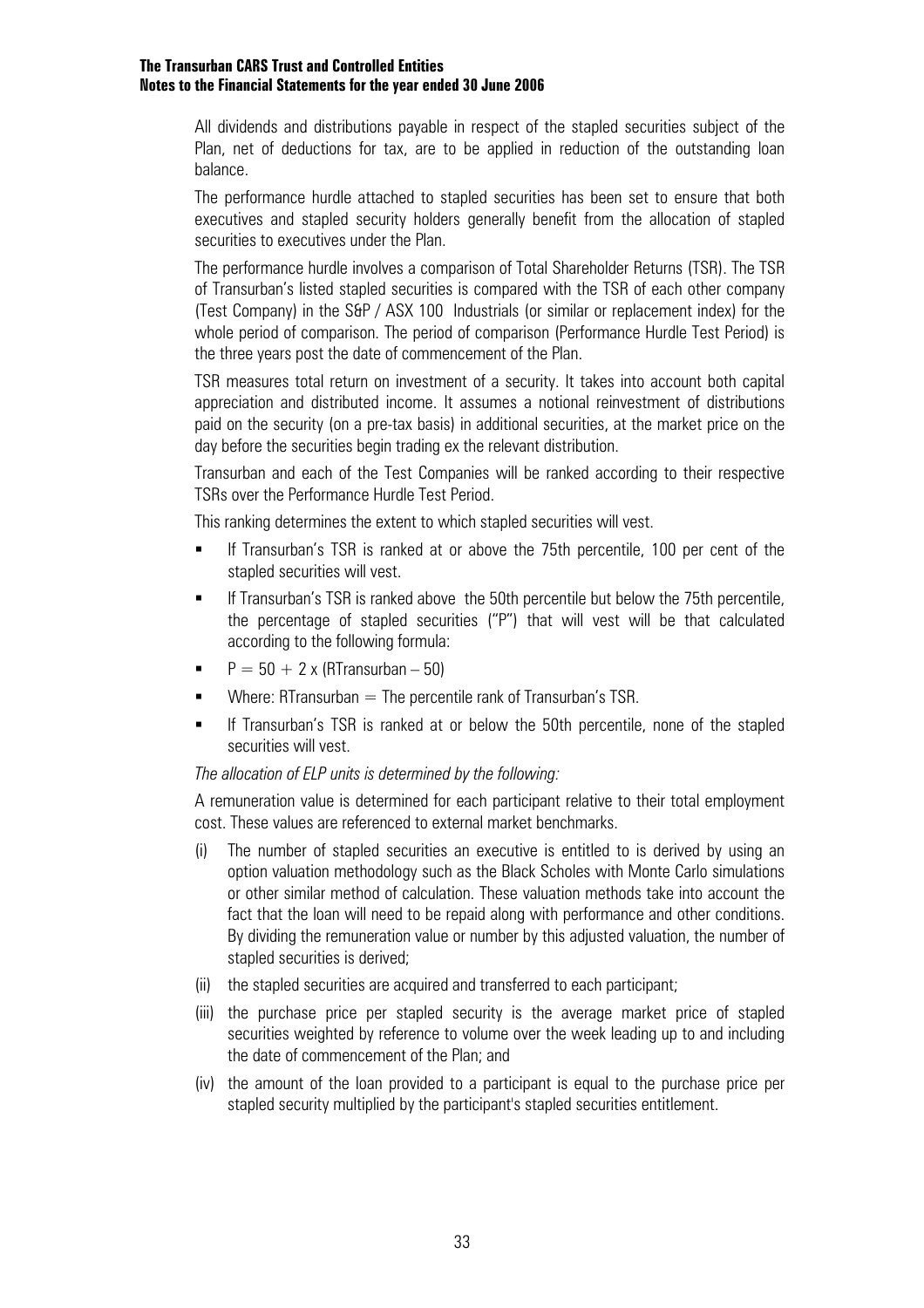All dividends and distributions payable in respect of the stapled securities subject of the Plan, net of deductions for tax, are to be applied in reduction of the outstanding loan balance.

The performance hurdle attached to stapled securities has been set to ensure that both executives and stapled security holders generally benefit from the allocation of stapled securities to executives under the Plan.

The performance hurdle involves a comparison of Total Shareholder Returns (TSR). The TSR of Transurban's listed stapled securities is compared with the TSR of each other company (Test Company) in the S&P / ASX 100 Industrials (or similar or replacement index) for the whole period of comparison. The period of comparison (Performance Hurdle Test Period) is the three years post the date of commencement of the Plan.

TSR measures total return on investment of a security. It takes into account both capital appreciation and distributed income. It assumes a notional reinvestment of distributions paid on the security (on a pre-tax basis) in additional securities, at the market price on the day before the securities begin trading ex the relevant distribution.

Transurban and each of the Test Companies will be ranked according to their respective TSRs over the Performance Hurdle Test Period.

This ranking determines the extent to which stapled securities will vest.

- If Transurban's TSR is ranked at or above the 75th percentile, 100 per cent of the stapled securities will vest.
- If Transurban's TSR is ranked above the 50th percentile but below the 75th percentile, the percentage of stapled securities ("P") that will vest will be that calculated according to the following formula:
- $P = 50 + 2 \times (RT$ ransurban 50)
- $\blacksquare$  Where: RTransurban  $=$  The percentile rank of Transurban's TSR.
- If Transurban's TSR is ranked at or below the 50th percentile, none of the stapled securities will vest.

#### *The allocation of ELP units is determined by the following:*

A remuneration value is determined for each participant relative to their total employment cost. These values are referenced to external market benchmarks.

- (i) The number of stapled securities an executive is entitled to is derived by using an option valuation methodology such as the Black Scholes with Monte Carlo simulations or other similar method of calculation. These valuation methods take into account the fact that the loan will need to be repaid along with performance and other conditions. By dividing the remuneration value or number by this adjusted valuation, the number of stapled securities is derived;
- (ii) the stapled securities are acquired and transferred to each participant;
- (iii) the purchase price per stapled security is the average market price of stapled securities weighted by reference to volume over the week leading up to and including the date of commencement of the Plan; and
- (iv) the amount of the loan provided to a participant is equal to the purchase price per stapled security multiplied by the participant's stapled securities entitlement.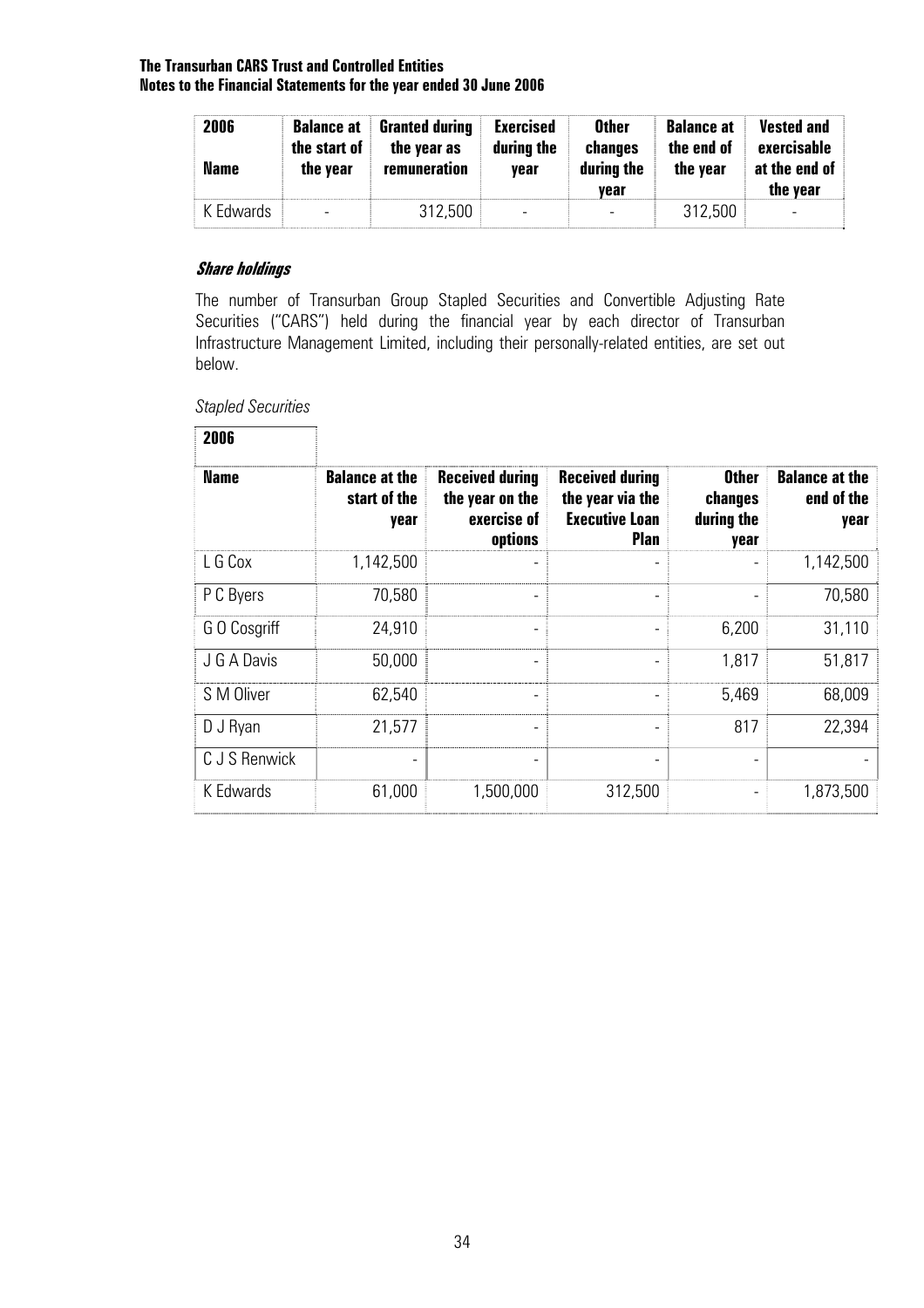| 2006<br><b>Name</b> | the start of<br>the year | <b>Balance at Granted during</b><br>the year as<br>remuneration | <b>Exercised</b><br>during the<br>vear | <b>Other</b><br>changes<br>during the<br>vear | <b>Balance at</b><br>the end of<br>the year | <b>Vested and</b><br>exercisable<br>at the end of<br>the year |
|---------------------|--------------------------|-----------------------------------------------------------------|----------------------------------------|-----------------------------------------------|---------------------------------------------|---------------------------------------------------------------|
| K Edwards           | -                        | 312,500                                                         |                                        |                                               | 312.500                                     |                                                               |

#### **Share holdings**

The number of Transurban Group Stapled Securities and Convertible Adjusting Rate Securities ("CARS") held during the financial year by each director of Transurban Infrastructure Management Limited, including their personally-related entities, are set out below.

*Stapled Securities* 

٦

**2006** 

| <b>Name</b>   | <b>Balance at the</b><br>start of the<br>year | <b>Received during</b><br>the year on the<br>exercise of<br>options | <b>Received during</b><br>the year via the<br><b>Executive Loan</b><br><b>Plan</b> | <b>Other</b><br>changes<br>during the<br>year | <b>Balance at the</b><br>end of the<br>year |
|---------------|-----------------------------------------------|---------------------------------------------------------------------|------------------------------------------------------------------------------------|-----------------------------------------------|---------------------------------------------|
| L G Cox       | 1,142,500                                     |                                                                     |                                                                                    |                                               | 1,142,500                                   |
| P C Byers     | 70,580                                        |                                                                     | -                                                                                  |                                               | 70,580                                      |
| G O Cosgriff  | 24,910                                        |                                                                     |                                                                                    | 6,200                                         | 31,110                                      |
| J G A Davis   | 50,000                                        |                                                                     |                                                                                    | 1,817                                         | 51,817                                      |
| S M Oliver    | 62,540                                        | ٠                                                                   | ٠                                                                                  | 5,469                                         | 68,009                                      |
| D J Ryan      | 21,577                                        |                                                                     |                                                                                    | 817                                           | 22,394                                      |
| C J S Renwick | $\overline{\phantom{a}}$                      |                                                                     | -                                                                                  |                                               |                                             |
| K Edwards     | 61,000                                        | 1,500,000                                                           | 312,500                                                                            |                                               | 1,873,500                                   |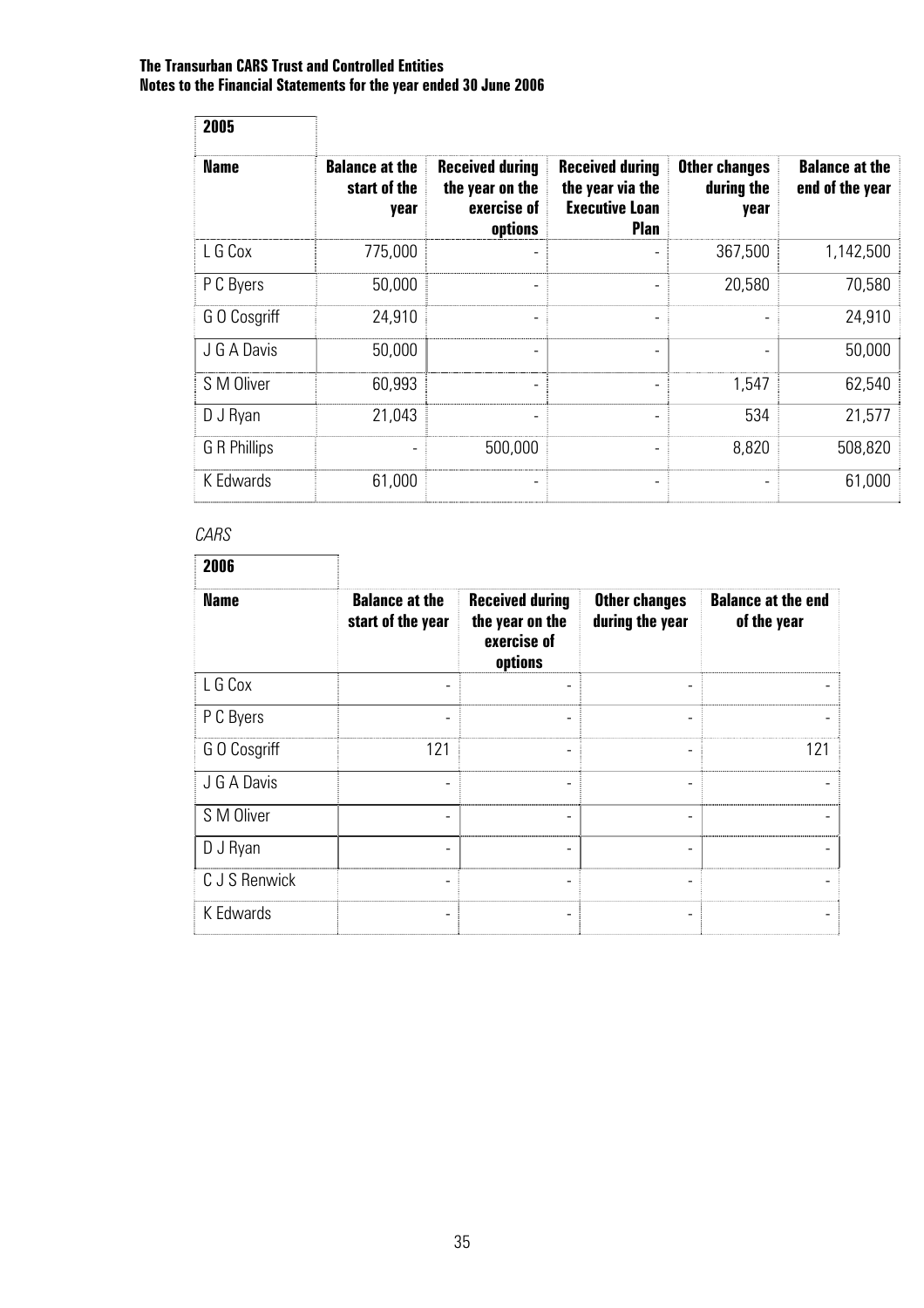| 2005         |                                               |                                                                     |                                                                                    |                                            |                                          |
|--------------|-----------------------------------------------|---------------------------------------------------------------------|------------------------------------------------------------------------------------|--------------------------------------------|------------------------------------------|
| <b>Name</b>  | <b>Balance at the</b><br>start of the<br>year | <b>Received during</b><br>the year on the<br>exercise of<br>options | <b>Received during</b><br>the year via the<br><b>Executive Loan</b><br><b>Plan</b> | <b>Other changes</b><br>during the<br>year | <b>Balance at the</b><br>end of the year |
| L G Cox      | 775,000                                       |                                                                     |                                                                                    | 367,500                                    | 1,142,500                                |
| P C Byers    | 50,000                                        | ٠                                                                   |                                                                                    | 20,580                                     | 70,580                                   |
| G O Cosgriff | 24,910                                        | -                                                                   |                                                                                    |                                            | 24,910                                   |
| J G A Davis  | 50,000                                        | -                                                                   | $\overline{\phantom{a}}$                                                           | -                                          | 50,000                                   |
| S M Oliver   | 60,993                                        | ٠                                                                   |                                                                                    | 1,547                                      | 62,540                                   |
| D J Ryan     | 21,043                                        | ٠                                                                   |                                                                                    | 534                                        | 21,577                                   |
| G R Phillips |                                               | 500,000                                                             |                                                                                    | 8,820                                      | 508,820                                  |
| K Edwards    | 61,000                                        |                                                                     |                                                                                    |                                            | 61,000                                   |

#### *CARS*

| 2006          |                                            |                                                                     |                                         |                                          |
|---------------|--------------------------------------------|---------------------------------------------------------------------|-----------------------------------------|------------------------------------------|
| <b>Name</b>   | <b>Balance at the</b><br>start of the year | <b>Received during</b><br>the year on the<br>exercise of<br>options | <b>Other changes</b><br>during the year | <b>Balance at the end</b><br>of the year |
| L G Cox       |                                            |                                                                     |                                         |                                          |
| P C Byers     |                                            |                                                                     | ۰                                       |                                          |
| GO Cosgriff   | 121                                        |                                                                     | ۰                                       | 121                                      |
| J G A Davis   |                                            |                                                                     |                                         |                                          |
| S M Oliver    |                                            |                                                                     |                                         |                                          |
| D J Ryan      |                                            | ٠                                                                   | -                                       |                                          |
| C J S Renwick |                                            |                                                                     | ۰                                       |                                          |
| K Edwards     |                                            |                                                                     |                                         |                                          |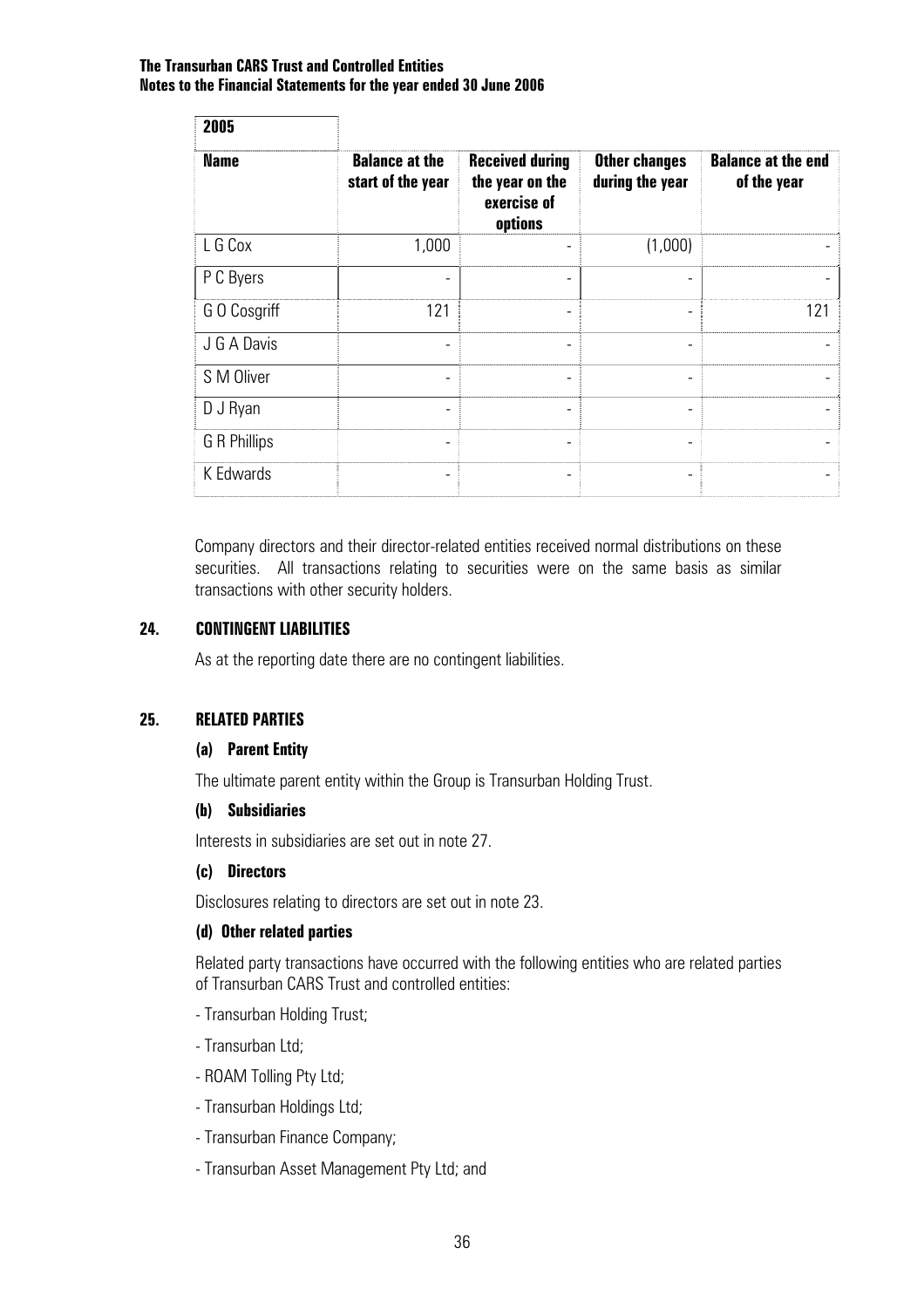| 2005         |                                            |                                                                     |                                         |                                          |
|--------------|--------------------------------------------|---------------------------------------------------------------------|-----------------------------------------|------------------------------------------|
| <b>Name</b>  | <b>Balance at the</b><br>start of the year | <b>Received during</b><br>the year on the<br>exercise of<br>options | <b>Other changes</b><br>during the year | <b>Balance at the end</b><br>of the year |
| L G Cox      | 1,000                                      |                                                                     | (1,000)                                 |                                          |
| P C Byers    |                                            |                                                                     |                                         |                                          |
| G O Cosgriff | 121                                        |                                                                     |                                         | 121                                      |
| J G A Davis  |                                            |                                                                     |                                         |                                          |
| S M Oliver   |                                            |                                                                     |                                         |                                          |
| D J Ryan     |                                            |                                                                     |                                         |                                          |
| G R Phillips |                                            |                                                                     |                                         |                                          |
| K Edwards    |                                            |                                                                     |                                         |                                          |

Company directors and their director-related entities received normal distributions on these securities. All transactions relating to securities were on the same basis as similar transactions with other security holders.

#### **24. CONTINGENT LIABILITIES**

As at the reporting date there are no contingent liabilities.

#### **25. RELATED PARTIES**

#### **(a) Parent Entity**

The ultimate parent entity within the Group is Transurban Holding Trust.

#### **(b) Subsidiaries**

Interests in subsidiaries are set out in note 27.

#### **(c) Directors**

Disclosures relating to directors are set out in note 23.

#### **(d) Other related parties**

Related party transactions have occurred with the following entities who are related parties of Transurban CARS Trust and controlled entities:

- Transurban Holding Trust;
- Transurban Ltd;
- ROAM Tolling Pty Ltd;
- Transurban Holdings Ltd;
- Transurban Finance Company;
- Transurban Asset Management Pty Ltd; and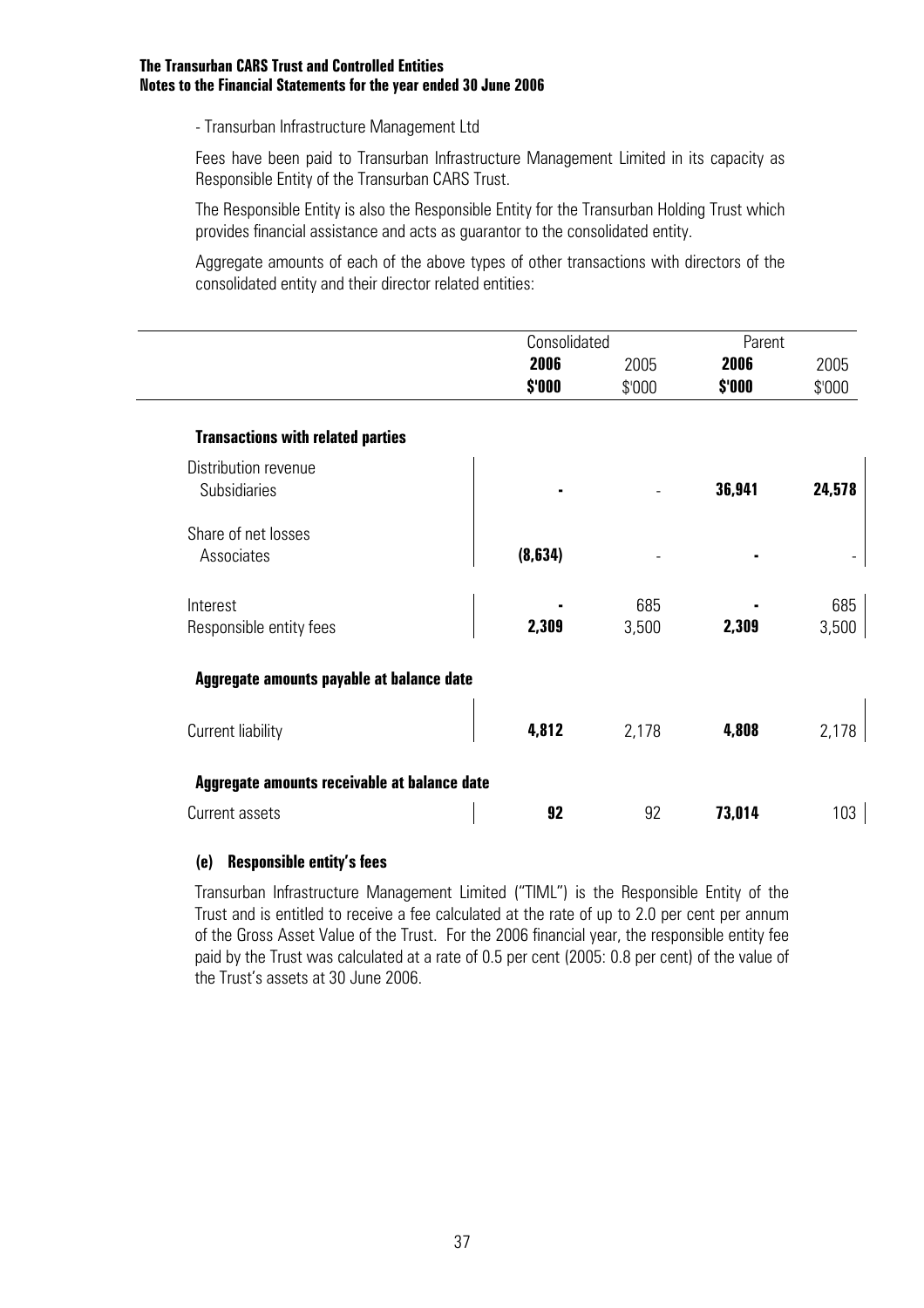- Transurban Infrastructure Management Ltd

Fees have been paid to Transurban Infrastructure Management Limited in its capacity as Responsible Entity of the Transurban CARS Trust.

The Responsible Entity is also the Responsible Entity for the Transurban Holding Trust which provides financial assistance and acts as guarantor to the consolidated entity.

Aggregate amounts of each of the above types of other transactions with directors of the consolidated entity and their director related entities:

|                                              | Consolidated |        | Parent |        |
|----------------------------------------------|--------------|--------|--------|--------|
|                                              | 2006         | 2005   | 2006   | 2005   |
|                                              | \$'000       | \$'000 | \$'000 | \$'000 |
| <b>Transactions with related parties</b>     |              |        |        |        |
| Distribution revenue                         |              |        |        |        |
| <b>Subsidiaries</b>                          |              |        | 36,941 | 24,578 |
| Share of net losses                          |              |        |        |        |
| Associates                                   | (8,634)      |        |        |        |
| Interest                                     |              | 685    |        | 685    |
| Responsible entity fees                      | 2,309        | 3,500  | 2,309  | 3,500  |
| Aggregate amounts payable at balance date    |              |        |        |        |
| Current liability                            | 4,812        | 2,178  | 4,808  | 2,178  |
| Aggregate amounts receivable at balance date |              |        |        |        |
| Current assets                               | 92           | 92     | 73,014 | 103    |

#### **(e) Responsible entity's fees**

Transurban Infrastructure Management Limited ("TIML") is the Responsible Entity of the Trust and is entitled to receive a fee calculated at the rate of up to 2.0 per cent per annum of the Gross Asset Value of the Trust. For the 2006 financial year, the responsible entity fee paid by the Trust was calculated at a rate of 0.5 per cent (2005: 0.8 per cent) of the value of the Trust's assets at 30 June 2006.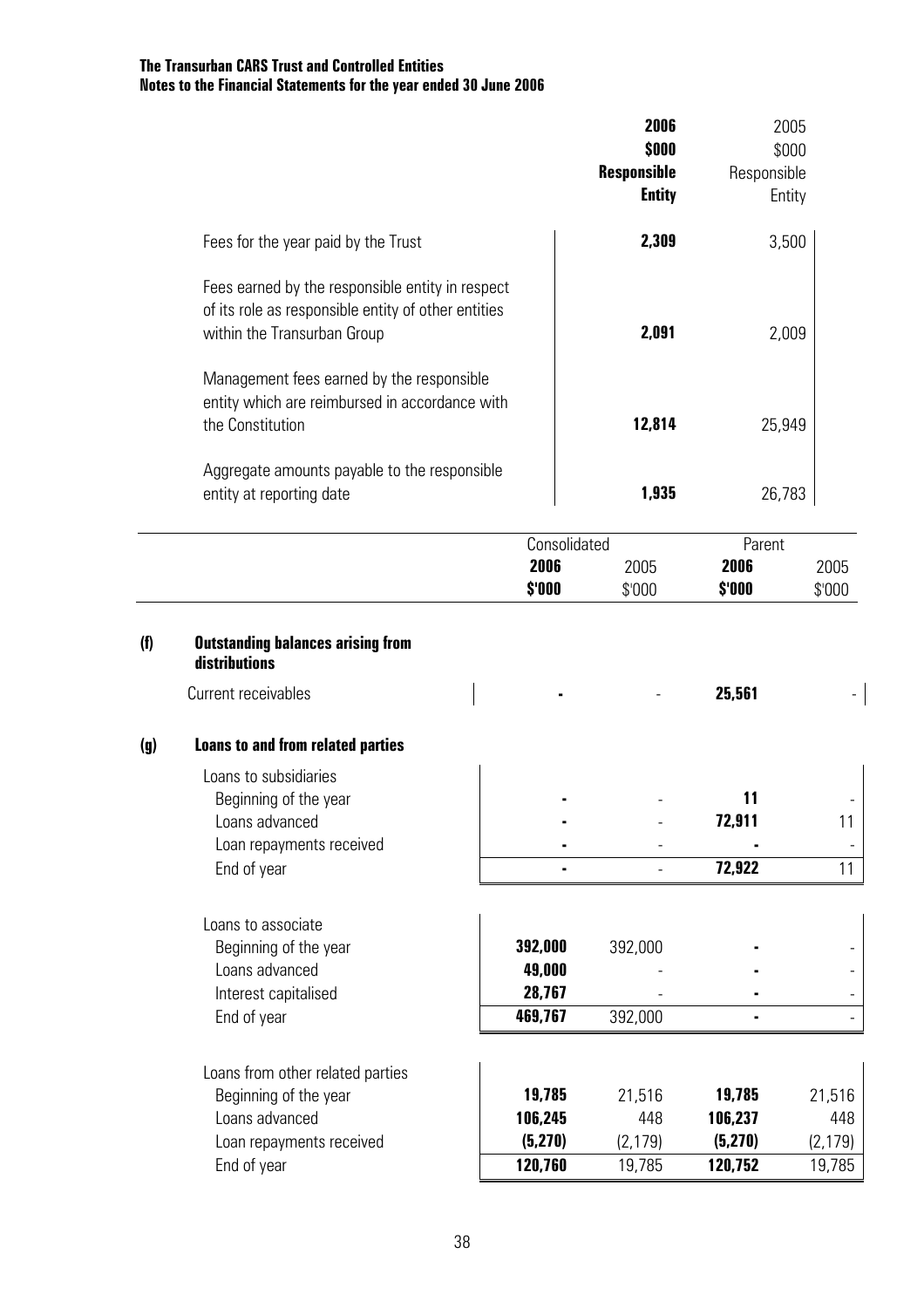|     |                                                                                                                                        |                | 2006<br>\$000                       |                | 2005<br>\$000  |
|-----|----------------------------------------------------------------------------------------------------------------------------------------|----------------|-------------------------------------|----------------|----------------|
|     |                                                                                                                                        |                | <b>Responsible</b><br><b>Entity</b> | Responsible    | Entity         |
|     | Fees for the year paid by the Trust                                                                                                    |                | 2,309                               |                | 3,500          |
|     | Fees earned by the responsible entity in respect<br>of its role as responsible entity of other entities<br>within the Transurban Group |                | 2,091                               |                | 2,009          |
|     | Management fees earned by the responsible<br>entity which are reimbursed in accordance with<br>the Constitution                        |                | 12,814                              |                | 25,949         |
|     | Aggregate amounts payable to the responsible<br>entity at reporting date                                                               |                | 1,935                               |                | 26,783         |
|     |                                                                                                                                        | Consolidated   |                                     | Parent         |                |
|     |                                                                                                                                        | 2006<br>\$'000 | 2005<br>\$'000                      | 2006<br>\$'000 | 2005<br>\$'000 |
| (f) | <b>Outstanding balances arising from</b><br>distributions                                                                              |                |                                     |                |                |
|     | Current receivables                                                                                                                    |                |                                     | 25,561         |                |
| (g) | <b>Loans to and from related parties</b>                                                                                               |                |                                     |                |                |
|     | Loans to subsidiaries                                                                                                                  |                |                                     |                |                |
|     | Beginning of the year<br>Loans advanced                                                                                                |                |                                     | 11<br>72,911   | 11             |
|     | Loan repayments received                                                                                                               |                |                                     |                |                |
|     | End of year                                                                                                                            |                |                                     | 72,922         | 11             |
|     | Loans to associate                                                                                                                     |                |                                     |                |                |
|     | Beginning of the year                                                                                                                  | 392,000        | 392,000                             |                |                |
|     | Loans advanced                                                                                                                         | 49,000         |                                     |                |                |
|     | Interest capitalised                                                                                                                   | 28,767         |                                     |                |                |
|     | End of year                                                                                                                            | 469,767        | 392,000                             |                |                |
|     | Loans from other related parties                                                                                                       |                |                                     |                |                |
|     | Beginning of the year                                                                                                                  | 19,785         | 21,516                              | 19,785         | 21,516         |
|     | Loans advanced                                                                                                                         | 106,245        | 448                                 | 106,237        | 448            |
|     | Loan repayments received                                                                                                               | (5, 270)       | (2, 179)                            | (5,270)        | (2, 179)       |
|     | End of year                                                                                                                            | 120,760        | 19,785                              | 120,752        | 19,785         |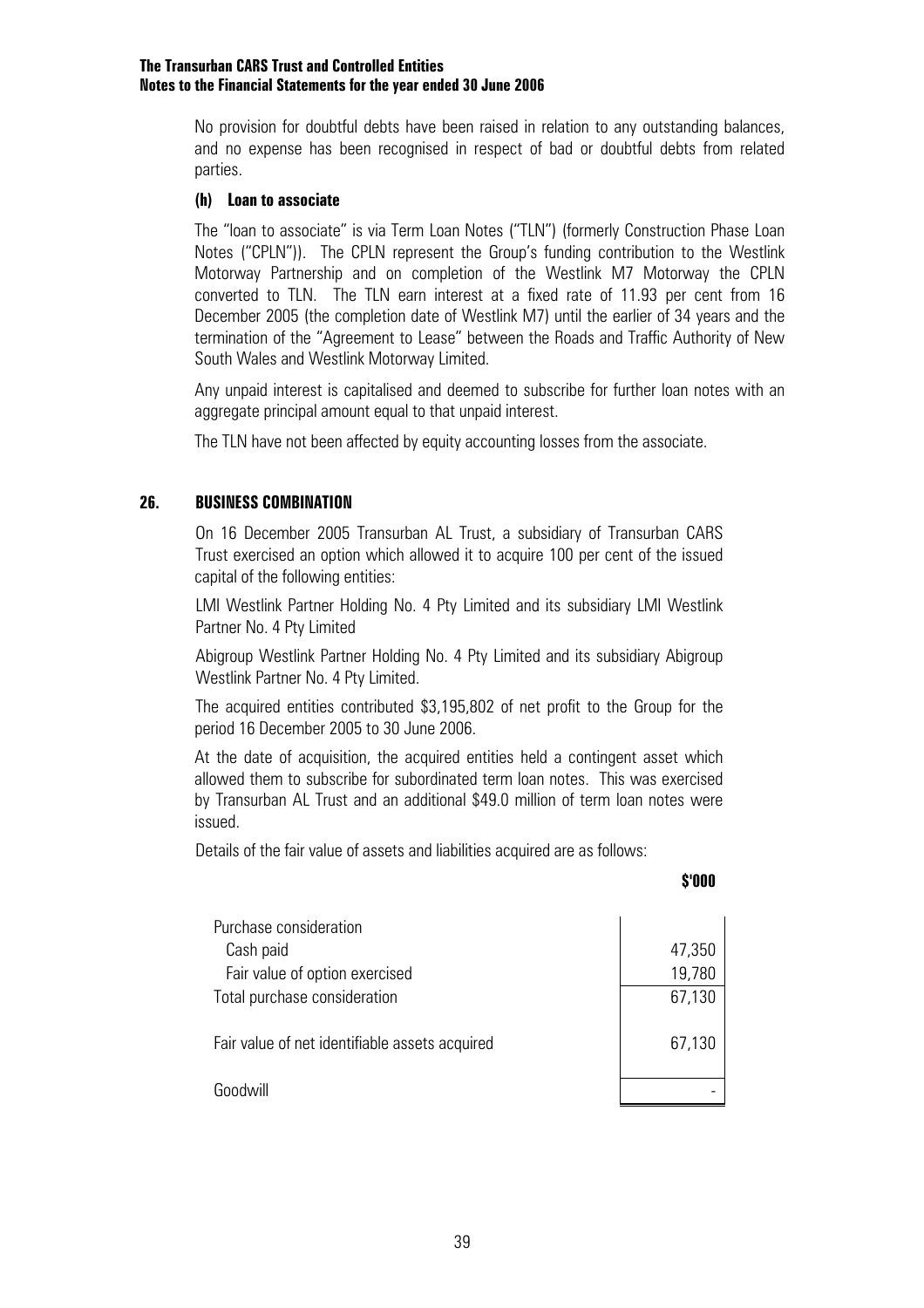No provision for doubtful debts have been raised in relation to any outstanding balances, and no expense has been recognised in respect of bad or doubtful debts from related parties.

#### **(h) Loan to associate**

The "loan to associate" is via Term Loan Notes ("TLN") (formerly Construction Phase Loan Notes ("CPLN")). The CPLN represent the Group's funding contribution to the Westlink Motorway Partnership and on completion of the Westlink M7 Motorway the CPLN converted to TLN. The TLN earn interest at a fixed rate of 11.93 per cent from 16 December 2005 (the completion date of Westlink M7) until the earlier of 34 years and the termination of the "Agreement to Lease" between the Roads and Traffic Authority of New South Wales and Westlink Motorway Limited.

Any unpaid interest is capitalised and deemed to subscribe for further loan notes with an aggregate principal amount equal to that unpaid interest.

The TLN have not been affected by equity accounting losses from the associate.

#### **26. BUSINESS COMBINATION**

 On 16 December 2005 Transurban AL Trust, a subsidiary of Transurban CARS Trust exercised an option which allowed it to acquire 100 per cent of the issued capital of the following entities:

 LMI Westlink Partner Holding No. 4 Pty Limited and its subsidiary LMI Westlink Partner No. 4 Pty Limited

 Abigroup Westlink Partner Holding No. 4 Pty Limited and its subsidiary Abigroup Westlink Partner No. 4 Pty Limited.

 The acquired entities contributed \$3,195,802 of net profit to the Group for the period 16 December 2005 to 30 June 2006.

At the date of acquisition, the acquired entities held a contingent asset which allowed them to subscribe for subordinated term loan notes. This was exercised by Transurban AL Trust and an additional \$49.0 million of term loan notes were issued.

Details of the fair value of assets and liabilities acquired are as follows:

#### **\$'000**

| Purchase consideration                         |                  |
|------------------------------------------------|------------------|
| Cash paid<br>Fair value of option exercised    | 47,350<br>19,780 |
| Total purchase consideration                   | 67,130           |
| Fair value of net identifiable assets acquired | 67,130           |
| Goodwill                                       |                  |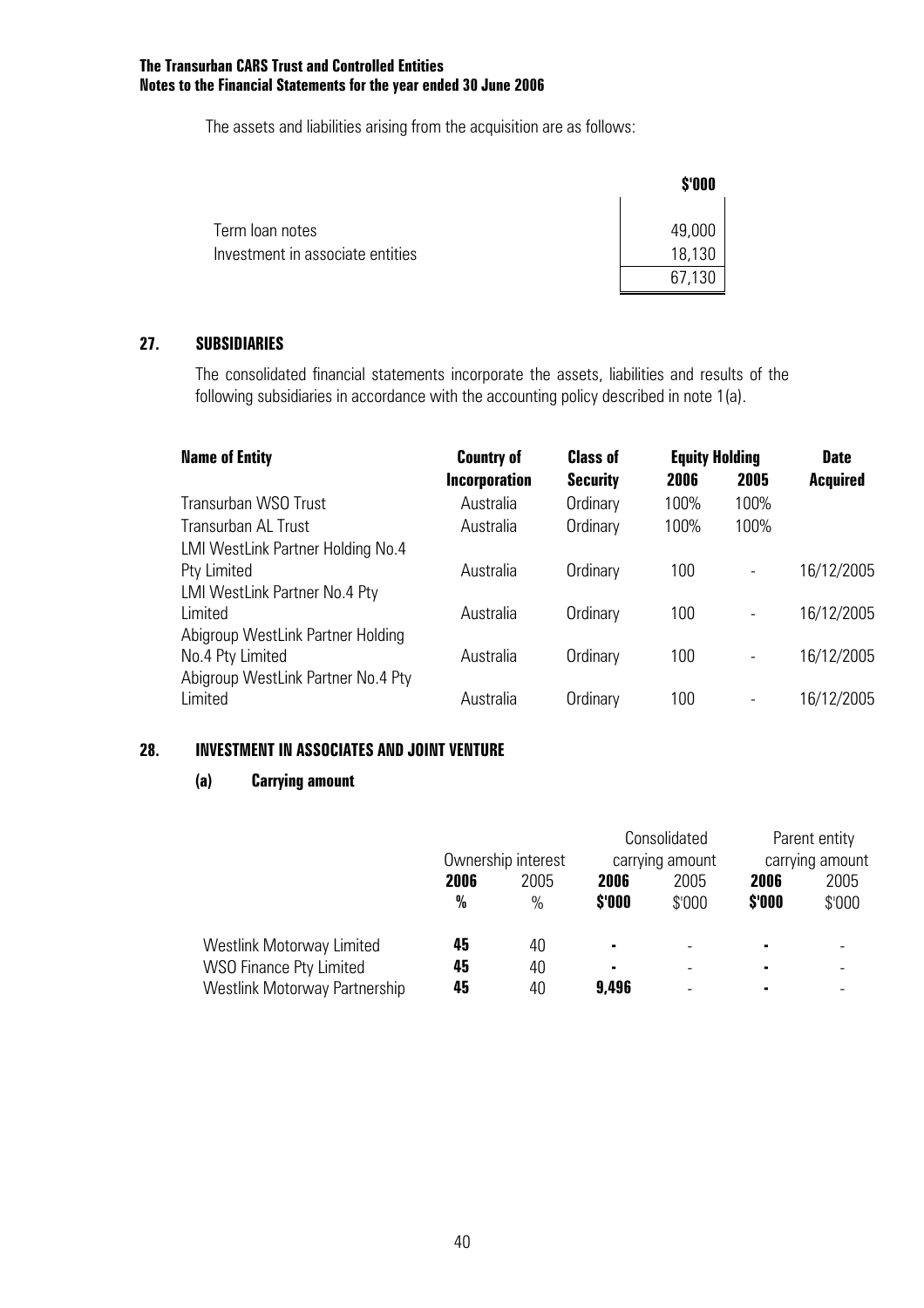The assets and liabilities arising from the acquisition are as follows:

|                                  | \$'000 |
|----------------------------------|--------|
| Term loan notes                  | 49,000 |
| Investment in associate entities | 18,130 |
|                                  | 67,130 |

#### **27. SUBSIDIARIES**

 The consolidated financial statements incorporate the assets, liabilities and results of the following subsidiaries in accordance with the accounting policy described in note 1(a).

| <b>Name of Entity</b>              | <b>Country of</b>    | <b>Class of</b> | <b>Equity Holding</b> |                          | <b>Date</b>     |
|------------------------------------|----------------------|-----------------|-----------------------|--------------------------|-----------------|
|                                    | <b>Incorporation</b> | <b>Security</b> | 2006                  | 2005                     | <b>Acquired</b> |
| Transurban WSO Trust               | Australia            | Ordinary        | 100%                  | 100%                     |                 |
| <b>Transurban AL Trust</b>         | Australia            | Ordinary        | 100%                  | 100%                     |                 |
| LMI WestLink Partner Holding No.4  |                      |                 |                       |                          |                 |
| Pty Limited                        | Australia            | Ordinary        | 100                   | $\overline{\phantom{a}}$ | 16/12/2005      |
| LMI WestLink Partner No.4 Pty      |                      |                 |                       |                          |                 |
| Limited                            | Australia            | Ordinary        | 100                   | $\overline{\phantom{a}}$ | 16/12/2005      |
| Abigroup WestLink Partner Holding  |                      |                 |                       |                          |                 |
| No.4 Pty Limited                   | Australia            | Ordinary        | 100                   | $\overline{\phantom{a}}$ | 16/12/2005      |
| Abigroup WestLink Partner No.4 Pty |                      |                 |                       |                          |                 |
| Limited                            | Australia            | Ordinary        | 100                   |                          | 16/12/2005      |

#### **28. INVESTMENT IN ASSOCIATES AND JOINT VENTURE**

#### **(a) Carrying amount**

|                                |      |                    |                | Consolidated    |        | Parent entity   |  |
|--------------------------------|------|--------------------|----------------|-----------------|--------|-----------------|--|
|                                |      | Ownership interest |                | carrying amount |        | carrying amount |  |
|                                | 2006 | 2005               |                | 2005            | 2006   | 2005            |  |
|                                | $\%$ | $\%$               | \$'000         | \$'000          | \$'000 | \$'000          |  |
| Westlink Motorway Limited      | 45   | 40                 | $\blacksquare$ |                 | ٠      |                 |  |
| <b>WSO Finance Pty Limited</b> | 45   | 40                 | $\blacksquare$ |                 | ٠      |                 |  |
| Westlink Motorway Partnership  | 45   | 40                 | 9,496          |                 |        |                 |  |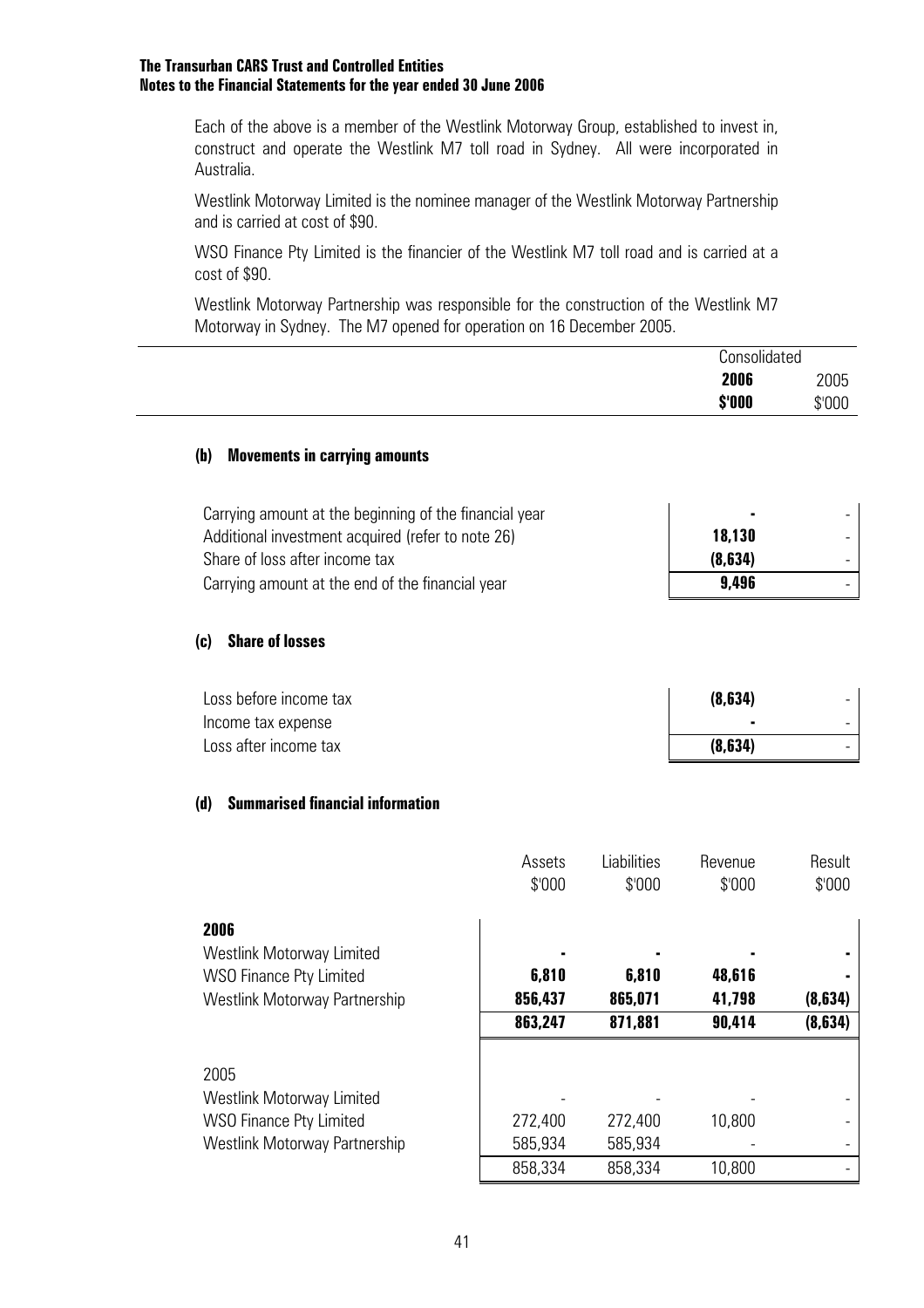Each of the above is a member of the Westlink Motorway Group, established to invest in, construct and operate the Westlink M7 toll road in Sydney. All were incorporated in Australia.

Westlink Motorway Limited is the nominee manager of the Westlink Motorway Partnership and is carried at cost of \$90.

WSO Finance Pty Limited is the financier of the Westlink M7 toll road and is carried at a cost of \$90.

Westlink Motorway Partnership was responsible for the construction of the Westlink M7 Motorway in Sydney. The M7 opened for operation on 16 December 2005.

|                                                                                   | Consolidated      |        |
|-----------------------------------------------------------------------------------|-------------------|--------|
|                                                                                   | 2006              | 2005   |
|                                                                                   | \$'000            | \$'000 |
| (b)<br><b>Movements in carrying amounts</b>                                       |                   |        |
| Carrying amount at the beginning of the financial year                            |                   |        |
| Additional investment acquired (refer to note 26)                                 | 18,130            |        |
| Share of loss after income tax                                                    | (8, 634)<br>9,496 |        |
| Carrying amount at the end of the financial year<br><b>Share of losses</b><br>(c) |                   |        |
| Loss before income tax                                                            | (8,634)           |        |
|                                                                                   |                   |        |
| Income tax expense                                                                |                   |        |

|                                                                                                                    | Assets<br>\$'000   | Liabilities<br>\$'000 | Revenue<br>\$'000 | Result<br>\$'000 |
|--------------------------------------------------------------------------------------------------------------------|--------------------|-----------------------|-------------------|------------------|
| 2006<br><b>Westlink Motorway Limited</b>                                                                           |                    |                       |                   |                  |
| <b>WSO Finance Pty Limited</b>                                                                                     | 6,810              | 6,810                 | 48,616            |                  |
| Westlink Motorway Partnership                                                                                      | 856,437            | 865,071               | 41,798            | (8,634)          |
|                                                                                                                    | 863,247            | 871,881               | 90,414            | (8, 634)         |
| 2005<br><b>Westlink Motorway Limited</b><br><b>WSO Finance Pty Limited</b><br><b>Westlink Motorway Partnership</b> | 272,400<br>585,934 | 272,400<br>585,934    | 10,800            |                  |
|                                                                                                                    | 858,334            | 858,334               | 10,800            |                  |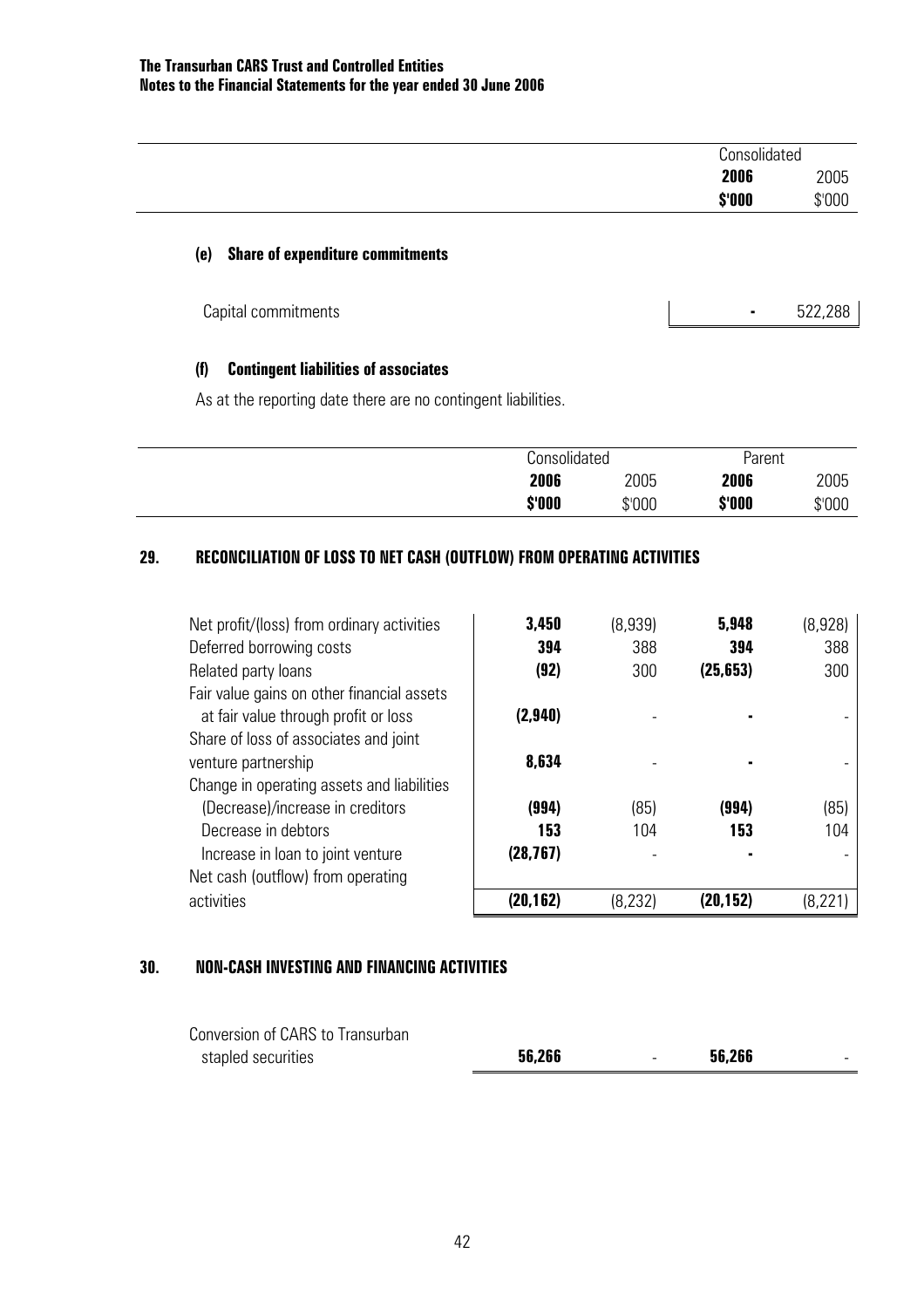|                                                | Consolidated |         |  |
|------------------------------------------------|--------------|---------|--|
|                                                | 2006         | 2005    |  |
|                                                | \$'000       | \$'000  |  |
| <b>Share of expenditure commitments</b><br>(e) |              |         |  |
|                                                | ۰            | 522,288 |  |
| Capital commitments                            |              |         |  |

#### **(f) Contingent liabilities of associates**

As at the reporting date there are no contingent liabilities.

|        | Consolidated |        | Parent |        |  |
|--------|--------------|--------|--------|--------|--|
| 2006   |              | 2005   | 2006   | 2005   |  |
| \$'000 |              | \$'000 | \$'000 | \$'000 |  |

### **29. RECONCILIATION OF LOSS TO NET CASH (OUTFLOW) FROM OPERATING ACTIVITIES**

| Net profit/(loss) from ordinary activities | 3,450     | (8,939)  | 5,948     | (8,928) |
|--------------------------------------------|-----------|----------|-----------|---------|
| Deferred borrowing costs                   | 394       | 388      | 394       | 388     |
| Related party loans                        | (92)      | 300      | (25, 653) | 300     |
| Fair value gains on other financial assets |           |          |           |         |
| at fair value through profit or loss       | (2,940)   |          |           |         |
| Share of loss of associates and joint      |           |          |           |         |
| venture partnership                        | 8,634     |          |           |         |
| Change in operating assets and liabilities |           |          |           |         |
| (Decrease)/increase in creditors           | (994)     | (85)     | (994)     | (85)    |
| Decrease in debtors                        | 153       | 104      | 153       | 104     |
| Increase in loan to joint venture          | (28, 767) |          |           |         |
| Net cash (outflow) from operating          |           |          |           |         |
| activities                                 | (20,162)  | (8, 232) | (20,152)  |         |

#### **30. NON-CASH INVESTING AND FINANCING ACTIVITIES**

| Conversion of CARS to Transurban |        |        |        |  |
|----------------------------------|--------|--------|--------|--|
| stapled securities               | 56,266 | $\sim$ | 56,266 |  |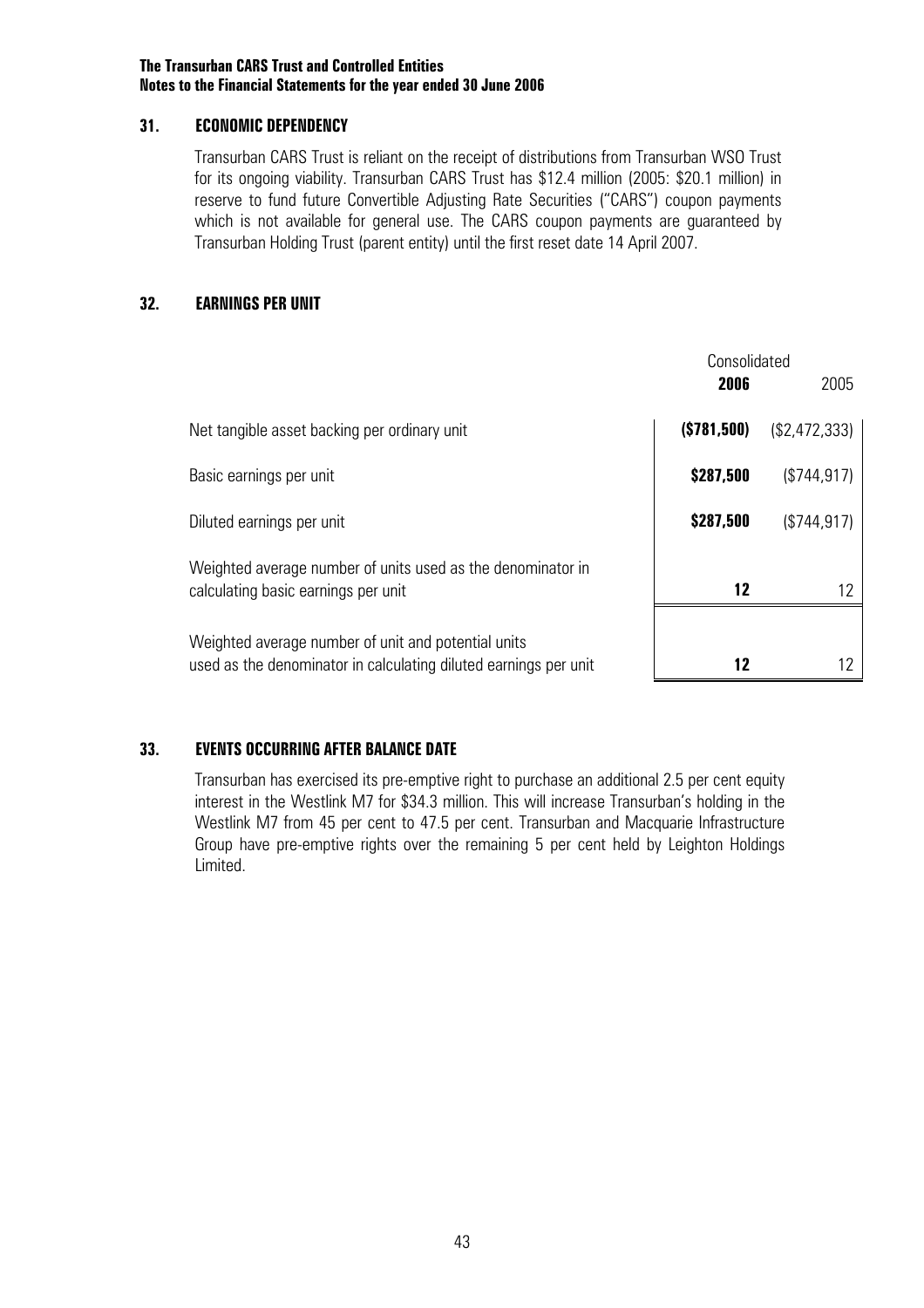#### **31. ECONOMIC DEPENDENCY**

Transurban CARS Trust is reliant on the receipt of distributions from Transurban WSO Trust for its ongoing viability. Transurban CARS Trust has \$12.4 million (2005: \$20.1 million) in reserve to fund future Convertible Adjusting Rate Securities ("CARS") coupon payments which is not available for general use. The CARS coupon payments are quaranteed by Transurban Holding Trust (parent entity) until the first reset date 14 April 2007.

#### **32. EARNINGS PER UNIT**

|                                                                                                                         | Consolidated<br>2006 | 2005          |
|-------------------------------------------------------------------------------------------------------------------------|----------------------|---------------|
| Net tangible asset backing per ordinary unit                                                                            | (S781,500)           | (\$2,472,333) |
| Basic earnings per unit                                                                                                 | \$287,500            | (\$744.917)   |
| Diluted earnings per unit                                                                                               | \$287,500            | (\$744.917)   |
| Weighted average number of units used as the denominator in<br>calculating basic earnings per unit                      | 12                   |               |
| Weighted average number of unit and potential units<br>used as the denominator in calculating diluted earnings per unit | 12                   |               |

#### **33. EVENTS OCCURRING AFTER BALANCE DATE**

Transurban has exercised its pre-emptive right to purchase an additional 2.5 per cent equity interest in the Westlink M7 for \$34.3 million. This will increase Transurban's holding in the Westlink M7 from 45 per cent to 47.5 per cent. Transurban and Macquarie Infrastructure Group have pre-emptive rights over the remaining 5 per cent held by Leighton Holdings Limited.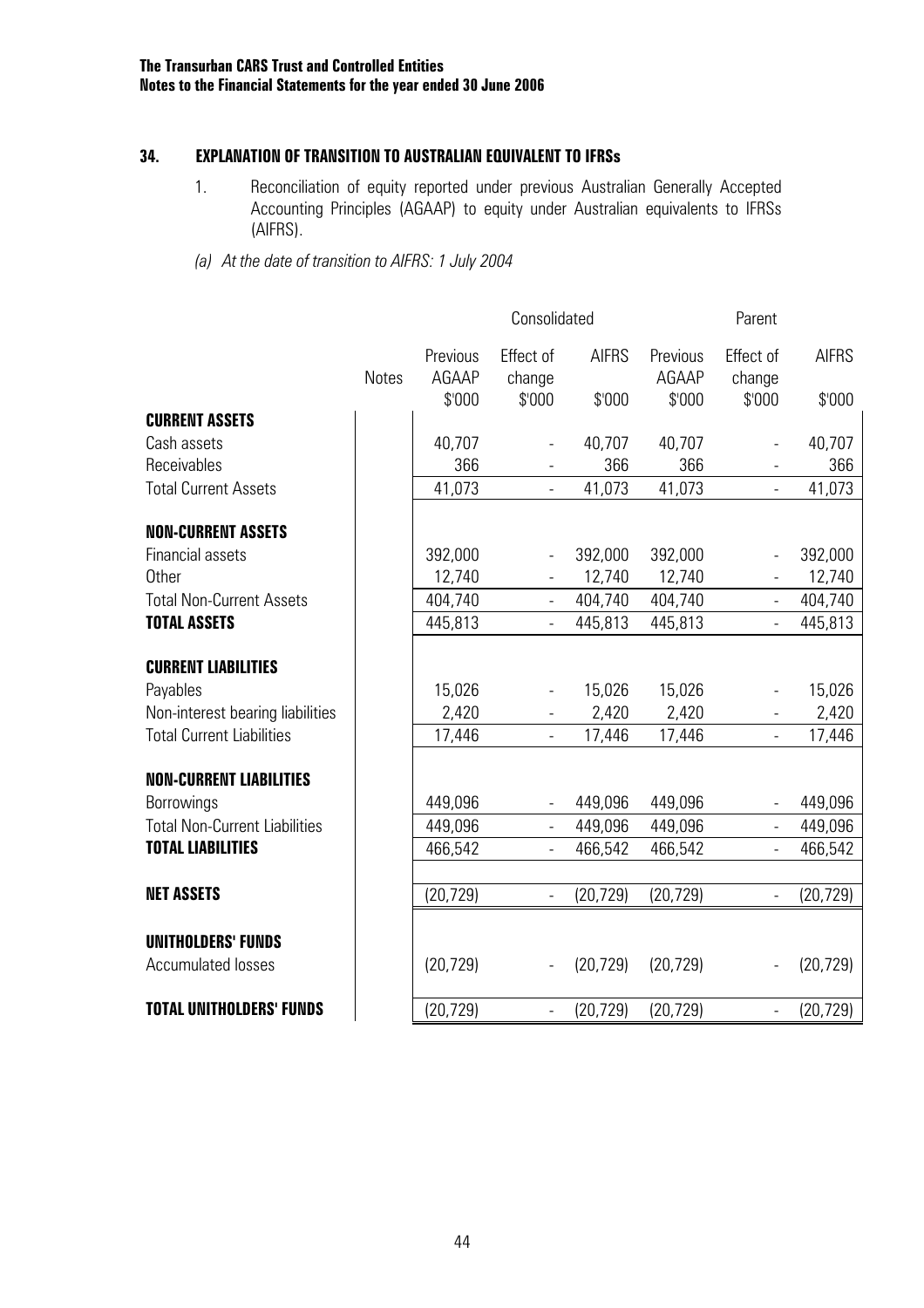#### **34. EXPLANATION OF TRANSITION TO AUSTRALIAN EQUIVALENT TO IFRSs**

- 1. Reconciliation of equity reported under previous Australian Generally Accepted Accounting Principles (AGAAP) to equity under Australian equivalents to IFRSs (AIFRS).
- *(a) At the date of transition to AIFRS: 1 July 2004*

|                                                        |              | Consolidated<br>Parent      |                               |                        |                             |                               |                        |
|--------------------------------------------------------|--------------|-----------------------------|-------------------------------|------------------------|-----------------------------|-------------------------------|------------------------|
|                                                        | <b>Notes</b> | Previous<br>AGAAP<br>\$'000 | Effect of<br>change<br>\$'000 | <b>AIFRS</b><br>\$'000 | Previous<br>AGAAP<br>\$'000 | Effect of<br>change<br>\$'000 | <b>AIFRS</b><br>\$'000 |
| <b>CURRENT ASSETS</b>                                  |              |                             |                               |                        |                             |                               |                        |
| Cash assets                                            |              | 40,707                      | $\qquad \qquad \blacksquare$  | 40,707                 | 40,707                      |                               | 40,707                 |
| Receivables                                            |              | 366                         | $\overline{\phantom{0}}$      | 366                    | 366                         |                               | 366                    |
| <b>Total Current Assets</b>                            |              | 41,073                      | $\frac{1}{2}$                 | 41,073                 | 41,073                      |                               | 41,073                 |
| <b>NON-CURRENT ASSETS</b>                              |              |                             |                               |                        |                             |                               |                        |
| <b>Financial assets</b>                                |              | 392,000                     |                               | 392,000                | 392,000                     |                               | 392,000                |
| <b>Other</b>                                           |              | 12,740                      |                               | 12,740                 | 12,740                      |                               | 12,740                 |
| <b>Total Non-Current Assets</b>                        |              | 404,740                     | $\blacksquare$                | 404,740                | 404,740                     | $\equiv$                      | 404,740                |
| <b>TOTAL ASSETS</b>                                    |              | 445,813                     | $\overline{a}$                | 445,813                | 445,813                     |                               | 445,813                |
| <b>CURRENT LIABILITIES</b>                             |              |                             |                               |                        |                             |                               |                        |
| Payables                                               |              | 15,026                      |                               | 15,026                 | 15,026                      |                               | 15,026                 |
| Non-interest bearing liabilities                       |              | 2,420                       | $\qquad \qquad -$             | 2,420                  | 2,420                       |                               | 2,420                  |
| <b>Total Current Liabilities</b>                       |              | 17,446                      | $\overline{a}$                | 17,446                 | 17,446                      |                               | 17,446                 |
| <b>NON-CURRENT LIABILITIES</b>                         |              |                             |                               |                        |                             |                               |                        |
| Borrowings                                             |              | 449,096                     |                               | 449,096                | 449,096                     |                               | 449,096                |
| <b>Total Non-Current Liabilities</b>                   |              | 449,096                     | $\blacksquare$                | 449,096                | 449,096                     |                               | 449,096                |
| <b>TOTAL LIABILITIES</b>                               |              | 466,542                     | $\blacksquare$                | 466,542                | 466,542                     | $\overline{\phantom{0}}$      | 466,542                |
|                                                        |              |                             |                               |                        |                             |                               |                        |
| <b>NET ASSETS</b>                                      |              | (20, 729)                   | $\overline{a}$                | (20, 729)              | (20, 729)                   | $\overline{\phantom{0}}$      | (20, 729)              |
|                                                        |              |                             |                               |                        |                             |                               |                        |
| <b>UNITHOLDERS' FUNDS</b><br><b>Accumulated losses</b> |              | (20, 729)                   | $\frac{1}{2}$                 | (20, 729)              | (20, 729)                   |                               | (20, 729)              |
| <b>TOTAL UNITHOLDERS' FUNDS</b>                        |              | (20, 729)                   | $\frac{1}{2}$                 | (20, 729)              | (20, 729)                   | $\overline{\phantom{0}}$      | (20, 729)              |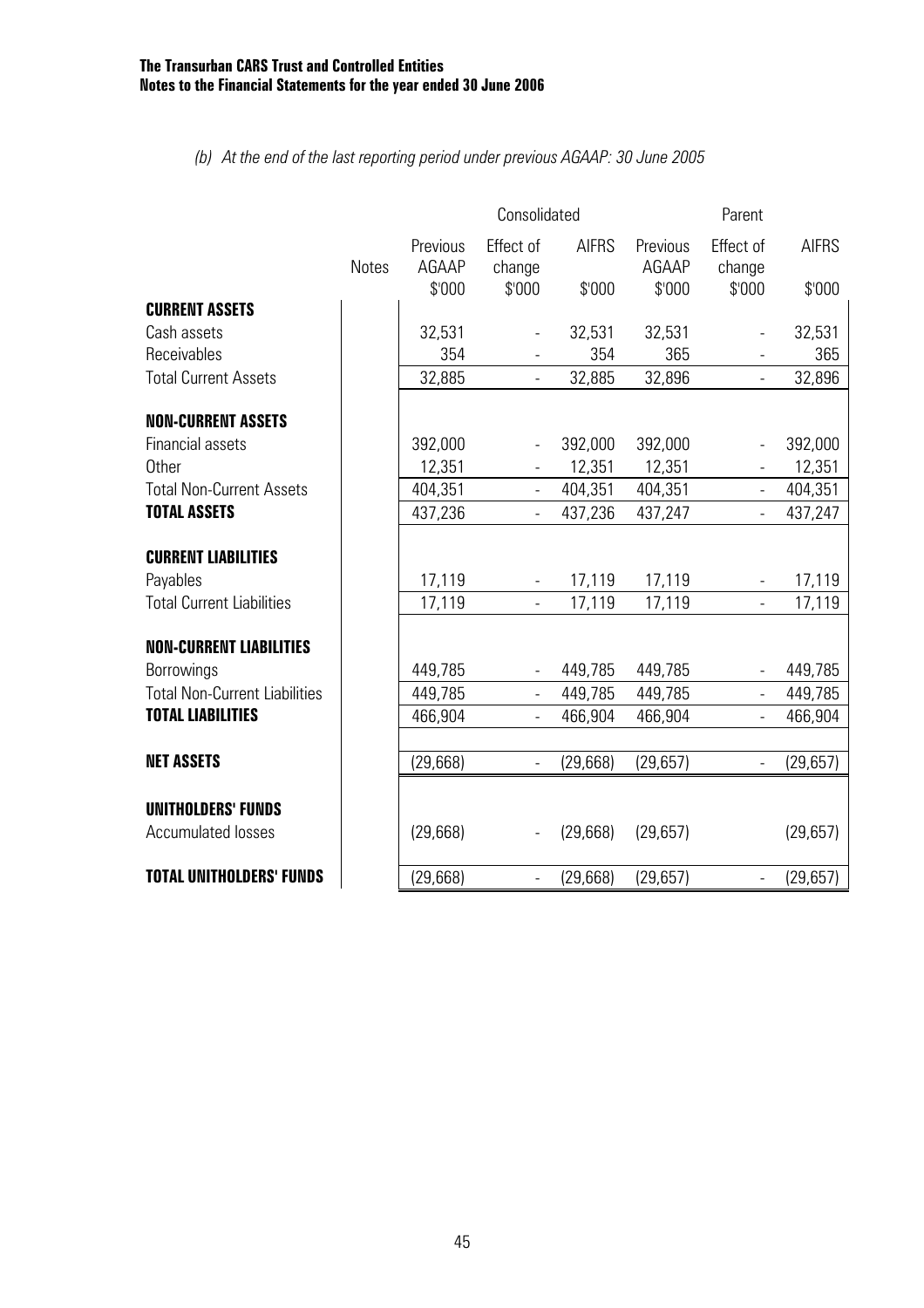#### *(b) At the end of the last reporting period under previous AGAAP: 30 June 2005*

|                                      |              | Consolidated<br>Parent      |                               |                        |                             |                               |                        |
|--------------------------------------|--------------|-----------------------------|-------------------------------|------------------------|-----------------------------|-------------------------------|------------------------|
|                                      | <b>Notes</b> | Previous<br>AGAAP<br>\$'000 | Effect of<br>change<br>\$'000 | <b>AIFRS</b><br>\$'000 | Previous<br>AGAAP<br>\$'000 | Effect of<br>change<br>\$'000 | <b>AIFRS</b><br>\$'000 |
| <b>CURRENT ASSETS</b>                |              |                             |                               |                        |                             |                               |                        |
| Cash assets                          |              | 32,531                      | $\overline{\phantom{a}}$      | 32,531                 | 32,531                      | $\overline{\phantom{a}}$      | 32,531                 |
| Receivables                          |              | 354                         |                               | 354                    | 365                         |                               | 365                    |
| <b>Total Current Assets</b>          |              | 32,885                      |                               | 32,885                 | 32,896                      |                               | 32,896                 |
| <b>NON-CURRENT ASSETS</b>            |              |                             |                               |                        |                             |                               |                        |
| <b>Financial assets</b>              |              | 392,000                     | $\blacksquare$                | 392,000                | 392,000                     | $\overline{\phantom{a}}$      | 392,000                |
| <b>Other</b>                         |              | 12,351                      |                               | 12,351                 | 12,351                      |                               | 12,351                 |
| <b>Total Non-Current Assets</b>      |              | 404,351                     | $\Box$                        | 404,351                | 404,351                     | $\frac{1}{2}$                 | 404,351                |
| <b>TOTAL ASSETS</b>                  |              | 437,236                     | $\Box$                        | 437,236                | 437,247                     | $\overline{a}$                | 437,247                |
| <b>CURRENT LIABILITIES</b>           |              |                             |                               |                        |                             |                               |                        |
| Payables                             |              | 17,119                      |                               | 17,119                 | 17,119                      |                               | 17,119                 |
| <b>Total Current Liabilities</b>     |              | 17,119                      | $\Box$                        | 17,119                 | 17,119                      | $\overline{\phantom{a}}$      | 17,119                 |
| <b>NON-CURRENT LIABILITIES</b>       |              |                             |                               |                        |                             |                               |                        |
| Borrowings                           |              | 449,785                     |                               | 449,785                | 449,785                     |                               | 449,785                |
| <b>Total Non-Current Liabilities</b> |              | 449,785                     | $\blacksquare$                | 449,785                | 449,785                     | $\blacksquare$                | 449,785                |
| <b>TOTAL LIABILITIES</b>             |              | 466,904                     | $\frac{1}{2}$                 | 466,904                | 466,904                     | $\overline{a}$                | 466,904                |
|                                      |              |                             |                               |                        |                             |                               |                        |
| <b>NET ASSETS</b>                    |              | (29, 668)                   |                               | (29, 668)              | (29, 657)                   |                               | (29, 657)              |
| <b>UNITHOLDERS' FUNDS</b>            |              |                             |                               |                        |                             |                               |                        |
| <b>Accumulated losses</b>            |              | (29,668)                    | $\blacksquare$                | (29,668)               | (29, 657)                   |                               | (29, 657)              |
| <b>TOTAL UNITHOLDERS' FUNDS</b>      |              | (29, 668)                   | $\overline{\phantom{a}}$      | (29, 668)              | (29, 657)                   | $\qquad \qquad \blacksquare$  | (29, 657)              |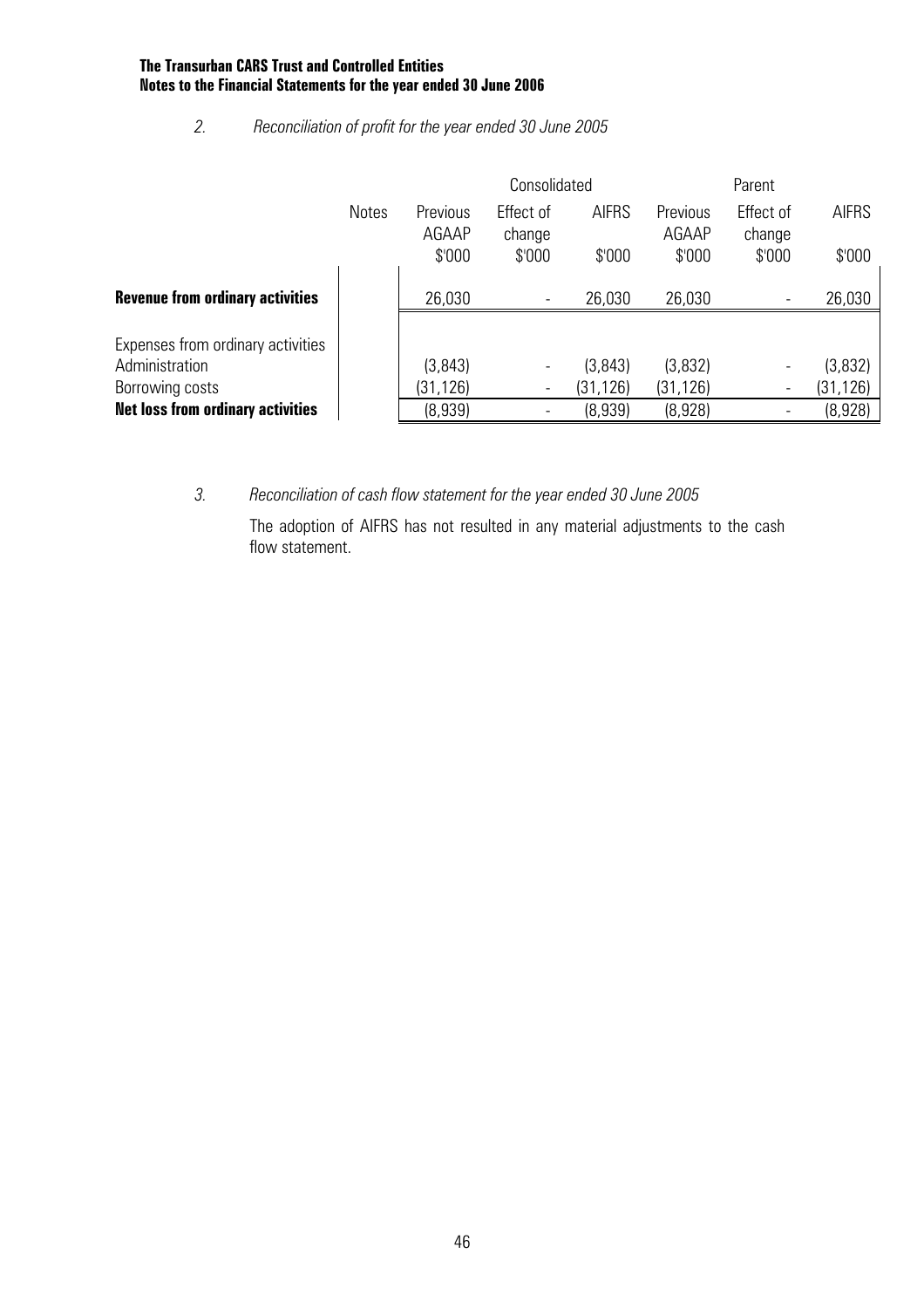#### *2. Reconciliation of profit for the year ended 30 June 2005*

|                                          |              |                   | Consolidated             |              | Parent            |                     |              |
|------------------------------------------|--------------|-------------------|--------------------------|--------------|-------------------|---------------------|--------------|
|                                          | <b>Notes</b> | Previous<br>AGAAP | Effect of<br>change      | <b>AIFRS</b> | Previous<br>AGAAP | Effect of<br>change | <b>AIFRS</b> |
|                                          |              | \$'000            | \$'000                   | \$000        | \$'000            | \$'000              | \$'000       |
| <b>Revenue from ordinary activities</b>  |              | 26,030            | $\overline{\phantom{a}}$ | 26,030       | 26,030            |                     | 26,030       |
| Expenses from ordinary activities        |              |                   |                          |              |                   |                     |              |
| Administration                           |              | (3, 843)          | $\overline{\phantom{a}}$ | (3, 843)     | (3,832)           |                     | (3,832)      |
| Borrowing costs                          |              | (31,126)          | $\overline{\phantom{a}}$ | (31, 126)    | (31, 126)         |                     | (31, 126)    |
| <b>Net loss from ordinary activities</b> |              | (8,939)           |                          | (8,939)      | (8,928)           |                     | (8,928)      |

*3. Reconciliation of cash flow statement for the year ended 30 June 2005* 

The adoption of AIFRS has not resulted in any material adjustments to the cash flow statement.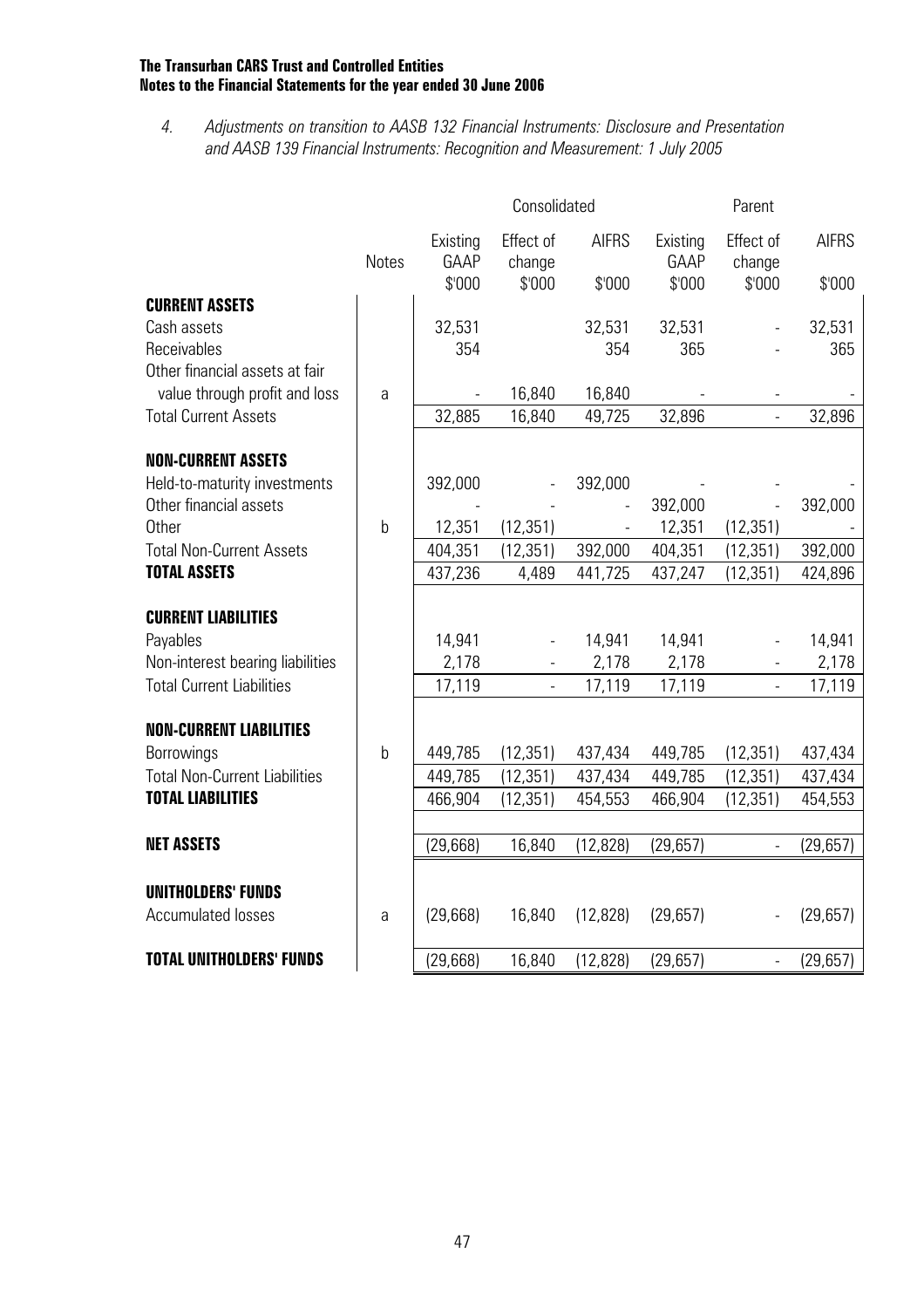*4. Adjustments on transition to AASB 132 Financial Instruments: Disclosure and Presentation and AASB 139 Financial Instruments: Recognition and Measurement: 1 July 2005* 

|                                                                  |              |                            | Consolidated                  |                        | Parent                     |                               |                        |
|------------------------------------------------------------------|--------------|----------------------------|-------------------------------|------------------------|----------------------------|-------------------------------|------------------------|
|                                                                  | <b>Notes</b> | Existing<br>GAAP<br>\$'000 | Effect of<br>change<br>\$'000 | <b>AIFRS</b><br>\$'000 | Existing<br>GAAP<br>\$'000 | Effect of<br>change<br>\$'000 | <b>AIFRS</b><br>\$'000 |
| <b>CURRENT ASSETS</b>                                            |              |                            |                               |                        |                            |                               |                        |
| Cash assets<br>Receivables<br>Other financial assets at fair     |              | 32,531<br>354              |                               | 32,531<br>354          | 32,531<br>365              |                               | 32,531<br>365          |
| value through profit and loss                                    | a            |                            | 16,840                        | 16,840                 |                            |                               |                        |
| <b>Total Current Assets</b>                                      |              | 32,885                     | 16,840                        | 49,725                 | 32,896                     |                               | 32,896                 |
|                                                                  |              |                            |                               |                        |                            |                               |                        |
| <b>NON-CURRENT ASSETS</b>                                        |              |                            |                               |                        |                            |                               |                        |
| Held-to-maturity investments                                     |              | 392,000                    |                               | 392,000                |                            |                               |                        |
| Other financial assets                                           |              |                            |                               |                        | 392,000                    |                               | 392,000                |
| <b>Other</b><br><b>Total Non-Current Assets</b>                  | $\mathsf{b}$ | 12,351<br>404,351          | (12, 351)<br>(12, 351)        | 392,000                | 12,351<br>404,351          | (12, 351)<br>(12, 351)        | 392,000                |
| <b>TOTAL ASSETS</b>                                              |              | 437,236                    | 4,489                         | 441,725                | 437,247                    | (12, 351)                     | 424,896                |
|                                                                  |              |                            |                               |                        |                            |                               |                        |
| <b>CURRENT LIABILITIES</b>                                       |              |                            |                               |                        |                            |                               |                        |
| Payables                                                         |              | 14,941                     | $\overline{a}$                | 14,941                 | 14,941                     |                               | 14,941                 |
| Non-interest bearing liabilities                                 |              | 2,178                      |                               | 2,178                  | 2,178                      |                               | 2,178                  |
| <b>Total Current Liabilities</b>                                 |              | 17,119                     | $\frac{1}{2}$                 | 17,119                 | 17,119                     |                               | 17,119                 |
|                                                                  |              |                            |                               |                        |                            |                               |                        |
| <b>NON-CURRENT LIABILITIES</b>                                   |              |                            |                               |                        |                            |                               |                        |
| Borrowings                                                       | $\mathbf b$  | 449,785                    | (12, 351)                     | 437,434                | 449,785                    | (12, 351)                     | 437,434                |
| <b>Total Non-Current Liabilities</b><br><b>TOTAL LIABILITIES</b> |              | 449,785<br>466,904         | (12, 351)<br>(12, 351)        | 437,434<br>454,553     | 449,785<br>466,904         | (12, 351)<br>(12, 351)        | 437,434<br>454,553     |
|                                                                  |              |                            |                               |                        |                            |                               |                        |
| <b>NET ASSETS</b>                                                |              | (29, 668)                  | 16,840                        | (12, 828)              | (29, 657)                  | $\blacksquare$                | (29, 657)              |
|                                                                  |              |                            |                               |                        |                            |                               |                        |
| <b>UNITHOLDERS' FUNDS</b><br><b>Accumulated losses</b>           | a            | (29, 668)                  | 16,840                        | (12, 828)              | (29,657)                   |                               | (29,657)               |
| <b>TOTAL UNITHOLDERS' FUNDS</b>                                  |              | (29, 668)                  | 16,840                        | (12, 828)              | (29, 657)                  | $\blacksquare$                | (29, 657)              |
|                                                                  |              |                            |                               |                        |                            |                               |                        |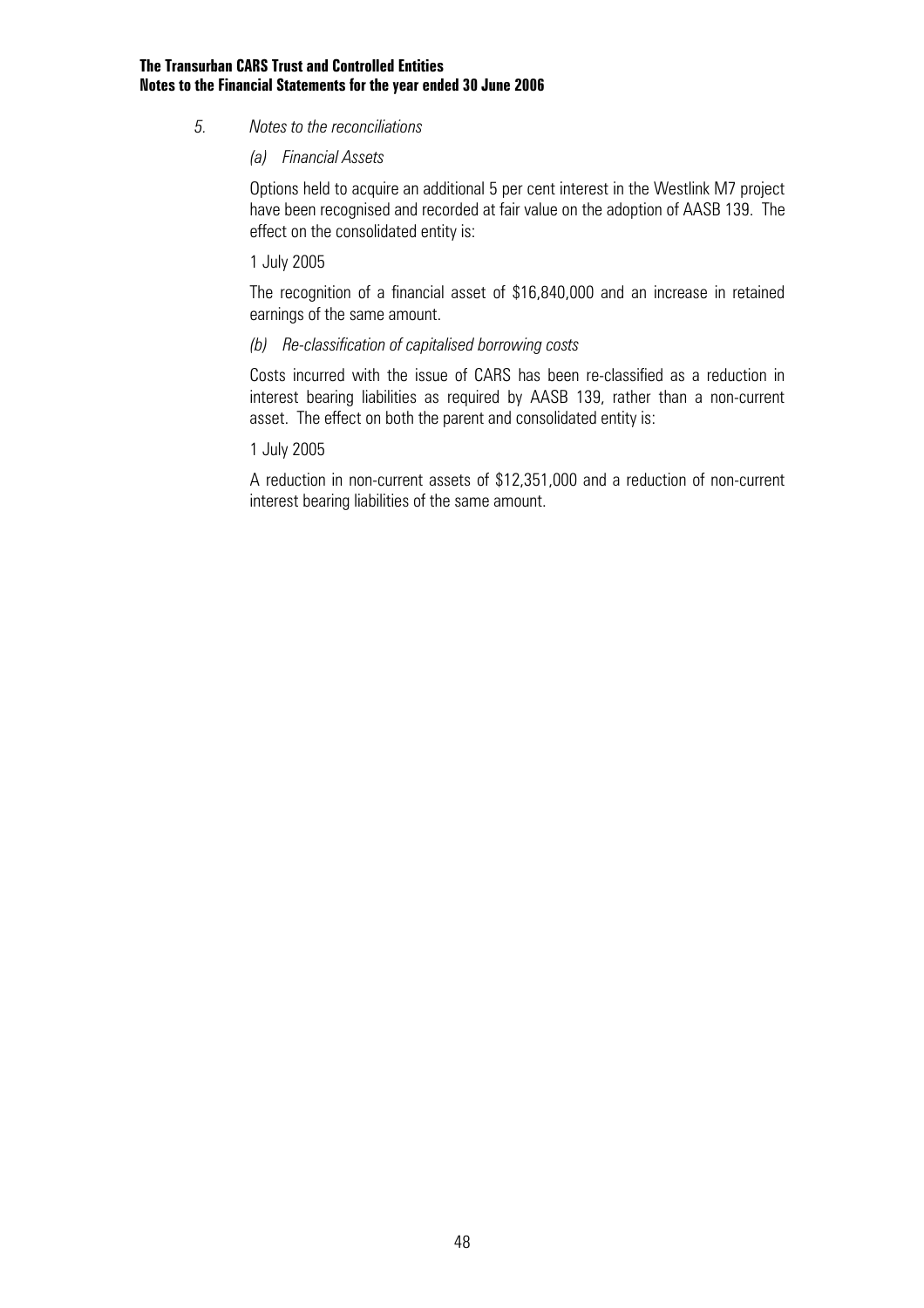*5. Notes to the reconciliations* 

#### *(a) Financial Assets*

 Options held to acquire an additional 5 per cent interest in the Westlink M7 project have been recognised and recorded at fair value on the adoption of AASB 139. The effect on the consolidated entity is:

#### 1 July 2005

 The recognition of a financial asset of \$16,840,000 and an increase in retained earnings of the same amount.

#### *(b) Re-classification of capitalised borrowing costs*

Costs incurred with the issue of CARS has been re-classified as a reduction in interest bearing liabilities as required by AASB 139, rather than a non-current asset. The effect on both the parent and consolidated entity is:

#### 1 July 2005

 A reduction in non-current assets of \$12,351,000 and a reduction of non-current interest bearing liabilities of the same amount.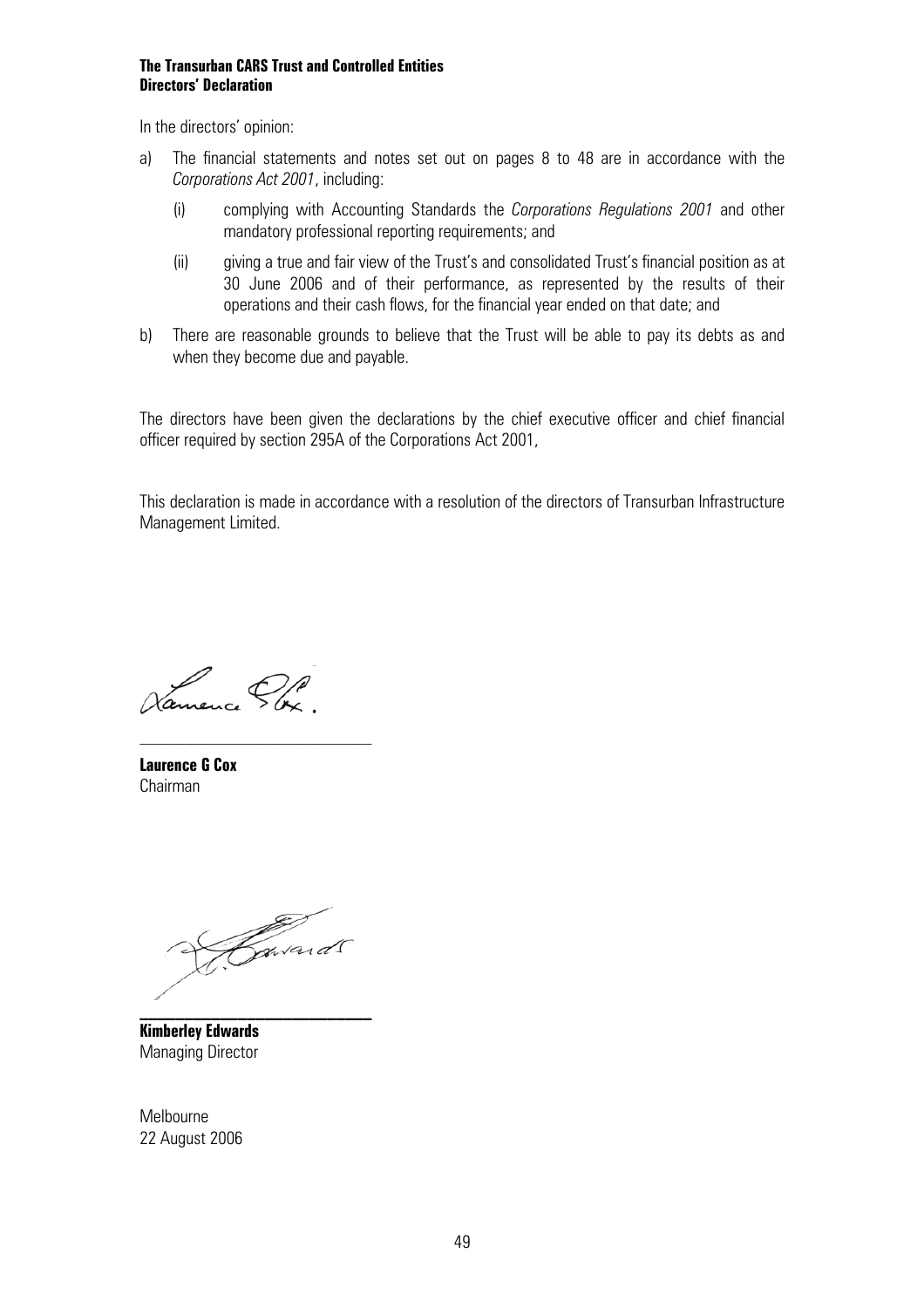#### **The Transurban CARS Trust and Controlled Entities Directors' Declaration**

In the directors' opinion:

- a) The financial statements and notes set out on pages 8 to 48 are in accordance with the *Corporations Act 2001*, including:
	- (i) complying with Accounting Standards the *Corporations Regulations 2001* and other mandatory professional reporting requirements; and
	- (ii) giving a true and fair view of the Trust's and consolidated Trust's financial position as at 30 June 2006 and of their performance, as represented by the results of their operations and their cash flows, for the financial year ended on that date; and
- b) There are reasonable grounds to believe that the Trust will be able to pay its debts as and when they become due and payable.

The directors have been given the declarations by the chief executive officer and chief financial officer required by section 295A of the Corporations Act 2001,

This declaration is made in accordance with a resolution of the directors of Transurban Infrastructure Management Limited.

Vanneure Pbx

**Laurence G Cox**  Chairman

Zavards

**\_\_\_\_\_\_\_\_\_\_\_\_\_\_\_\_\_\_\_\_\_\_\_\_\_\_** 

**Kimberley Edwards**  Managing Director

Melbourne 22 August 2006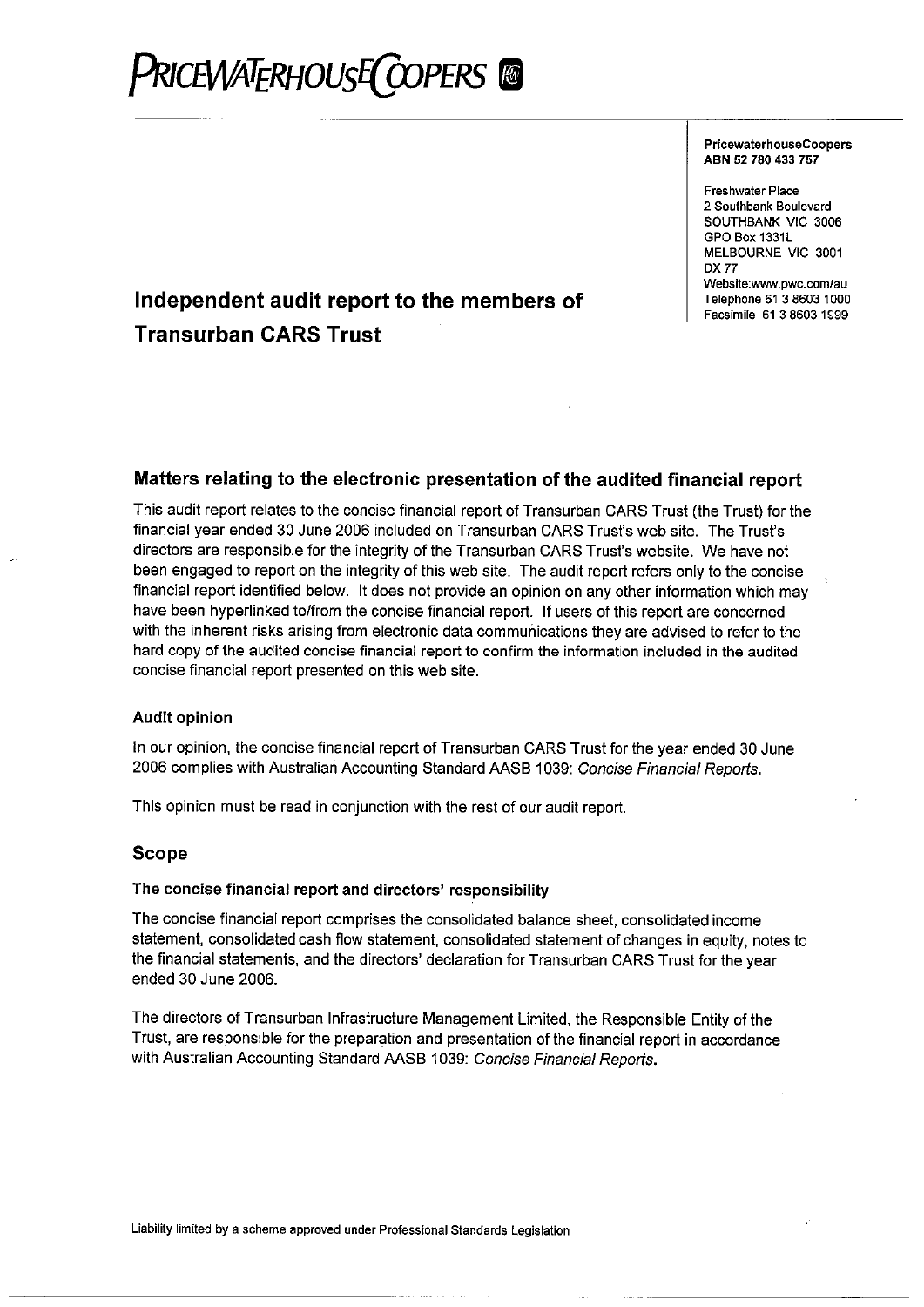# **PRICEWATERHOUSE COPERS**

#### **PricewaterhouseCoopers** ABN 52 780 433 757

**Freshwater Place** 2 Southbank Boulevard SOUTHBANK VIC 3006 GPO Box 1331L MELBOURNE VIC 3001 **DX 77** Website:www.pwc.com/au Telephone 61 3 8603 1000 Facsimile 61 3 8603 1999

## Independent audit report to the members of **Transurban CARS Trust**

#### Matters relating to the electronic presentation of the audited financial report

This audit report relates to the concise financial report of Transurban CARS Trust (the Trust) for the financial year ended 30 June 2006 included on Transurban CARS Trust's web site. The Trust's directors are responsible for the integrity of the Transurban CARS Trust's website. We have not been engaged to report on the integrity of this web site. The audit report refers only to the concise financial report identified below. It does not provide an opinion on any other information which may have been hyperlinked to/from the concise financial report. If users of this report are concerned with the inherent risks arising from electronic data communications they are advised to refer to the hard copy of the audited concise financial report to confirm the information included in the audited concise financial report presented on this web site.

#### **Audit opinion**

In our opinion, the concise financial report of Transurban CARS Trust for the year ended 30 June 2006 complies with Australian Accounting Standard AASB 1039: Concise Financial Reports,

This opinion must be read in conjunction with the rest of our audit report.

#### **Scope**

#### The concise financial report and directors' responsibility

The concise financial report comprises the consolidated balance sheet, consolidated income statement, consolidated cash flow statement, consolidated statement of changes in equity, notes to the financial statements, and the directors' declaration for Transurban CARS Trust for the year ended 30 June 2006.

The directors of Transurban Infrastructure Management Limited, the Responsible Entity of the Trust, are responsible for the preparation and presentation of the financial report in accordance with Australian Accounting Standard AASB 1039: Concise Financial Reports.